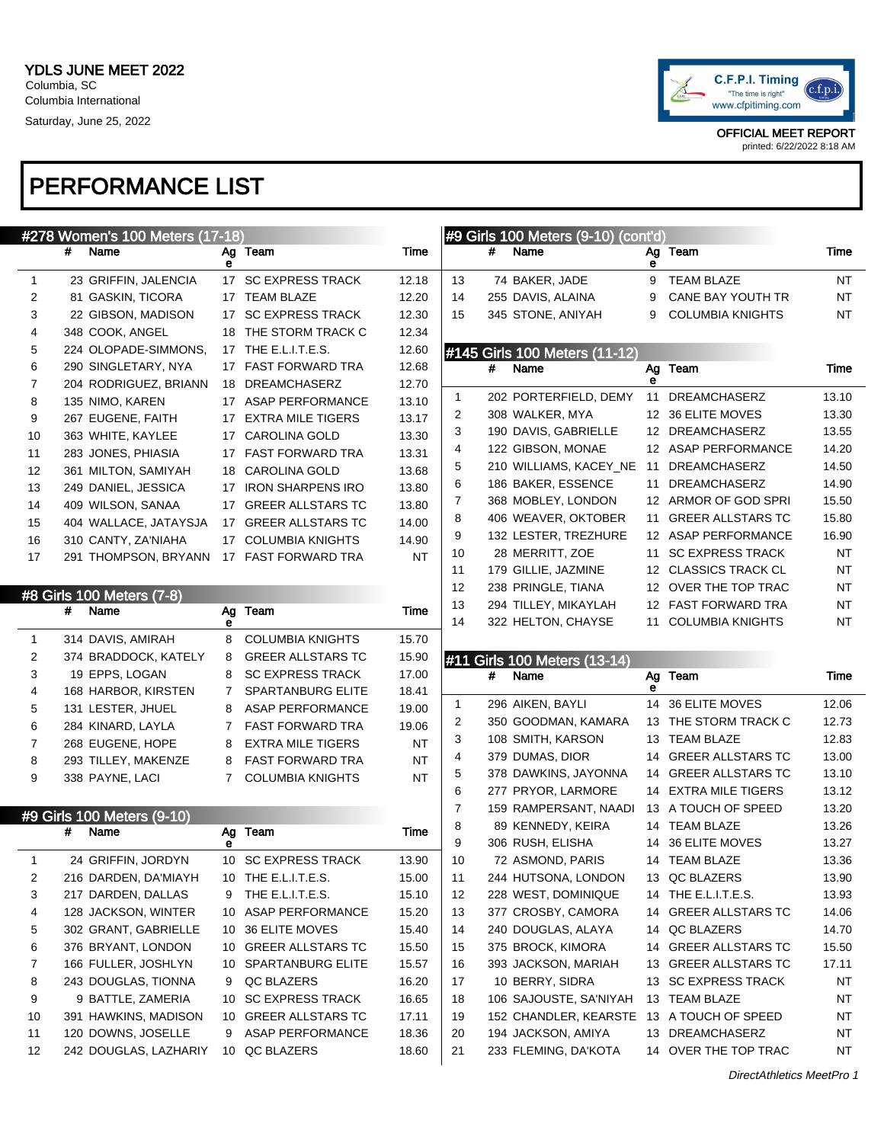

|          |   | #278 Women's 100 Meters (17-18)             |                |                                          |                |              |   | #9 Girls 100 Meters (9-10) (cont'd)        |         |                                         |           |
|----------|---|---------------------------------------------|----------------|------------------------------------------|----------------|--------------|---|--------------------------------------------|---------|-----------------------------------------|-----------|
|          | # | Name                                        | е              | Ag Team                                  | Time           |              | # | Name                                       | Ag<br>е | Team                                    | Time      |
| 1        |   | 23 GRIFFIN, JALENCIA                        |                | 17 SC EXPRESS TRACK                      | 12.18          | 13           |   | 74 BAKER, JADE                             | 9       | <b>TEAM BLAZE</b>                       | NT        |
| 2        |   | 81 GASKIN, TICORA                           |                | 17 TEAM BLAZE                            | 12.20          | 14           |   | 255 DAVIS, ALAINA                          | 9       | CANE BAY YOUTH TR                       | NT        |
| 3        |   | 22 GIBSON, MADISON                          |                | 17 SC EXPRESS TRACK                      | 12.30          | 15           |   | 345 STONE, ANIYAH                          | 9       | <b>COLUMBIA KNIGHTS</b>                 | NT        |
| 4        |   | 348 COOK, ANGEL                             |                | 18 THE STORM TRACK C                     | 12.34          |              |   |                                            |         |                                         |           |
| 5        |   | 224 OLOPADE-SIMMONS,                        |                | 17 THE E.L.I.T.E.S.                      | 12.60          |              |   | #145 Girls 100 Meters (11-12)              |         |                                         |           |
| 6        |   | 290 SINGLETARY, NYA                         |                | 17 FAST FORWARD TRA                      | 12.68          |              | # | Name                                       |         | Ag Team                                 | Time      |
| 7        |   | 204 RODRIGUEZ, BRIANN                       |                | 18 DREAMCHASERZ                          | 12.70          |              |   |                                            | е       |                                         |           |
| 8        |   | 135 NIMO, KAREN                             |                | 17 ASAP PERFORMANCE                      | 13.10          | $\mathbf{1}$ |   | 202 PORTERFIELD, DEMY                      | 11      | <b>DREAMCHASERZ</b>                     | 13.10     |
| 9        |   | 267 EUGENE, FAITH                           |                | 17 EXTRA MILE TIGERS                     | 13.17          | 2            |   | 308 WALKER, MYA                            |         | 12 36 ELITE MOVES                       | 13.30     |
| 10       |   | 363 WHITE, KAYLEE                           |                | 17 CAROLINA GOLD                         | 13.30          | 3            |   | 190 DAVIS, GABRIELLE                       |         | 12 DREAMCHASERZ                         | 13.55     |
| 11       |   | 283 JONES, PHIASIA                          |                | 17 FAST FORWARD TRA                      | 13.31          | 4            |   | 122 GIBSON, MONAE                          |         | 12 ASAP PERFORMANCE                     | 14.20     |
| 12       |   | 361 MILTON, SAMIYAH                         |                | 18 CAROLINA GOLD                         | 13.68          | 5            |   | 210 WILLIAMS, KACEY_NE 11 DREAMCHASERZ     |         |                                         | 14.50     |
| 13       |   | 249 DANIEL, JESSICA                         |                | 17 IRON SHARPENS IRO                     | 13.80          | 6            |   | 186 BAKER, ESSENCE                         | 11      | DREAMCHASERZ                            | 14.90     |
| 14       |   | 409 WILSON, SANAA                           |                | 17 GREER ALLSTARS TC                     | 13.80          | 7            |   | 368 MOBLEY, LONDON                         |         | 12 ARMOR OF GOD SPRI                    | 15.50     |
| 15       |   | 404 WALLACE, JATAYSJA                       |                | 17 GREER ALLSTARS TC                     | 14.00          | 8            |   | 406 WEAVER, OKTOBER                        | 11      | <b>GREER ALLSTARS TC</b>                | 15.80     |
| 16       |   | 310 CANTY, ZA'NIAHA                         |                | 17 COLUMBIA KNIGHTS                      | 14.90          | 9            |   | 132 LESTER, TREZHURE                       |         | 12 ASAP PERFORMANCE                     | 16.90     |
| 17       |   | 291 THOMPSON, BRYANN                        |                | 17 FAST FORWARD TRA                      | <b>NT</b>      | 10           |   | 28 MERRITT, ZOE                            | 11      | <b>SC EXPRESS TRACK</b>                 | <b>NT</b> |
|          |   |                                             |                |                                          |                | 11           |   | 179 GILLIE, JAZMINE                        |         | 12 CLASSICS TRACK CL                    | <b>NT</b> |
|          |   | #8 Girls 100 Meters (7-8)                   |                |                                          |                | 12           |   | 238 PRINGLE, TIANA                         |         | 12 OVER THE TOP TRAC                    | <b>NT</b> |
|          | # | Name                                        | Ag             | Team                                     | Time           | 13           |   | 294 TILLEY, MIKAYLAH                       |         | 12 FAST FORWARD TRA                     | <b>NT</b> |
|          |   |                                             | е              |                                          |                | 14           |   | 322 HELTON, CHAYSE                         |         | 11 COLUMBIA KNIGHTS                     | NT        |
| 1        |   | 314 DAVIS, AMIRAH                           | 8              | <b>COLUMBIA KNIGHTS</b>                  | 15.70          |              |   |                                            |         |                                         |           |
|          |   |                                             |                |                                          |                |              |   |                                            |         |                                         |           |
| 2        |   | 374 BRADDOCK, KATELY                        | 8              | <b>GREER ALLSTARS TC</b>                 | 15.90          |              |   | #11 Girls 100 Meters (13-14)               |         |                                         |           |
| 3        |   | 19 EPPS, LOGAN                              | 8              | <b>SC EXPRESS TRACK</b>                  | 17.00          |              | # | Name                                       |         | Ag Team                                 | Time      |
| 4        |   | 168 HARBOR, KIRSTEN                         | $7^{\circ}$    | SPARTANBURG ELITE                        | 18.41          |              |   |                                            | е       |                                         |           |
| 5        |   | 131 LESTER, JHUEL                           | 8              | <b>ASAP PERFORMANCE</b>                  | 19.00          | 1            |   | 296 AIKEN, BAYLI                           |         | 14 36 ELITE MOVES                       | 12.06     |
| 6        |   | 284 KINARD, LAYLA                           | $7\phantom{.}$ | <b>FAST FORWARD TRA</b>                  | 19.06          | 2            |   | 350 GOODMAN, KAMARA                        |         | 13 THE STORM TRACK C                    | 12.73     |
| 7        |   | 268 EUGENE, HOPE                            | 8              | <b>EXTRA MILE TIGERS</b>                 | NT             | 3            |   | 108 SMITH, KARSON                          |         | 13 TEAM BLAZE                           | 12.83     |
| 8        |   | 293 TILLEY, MAKENZE                         | 8              | <b>FAST FORWARD TRA</b>                  | <b>NT</b>      | 4            |   | 379 DUMAS, DIOR                            |         | 14 GREER ALLSTARS TC                    | 13.00     |
| 9        |   | 338 PAYNE, LACI                             | $7^{\circ}$    | <b>COLUMBIA KNIGHTS</b>                  | <b>NT</b>      | 5            |   | 378 DAWKINS, JAYONNA                       |         | 14 GREER ALLSTARS TC                    | 13.10     |
|          |   |                                             |                |                                          |                | 6            |   | 277 PRYOR, LARMORE                         |         | 14 EXTRA MILE TIGERS                    | 13.12     |
|          |   | #9 Girls 100 Meters (9-10)                  |                |                                          |                | 7            |   | 159 RAMPERSANT, NAADI                      |         | 13 A TOUCH OF SPEED                     | 13.20     |
|          | # | Name                                        |                | Ag Team                                  | Time           | 8            |   | 89 KENNEDY, KEIRA                          |         | 14 TEAM BLAZE                           | 13.26     |
|          |   |                                             | е              |                                          |                | 9            |   | 306 RUSH, ELISHA                           |         | 14 36 ELITE MOVES                       | 13.27     |
| 1        |   | 24 GRIFFIN, JORDYN                          |                | 10 SC EXPRESS TRACK                      | 13.90          | 10           |   | 72 ASMOND, PARIS                           |         | 14 TEAM BLAZE                           | 13.36     |
| 2        |   | 216 DARDEN, DA'MIAYH                        |                | 10 THE E.L.I.T.E.S.                      | 15.00          | 11           |   | 244 HUTSONA, LONDON                        |         | 13 QC BLAZERS                           | 13.90     |
| 3        |   | 217 DARDEN, DALLAS                          | 9              | THE E.L.I.T.E.S.                         | 15.10          | 12           |   | 228 WEST, DOMINIQUE                        |         | 14 THE E.L.I.T.E.S.                     | 13.93     |
| 4        |   | 128 JACKSON, WINTER                         | 10             | ASAP PERFORMANCE                         | 15.20          | 13           |   | 377 CROSBY, CAMORA                         |         | 14 GREER ALLSTARS TC                    | 14.06     |
| 5        |   | 302 GRANT, GABRIELLE                        |                | 10 36 ELITE MOVES                        | 15.40          | 14           |   | 240 DOUGLAS, ALAYA                         |         | 14 QC BLAZERS                           | 14.70     |
| 6        |   | 376 BRYANT, LONDON                          | 10             | <b>GREER ALLSTARS TC</b>                 | 15.50          | 15           |   | 375 BROCK, KIMORA                          |         | 14 GREER ALLSTARS TC                    | 15.50     |
| 7        |   | 166 FULLER, JOSHLYN                         |                | 10 SPARTANBURG ELITE                     | 15.57          | 16           |   | 393 JACKSON, MARIAH                        |         | 13 GREER ALLSTARS TC                    | 17.11     |
| 8        |   | 243 DOUGLAS, TIONNA                         | 9              | QC BLAZERS                               | 16.20          | 17           |   | 10 BERRY, SIDRA                            |         | 13 SC EXPRESS TRACK                     | NT        |
| 9        |   | 9 BATTLE, ZAMERIA                           | 10             | <b>SC EXPRESS TRACK</b>                  | 16.65          | 18           |   | 106 SAJOUSTE, SA'NIYAH                     |         | 13 TEAM BLAZE                           | NT        |
| 10       |   | 391 HAWKINS, MADISON                        |                | 10 GREER ALLSTARS TC                     | 17.11          | 19           |   | 152 CHANDLER, KEARSTE 13 A TOUCH OF SPEED  |         |                                         | ΝT        |
| 11<br>12 |   | 120 DOWNS, JOSELLE<br>242 DOUGLAS, LAZHARIY | 9              | <b>ASAP PERFORMANCE</b><br>10 QC BLAZERS | 18.36<br>18.60 | 20<br>21     |   | 194 JACKSON, AMIYA<br>233 FLEMING, DA'KOTA |         | 13 DREAMCHASERZ<br>14 OVER THE TOP TRAC | ΝT<br>NT  |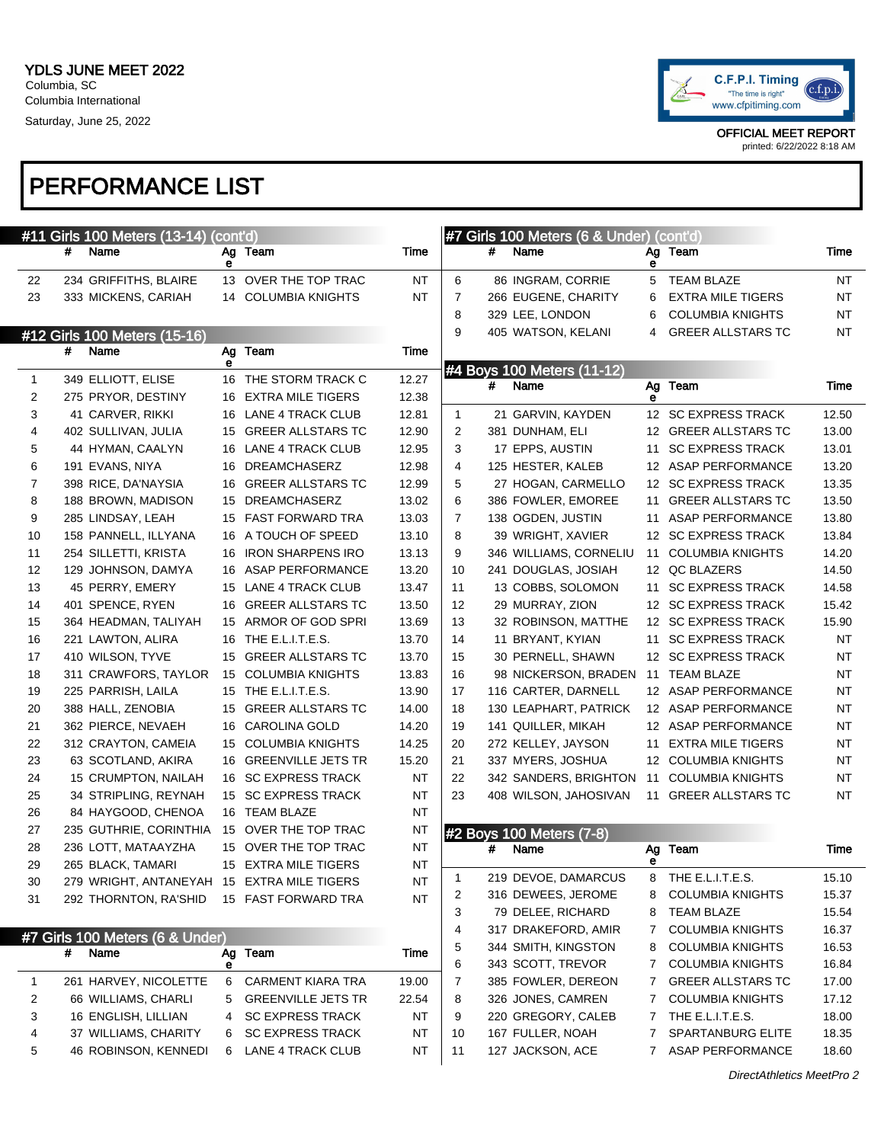

printed: 6/22/2022 8:18 AM

|    | #11 Girls 100 Meters (13-14) (cont'd)      |    |                           |           |                |   | #7 Girls 100 Meters (6 & Under) (cont'd) |        |                          |           |
|----|--------------------------------------------|----|---------------------------|-----------|----------------|---|------------------------------------------|--------|--------------------------|-----------|
|    | #<br>Name                                  |    | Ag Team                   | Time      |                | # | Name                                     | Ag     | Team                     | Time      |
| 22 | 234 GRIFFITHS, BLAIRE                      | е  | 13 OVER THE TOP TRAC      | ΝT        | 6              |   | 86 INGRAM, CORRIE                        | е<br>5 | <b>TEAM BLAZE</b>        | NT        |
| 23 | 333 MICKENS, CARIAH                        |    | 14 COLUMBIA KNIGHTS       | ΝT        | $\overline{7}$ |   | 266 EUGENE, CHARITY                      | 6      | <b>EXTRA MILE TIGERS</b> | NT        |
|    |                                            |    |                           |           | 8              |   | 329 LEE, LONDON                          | 6      | <b>COLUMBIA KNIGHTS</b>  | NT        |
|    |                                            |    |                           |           | 9              |   | 405 WATSON, KELANI                       | 4      | <b>GREER ALLSTARS TC</b> | NT        |
|    | #12 Girls 100 Meters (15-16)<br>#<br>Name  | Ag | Team                      | Time      |                |   |                                          |        |                          |           |
|    |                                            | е  |                           |           |                |   | #4 Boys 100 Meters (11-12)               |        |                          |           |
| 1  | 349 ELLIOTT, ELISE                         |    | 16 THE STORM TRACK C      | 12.27     |                | # | Name                                     | Ag     | Team                     | Time      |
| 2  | 275 PRYOR, DESTINY                         |    | 16 EXTRA MILE TIGERS      | 12.38     |                |   |                                          | е      |                          |           |
| 3  | 41 CARVER, RIKKI                           |    | 16 LANE 4 TRACK CLUB      | 12.81     | $\mathbf{1}$   |   | 21 GARVIN, KAYDEN                        |        | 12 SC EXPRESS TRACK      | 12.50     |
| 4  | 402 SULLIVAN, JULIA                        |    | 15 GREER ALLSTARS TC      | 12.90     | 2              |   | 381 DUNHAM, ELI                          |        | 12 GREER ALLSTARS TC     | 13.00     |
| 5  | 44 HYMAN, CAALYN                           |    | 16 LANE 4 TRACK CLUB      | 12.95     | 3              |   | 17 EPPS, AUSTIN                          | 11     | <b>SC EXPRESS TRACK</b>  | 13.01     |
| 6  | 191 EVANS, NIYA                            | 16 | <b>DREAMCHASERZ</b>       | 12.98     | 4              |   | 125 HESTER, KALEB                        |        | 12 ASAP PERFORMANCE      | 13.20     |
| 7  | 398 RICE, DA'NAYSIA                        | 16 | <b>GREER ALLSTARS TC</b>  | 12.99     | 5              |   | 27 HOGAN, CARMELLO                       |        | 12 SC EXPRESS TRACK      | 13.35     |
| 8  | 188 BROWN, MADISON                         | 15 | <b>DREAMCHASERZ</b>       | 13.02     | 6              |   | 386 FOWLER, EMOREE                       | 11     | <b>GREER ALLSTARS TC</b> | 13.50     |
| 9  | 285 LINDSAY, LEAH                          |    | 15 FAST FORWARD TRA       | 13.03     | $\overline{7}$ |   | 138 OGDEN, JUSTIN                        | 11     | <b>ASAP PERFORMANCE</b>  | 13.80     |
| 10 | 158 PANNELL, ILLYANA                       |    | 16 A TOUCH OF SPEED       | 13.10     | 8              |   | 39 WRIGHT, XAVIER                        |        | 12 SC EXPRESS TRACK      | 13.84     |
| 11 | 254 SILLETTI, KRISTA                       |    | 16 IRON SHARPENS IRO      | 13.13     | 9              |   | 346 WILLIAMS, CORNELIU                   | 11     | <b>COLUMBIA KNIGHTS</b>  | 14.20     |
| 12 | 129 JOHNSON, DAMYA                         |    | 16 ASAP PERFORMANCE       | 13.20     | 10             |   | 241 DOUGLAS, JOSIAH                      |        | 12 QC BLAZERS            | 14.50     |
| 13 | 45 PERRY, EMERY                            |    | 15 LANE 4 TRACK CLUB      | 13.47     | 11             |   | 13 COBBS, SOLOMON                        | 11     | <b>SC EXPRESS TRACK</b>  | 14.58     |
| 14 | 401 SPENCE, RYEN                           |    | 16 GREER ALLSTARS TC      | 13.50     | 12             |   | 29 MURRAY, ZION                          |        | 12 SC EXPRESS TRACK      | 15.42     |
| 15 | 364 HEADMAN, TALIYAH                       |    | 15 ARMOR OF GOD SPRI      | 13.69     | 13             |   | 32 ROBINSON, MATTHE                      |        | 12 SC EXPRESS TRACK      | 15.90     |
| 16 | 221 LAWTON, ALIRA                          |    | 16 THE E.L.I.T.E.S.       | 13.70     | 14             |   | 11 BRYANT, KYIAN                         | 11     | <b>SC EXPRESS TRACK</b>  | <b>NT</b> |
| 17 | 410 WILSON, TYVE                           |    | 15 GREER ALLSTARS TC      | 13.70     | 15             |   | 30 PERNELL, SHAWN                        |        | 12 SC EXPRESS TRACK      | <b>NT</b> |
| 18 | 311 CRAWFORS, TAYLOR                       |    | 15 COLUMBIA KNIGHTS       | 13.83     | 16             |   | 98 NICKERSON, BRADEN                     | 11     | <b>TEAM BLAZE</b>        | <b>NT</b> |
| 19 | 225 PARRISH, LAILA                         |    | 15 THE E.L.I.T.E.S.       | 13.90     | 17             |   | 116 CARTER, DARNELL                      |        | 12 ASAP PERFORMANCE      | NT        |
| 20 | 388 HALL, ZENOBIA                          |    | 15 GREER ALLSTARS TC      | 14.00     | 18             |   | 130 LEAPHART, PATRICK                    |        | 12 ASAP PERFORMANCE      | NT        |
| 21 | 362 PIERCE, NEVAEH                         |    | 16 CAROLINA GOLD          | 14.20     | 19             |   | 141 QUILLER, MIKAH                       |        | 12 ASAP PERFORMANCE      | NT        |
| 22 | 312 CRAYTON, CAMEIA                        |    | 15 COLUMBIA KNIGHTS       | 14.25     | 20             |   | 272 KELLEY, JAYSON                       | 11     | <b>EXTRA MILE TIGERS</b> | <b>NT</b> |
| 23 | 63 SCOTLAND, AKIRA                         |    | 16 GREENVILLE JETS TR     | 15.20     | 21             |   | 337 MYERS, JOSHUA                        |        | 12 COLUMBIA KNIGHTS      | <b>NT</b> |
| 24 | 15 CRUMPTON, NAILAH                        |    | 16 SC EXPRESS TRACK       | ΝT        | 22             |   | 342 SANDERS, BRIGHTON                    | 11     | <b>COLUMBIA KNIGHTS</b>  | NT        |
| 25 | 34 STRIPLING, REYNAH                       |    | 15 SC EXPRESS TRACK       | <b>NT</b> | 23             |   | 408 WILSON, JAHOSIVAN                    |        | 11 GREER ALLSTARS TC     | NT        |
| 26 | 84 HAYGOOD, CHENOA                         |    | 16 TEAM BLAZE             | ΝT        |                |   |                                          |        |                          |           |
| 27 | 235 GUTHRIE, CORINTHIA                     |    | 15 OVER THE TOP TRAC      | <b>NT</b> |                |   | #2 Boys 100 Meters (7-8)                 |        |                          |           |
| 28 | 236 LOTT, MATAAYZHA                        |    | 15 OVER THE TOP TRAC      | <b>NT</b> |                | # | Name                                     | Ag     | Team                     | Time      |
| 29 | 265 BLACK, TAMARI                          |    | 15 EXTRA MILE TIGERS      | <b>NT</b> |                |   |                                          | е      |                          |           |
| 30 | 279 WRIGHT, ANTANEYAH 15 EXTRA MILE TIGERS |    |                           | <b>NT</b> | 1              |   | 219 DEVOE, DAMARCUS                      | 8      | THE E.L.I.T.E.S.         | 15.10     |
| 31 | 292 THORNTON, RA'SHID                      |    | 15 FAST FORWARD TRA       | <b>NT</b> | 2              |   | 316 DEWEES, JEROME                       | 8      | <b>COLUMBIA KNIGHTS</b>  | 15.37     |
|    |                                            |    |                           |           | 3              |   | 79 DELEE, RICHARD                        | 8      | <b>TEAM BLAZE</b>        | 15.54     |
|    | #7 Girls 100 Meters (6 & Under)            |    |                           |           | 4              |   | 317 DRAKEFORD, AMIR                      | 7      | <b>COLUMBIA KNIGHTS</b>  | 16.37     |
|    | #<br>Name                                  | Ag | Team                      | Time      | 5              |   | 344 SMITH, KINGSTON                      | 8      | <b>COLUMBIA KNIGHTS</b>  | 16.53     |
|    |                                            | е  |                           |           | 6              |   | 343 SCOTT, TREVOR                        | 7      | <b>COLUMBIA KNIGHTS</b>  | 16.84     |
| 1  | 261 HARVEY, NICOLETTE                      | 6  | <b>CARMENT KIARA TRA</b>  | 19.00     | 7              |   | 385 FOWLER, DEREON                       | 7      | <b>GREER ALLSTARS TC</b> | 17.00     |
| 2  | 66 WILLIAMS, CHARLI                        | 5  | <b>GREENVILLE JETS TR</b> | 22.54     | 8              |   | 326 JONES, CAMREN                        | 7      | <b>COLUMBIA KNIGHTS</b>  | 17.12     |
| 3  | 16 ENGLISH, LILLIAN                        | 4  | <b>SC EXPRESS TRACK</b>   | ΝT        | 9              |   | 220 GREGORY, CALEB                       | 7      | THE E.L.I.T.E.S.         | 18.00     |
| 4  | 37 WILLIAMS, CHARITY                       | 6  | <b>SC EXPRESS TRACK</b>   | ΝT        | 10             |   | 167 FULLER, NOAH                         | 7      | SPARTANBURG ELITE        | 18.35     |
| 5  | 46 ROBINSON, KENNEDI                       | 6  | LANE 4 TRACK CLUB         | ΝT        | 11             |   | 127 JACKSON, ACE                         |        | 7 ASAP PERFORMANCE       | 18.60     |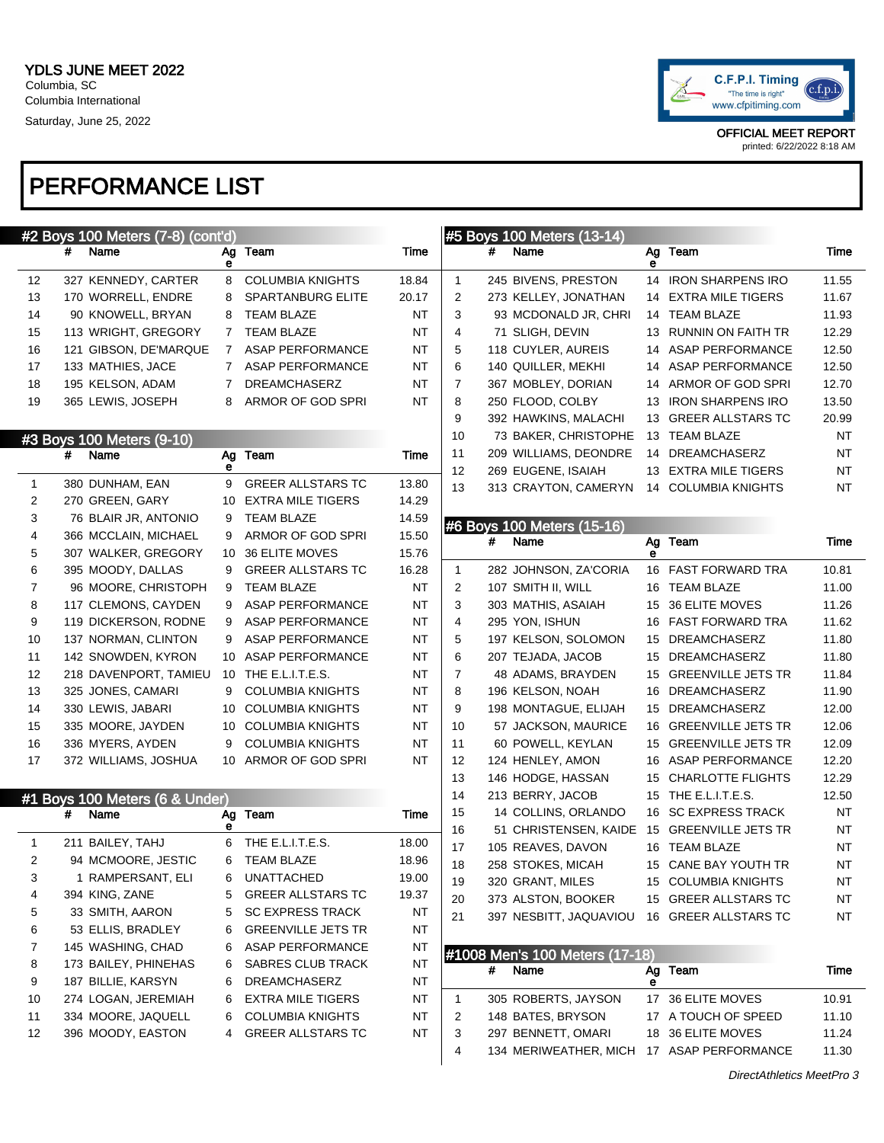

|              |   | #2 Boys 100 Meters (7-8) (cont'd)       |             |                                               |                |                |   | #5 Boys 100 Meters (13-14)     |    |                           |       |
|--------------|---|-----------------------------------------|-------------|-----------------------------------------------|----------------|----------------|---|--------------------------------|----|---------------------------|-------|
|              | # | Name                                    | Ag<br>е     | Team                                          | Time           |                | # | Name                           | е  | Ag Team                   | Time  |
| 12           |   | 327 KENNEDY, CARTER                     | 8           | <b>COLUMBIA KNIGHTS</b>                       | 18.84          | 1              |   | 245 BIVENS, PRESTON            |    | 14 IRON SHARPENS IRO      | 11.55 |
| 13           |   | 170 WORRELL, ENDRE                      | 8           | SPARTANBURG ELITE                             | 20.17          | 2              |   | 273 KELLEY, JONATHAN           | 14 | <b>EXTRA MILE TIGERS</b>  | 11.67 |
| 14           |   | 90 KNOWELL, BRYAN                       | 8           | <b>TEAM BLAZE</b>                             | ΝT             | 3              |   | 93 MCDONALD JR, CHRI           |    | 14 TEAM BLAZE             | 11.93 |
| 15           |   | 113 WRIGHT, GREGORY                     | 7           | <b>TEAM BLAZE</b>                             | <b>NT</b>      | 4              |   | 71 SLIGH, DEVIN                |    | 13 RUNNIN ON FAITH TR     | 12.29 |
| 16           |   | 121 GIBSON, DE'MARQUE                   | $7^{\circ}$ | ASAP PERFORMANCE                              | ΝT             | 5              |   | 118 CUYLER, AUREIS             | 14 | <b>ASAP PERFORMANCE</b>   | 12.50 |
| 17           |   | 133 MATHIES, JACE                       | 7           | ASAP PERFORMANCE                              | NT             | 6              |   | 140 QUILLER, MEKHI             | 14 | ASAP PERFORMANCE          | 12.50 |
| 18           |   | 195 KELSON, ADAM                        | 7           | <b>DREAMCHASERZ</b>                           | NT             | $\overline{7}$ |   | 367 MOBLEY, DORIAN             | 14 | ARMOR OF GOD SPRI         | 12.70 |
| 19           |   | 365 LEWIS, JOSEPH                       | 8           | ARMOR OF GOD SPRI                             | <b>NT</b>      | 8              |   | 250 FLOOD, COLBY               | 13 | <b>IRON SHARPENS IRO</b>  | 13.50 |
|              |   |                                         |             |                                               |                | 9              |   | 392 HAWKINS, MALACHI           |    | 13 GREER ALLSTARS TC      | 20.99 |
|              |   | #3 Boys 100 Meters (9-10)               |             |                                               |                | 10             |   | 73 BAKER, CHRISTOPHE           |    | 13 TEAM BLAZE             | NT    |
|              | # | Name                                    | Ag          | Team                                          | Time           | 11             |   | 209 WILLIAMS, DEONDRE          | 14 | DREAMCHASERZ              | NT    |
|              |   | 380 DUNHAM, EAN                         | е<br>9      | <b>GREER ALLSTARS TC</b>                      |                | 12             |   | 269 EUGENE, ISAIAH             |    | 13 EXTRA MILE TIGERS      | NT    |
| $\mathbf{1}$ |   |                                         |             |                                               | 13.80          | 13             |   | 313 CRAYTON, CAMERYN           |    | 14 COLUMBIA KNIGHTS       | NT    |
| 2<br>3       |   | 270 GREEN, GARY<br>76 BLAIR JR, ANTONIO | 10<br>9     | <b>EXTRA MILE TIGERS</b><br><b>TEAM BLAZE</b> | 14.29<br>14.59 |                |   |                                |    |                           |       |
| 4            |   | 366 MCCLAIN, MICHAEL                    | 9           | ARMOR OF GOD SPRI                             | 15.50          |                |   | #6 Boys 100 Meters (15-16)     |    |                           |       |
| 5            |   | 307 WALKER, GREGORY                     |             | 10 36 ELITE MOVES                             | 15.76          |                | # | Name                           | е  | Ag Team                   | Time  |
| 6            |   | 395 MOODY, DALLAS                       | 9           | <b>GREER ALLSTARS TC</b>                      | 16.28          | 1              |   | 282 JOHNSON, ZA'CORIA          |    | 16 FAST FORWARD TRA       | 10.81 |
| 7            |   | 96 MOORE, CHRISTOPH                     | 9           | <b>TEAM BLAZE</b>                             | ΝT             | 2              |   | 107 SMITH II, WILL             |    | 16 TEAM BLAZE             | 11.00 |
| 8            |   | 117 CLEMONS, CAYDEN                     | 9           | <b>ASAP PERFORMANCE</b>                       | ΝT             | 3              |   | 303 MATHIS, ASAIAH             | 15 | 36 ELITE MOVES            | 11.26 |
| 9            |   | 119 DICKERSON, RODNE                    | 9           | <b>ASAP PERFORMANCE</b>                       | NT             | 4              |   | 295 YON, ISHUN                 |    | 16 FAST FORWARD TRA       | 11.62 |
| 10           |   | 137 NORMAN, CLINTON                     | 9           | ASAP PERFORMANCE                              | NT             | 5              |   | 197 KELSON, SOLOMON            | 15 | <b>DREAMCHASERZ</b>       | 11.80 |
| 11           |   | 142 SNOWDEN, KYRON                      |             | 10 ASAP PERFORMANCE                           | NT             | 6              |   | 207 TEJADA, JACOB              | 15 | <b>DREAMCHASERZ</b>       | 11.80 |
| 12           |   | 218 DAVENPORT, TAMIEU                   |             | 10 THE E.L.I.T.E.S.                           | NT             | $\overline{7}$ |   | 48 ADAMS, BRAYDEN              | 15 | <b>GREENVILLE JETS TR</b> | 11.84 |
| 13           |   | 325 JONES, CAMARI                       | 9           | <b>COLUMBIA KNIGHTS</b>                       | NT             | 8              |   | 196 KELSON, NOAH               | 16 | <b>DREAMCHASERZ</b>       | 11.90 |
| 14           |   | 330 LEWIS, JABARI                       | 10          | <b>COLUMBIA KNIGHTS</b>                       | NT             | 9              |   | 198 MONTAGUE, ELIJAH           | 15 | <b>DREAMCHASERZ</b>       | 12.00 |
| 15           |   | 335 MOORE, JAYDEN                       |             | 10 COLUMBIA KNIGHTS                           | NT             | 10             |   | 57 JACKSON, MAURICE            |    | 16 GREENVILLE JETS TR     | 12.06 |
| 16           |   | 336 MYERS, AYDEN                        | 9           | <b>COLUMBIA KNIGHTS</b>                       | NT             | 11             |   | 60 POWELL, KEYLAN              |    | 15 GREENVILLE JETS TR     | 12.09 |
| 17           |   | 372 WILLIAMS, JOSHUA                    |             | 10 ARMOR OF GOD SPRI                          | ΝT             | 12             |   | 124 HENLEY, AMON               |    | 16 ASAP PERFORMANCE       | 12.20 |
|              |   |                                         |             |                                               |                | 13             |   | 146 HODGE, HASSAN              | 15 | <b>CHARLOTTE FLIGHTS</b>  | 12.29 |
|              |   | #1 Boys 100 Meters (6 & Under)          |             |                                               |                | 14             |   | 213 BERRY, JACOB               | 15 | THE E.L.I.T.E.S.          | 12.50 |
|              | # | Name                                    | Ag          | Team                                          | Time           | 15             |   | 14 COLLINS, ORLANDO            |    | 16 SC EXPRESS TRACK       | ΝT    |
|              |   |                                         | е           |                                               |                | 16             |   | 51 CHRISTENSEN, KAIDE          |    | 15 GREENVILLE JETS TR     | NT    |
| $\mathbf{1}$ |   | 211 BAILEY, TAHJ                        | 6           | THE E.L.I.T.E.S.                              | 18.00          | 17             |   | 105 REAVES, DAVON              |    | 16 TEAM BLAZE             | NT    |
| 2            |   | 94 MCMOORE, JESTIC                      | 6           | <b>TEAM BLAZE</b>                             | 18.96          | 18             |   | 258 STOKES, MICAH              |    | 15 CANE BAY YOUTH TR      | NT    |
| 3            |   | 1 RAMPERSANT, ELI                       | 6           | UNATTACHED                                    | 19.00          | 19             |   | 320 GRANT, MILES               |    | 15 COLUMBIA KNIGHTS       | NT    |
| 4            |   | 394 KING, ZANE                          | 5           | <b>GREER ALLSTARS TC</b>                      | 19.37          | 20             |   | 373 ALSTON, BOOKER             |    | 15 GREER ALLSTARS TC      | ΝT    |
| 5            |   | 33 SMITH, AARON                         | 5           | <b>SC EXPRESS TRACK</b>                       | NT             | 21             |   | 397 NESBITT, JAQUAVIOU         |    | 16 GREER ALLSTARS TC      | NT    |
| 6            |   | 53 ELLIS, BRADLEY                       | 6           | <b>GREENVILLE JETS TR</b>                     | ΝT             |                |   |                                |    |                           |       |
| 7            |   | 145 WASHING, CHAD                       | 6           | <b>ASAP PERFORMANCE</b>                       | <b>NT</b>      |                |   | #1008 Men's 100 Meters (17-18) |    |                           |       |
| 8            |   | 173 BAILEY, PHINEHAS                    | 6           | SABRES CLUB TRACK                             | <b>NT</b>      |                | # | Name                           |    | Ag Team                   | Time  |
| 9            |   | 187 BILLIE, KARSYN                      | 6           | <b>DREAMCHASERZ</b>                           | <b>NT</b>      |                |   |                                | е  |                           |       |
| 10           |   | 274 LOGAN, JEREMIAH                     | 6           | <b>EXTRA MILE TIGERS</b>                      | NT             | 1              |   | 305 ROBERTS, JAYSON            |    | 17 36 ELITE MOVES         | 10.91 |
| 11           |   | 334 MOORE, JAQUELL                      | 6           | <b>COLUMBIA KNIGHTS</b>                       | <b>NT</b>      | 2              |   | 148 BATES, BRYSON              |    | 17 A TOUCH OF SPEED       | 11.10 |
| 12           |   | 396 MOODY, EASTON                       | 4           | <b>GREER ALLSTARS TC</b>                      | <b>NT</b>      | 3              |   | 297 BENNETT, OMARI             |    | 18 36 ELITE MOVES         | 11.24 |
|              |   |                                         |             |                                               |                | 4              |   | 134 MERIWEATHER, MICH          |    | 17 ASAP PERFORMANCE       | 11.30 |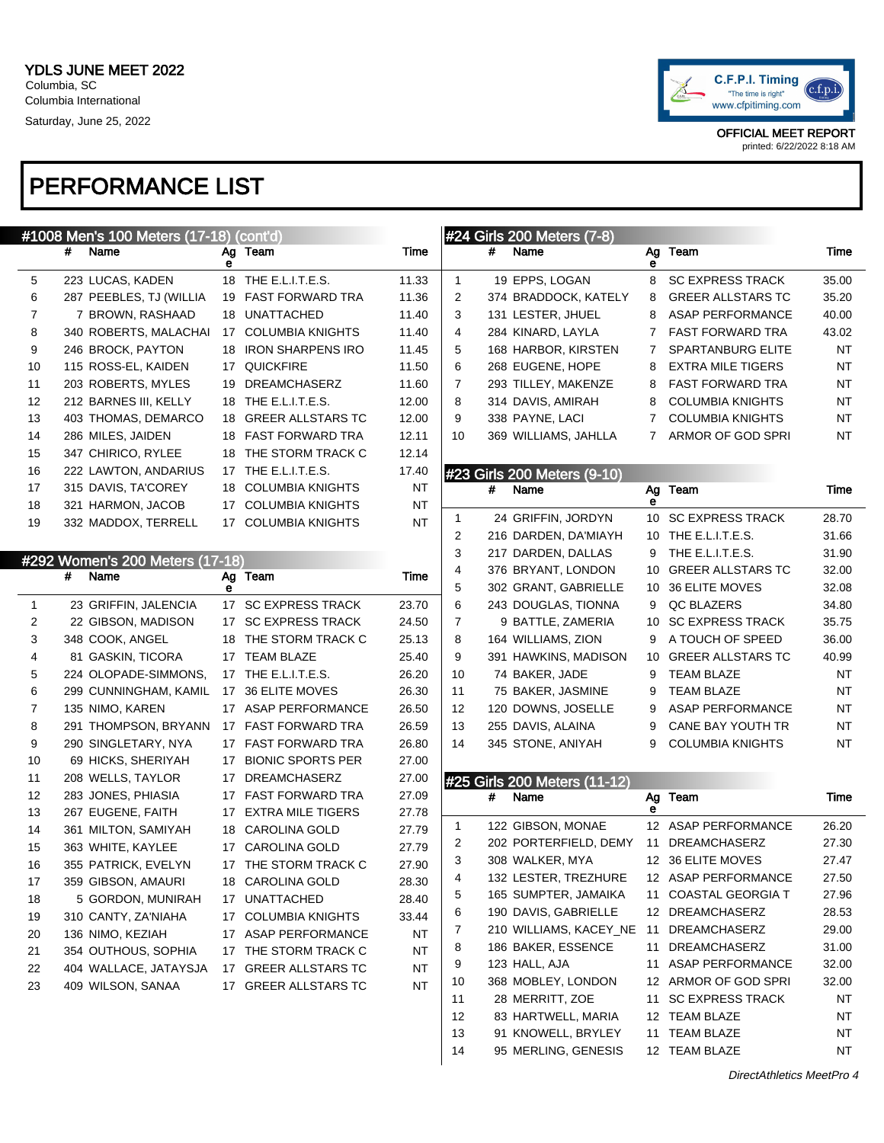

#### PERFORMANCE LIST

|              | #1008 Men's 100 Meters (17-18) (cont'd) |   |                      |           |    |   | #24 Girls 200 Meters (7-8)   |         |                          |           |
|--------------|-----------------------------------------|---|----------------------|-----------|----|---|------------------------------|---------|--------------------------|-----------|
|              | #<br>Name                               | е | Ag Team              | Time      |    | # | Name                         | Ag<br>е | Team                     | Time      |
| 5            | 223 LUCAS, KADEN                        |   | 18 THE E.L.I.T.E.S.  | 11.33     | 1  |   | 19 EPPS, LOGAN               | 8       | <b>SC EXPRESS TRACK</b>  | 35.00     |
| 6            | 287 PEEBLES, TJ (WILLIA                 |   | 19 FAST FORWARD TRA  | 11.36     | 2  |   | 374 BRADDOCK, KATELY         | 8       | <b>GREER ALLSTARS TC</b> | 35.20     |
| 7            | 7 BROWN, RASHAAD                        |   | 18 UNATTACHED        | 11.40     | 3  |   | 131 LESTER, JHUEL            | 8       | <b>ASAP PERFORMANCE</b>  | 40.00     |
| 8            | 340 ROBERTS, MALACHAI                   |   | 17 COLUMBIA KNIGHTS  | 11.40     | 4  |   | 284 KINARD, LAYLA            | 7       | <b>FAST FORWARD TRA</b>  | 43.02     |
| 9            | 246 BROCK, PAYTON                       |   | 18 IRON SHARPENS IRO | 11.45     | 5  |   | 168 HARBOR, KIRSTEN          | 7       | <b>SPARTANBURG ELITE</b> | <b>NT</b> |
| 10           | 115 ROSS-EL, KAIDEN                     |   | 17 QUICKFIRE         | 11.50     | 6  |   | 268 EUGENE, HOPE             | 8       | <b>EXTRA MILE TIGERS</b> | NT        |
| 11           | 203 ROBERTS, MYLES                      |   | 19 DREAMCHASERZ      | 11.60     | 7  |   | 293 TILLEY, MAKENZE          | 8       | <b>FAST FORWARD TRA</b>  | NT        |
| 12           | 212 BARNES III, KELLY                   |   | 18 THE E.L.I.T.E.S.  | 12.00     | 8  |   | 314 DAVIS, AMIRAH            | 8       | <b>COLUMBIA KNIGHTS</b>  | NT        |
| 13           | 403 THOMAS, DEMARCO                     |   | 18 GREER ALLSTARS TC | 12.00     | 9  |   | 338 PAYNE, LACI              | 7       | <b>COLUMBIA KNIGHTS</b>  | NT        |
| 14           | 286 MILES, JAIDEN                       |   | 18 FAST FORWARD TRA  | 12.11     | 10 |   | 369 WILLIAMS, JAHLLA         | 7       | ARMOR OF GOD SPRI        | NT        |
| 15           | 347 CHIRICO, RYLEE                      |   | 18 THE STORM TRACK C | 12.14     |    |   |                              |         |                          |           |
| 16           | 222 LAWTON, ANDARIUS                    |   | 17 THE E.L.I.T.E.S.  | 17.40     |    |   | #23 Girls 200 Meters (9-10)  |         |                          |           |
| 17           | 315 DAVIS, TA'COREY                     |   | 18 COLUMBIA KNIGHTS  | <b>NT</b> |    | # | Name                         | Ag      | Team                     | Time      |
| 18           | 321 HARMON, JACOB                       |   | 17 COLUMBIA KNIGHTS  | NT        |    |   |                              | е       |                          |           |
| 19           | 332 MADDOX, TERRELL                     |   | 17 COLUMBIA KNIGHTS  | ΝT        | 1  |   | 24 GRIFFIN, JORDYN           | 10      | <b>SC EXPRESS TRACK</b>  | 28.70     |
|              |                                         |   |                      |           | 2  |   | 216 DARDEN, DA'MIAYH         |         | 10 THE E.L.I.T.E.S.      | 31.66     |
|              | #292 Women's 200 Meters (17-18)         |   |                      |           | 3  |   | 217 DARDEN, DALLAS           | 9       | THE E.L.I.T.E.S.         | 31.90     |
|              | #<br>Name                               |   | Ag Team              | Time      | 4  |   | 376 BRYANT, LONDON           | 10      | <b>GREER ALLSTARS TC</b> | 32.00     |
|              |                                         | е |                      |           | 5  |   | 302 GRANT, GABRIELLE         | 10      | 36 ELITE MOVES           | 32.08     |
| $\mathbf{1}$ | 23 GRIFFIN, JALENCIA                    |   | 17 SC EXPRESS TRACK  | 23.70     | 6  |   | 243 DOUGLAS, TIONNA          | 9       | QC BLAZERS               | 34.80     |
| 2            | 22 GIBSON, MADISON                      |   | 17 SC EXPRESS TRACK  | 24.50     | 7  |   | 9 BATTLE, ZAMERIA            | 10      | <b>SC EXPRESS TRACK</b>  | 35.75     |
| 3            | 348 COOK, ANGEL                         |   | 18 THE STORM TRACK C | 25.13     | 8  |   | 164 WILLIAMS, ZION           | 9       | A TOUCH OF SPEED         | 36.00     |
| 4            | 81 GASKIN, TICORA                       |   | 17 TEAM BLAZE        | 25.40     | 9  |   | 391 HAWKINS, MADISON         | 10      | <b>GREER ALLSTARS TC</b> | 40.99     |
| 5            | 224 OLOPADE-SIMMONS,                    |   | 17 THE E.L.I.T.E.S.  | 26.20     | 10 |   | 74 BAKER, JADE               | 9       | <b>TEAM BLAZE</b>        | NT        |
| 6            | 299 CUNNINGHAM, KAMIL                   |   | 17 36 ELITE MOVES    | 26.30     | 11 |   | 75 BAKER, JASMINE            | 9       | <b>TEAM BLAZE</b>        | NT        |
| 7            | 135 NIMO, KAREN                         |   | 17 ASAP PERFORMANCE  | 26.50     | 12 |   | 120 DOWNS, JOSELLE           | 9       | <b>ASAP PERFORMANCE</b>  | NT        |
| 8            | 291 THOMPSON, BRYANN                    |   | 17 FAST FORWARD TRA  | 26.59     | 13 |   | 255 DAVIS, ALAINA            | 9       | CANE BAY YOUTH TR        | NT        |
| 9            | 290 SINGLETARY, NYA                     |   | 17 FAST FORWARD TRA  | 26.80     | 14 |   | 345 STONE, ANIYAH            | 9       | <b>COLUMBIA KNIGHTS</b>  | NT        |
| 10           | 69 HICKS, SHERIYAH                      |   | 17 BIONIC SPORTS PER | 27.00     |    |   |                              |         |                          |           |
| 11           | 208 WELLS, TAYLOR                       |   | 17 DREAMCHASERZ      | 27.00     |    |   | #25 Girls 200 Meters (11-12) |         |                          |           |
| 12           | 283 JONES, PHIASIA                      |   | 17 FAST FORWARD TRA  | 27.09     |    | # | Name                         | Ag      | Team                     | Time      |
| 13           | 267 EUGENE, FAITH                       |   | 17 EXTRA MILE TIGERS | 27.78     |    |   | 122 GIBSON, MONAE            | е       | 12 ASAP PERFORMANCE      | 26.20     |
| 14           | 361 MILTON, SAMIYAH                     |   | 18 CAROLINA GOLD     | 27.79     | 1  |   |                              |         |                          | 27.30     |
| 15           | 363 WHITE, KAYLEE                       |   | 17 CAROLINA GOLD     | 27.79     | 2  |   | 202 PORTERFIELD, DEMY        |         | 11 DREAMCHASERZ          | 27.47     |
| 16           | 355 PATRICK, EVELYN                     |   | 17 THE STORM TRACK C | 27.90     | 3  |   | 308 WALKER, MYA              |         | 12 36 ELITE MOVES        | 27.50     |
| 17           | 359 GIBSON, AMAURI                      |   | 18 CAROLINA GOLD     | 28.30     | 4  |   | 132 LESTER, TREZHURE         |         | 12 ASAP PERFORMANCE      |           |
| 18           | 5 GORDON, MUNIRAH                       |   | 17 UNATTACHED        | 28.40     | 5  |   | 165 SUMPTER, JAMAIKA         | 11      | <b>COASTAL GEORGIA T</b> | 27.96     |
| 19           | 310 CANTY, ZA'NIAHA                     |   | 17 COLUMBIA KNIGHTS  | 33.44     | 6  |   | 190 DAVIS, GABRIELLE         |         | 12 DREAMCHASERZ          | 28.53     |
| 20           | 136 NIMO, KEZIAH                        |   | 17 ASAP PERFORMANCE  | ΝT        | 7  |   | 210 WILLIAMS, KACEY_NE       | 11      | DREAMCHASERZ             | 29.00     |
| 21           | 354 OUTHOUS, SOPHIA                     |   | 17 THE STORM TRACK C | ΝT        | 8  |   | 186 BAKER, ESSENCE           | 11      | DREAMCHASERZ             | 31.00     |
| 22           | 404 WALLACE, JATAYSJA                   |   | 17 GREER ALLSTARS TC | ΝT        | 9  |   | 123 HALL, AJA                | 11      | <b>ASAP PERFORMANCE</b>  | 32.00     |
| 23           | 409 WILSON, SANAA                       |   | 17 GREER ALLSTARS TC | NT        | 10 |   | 368 MOBLEY, LONDON           |         | 12 ARMOR OF GOD SPRI     | 32.00     |
|              |                                         |   |                      |           | 11 |   | 28 MERRITT, ZOE              |         | 11 SC EXPRESS TRACK      | NT        |

12 83 HARTWELL, MARIA 12 TEAM BLAZE NT 13 91 KNOWELL, BRYLEY 11 TEAM BLAZE NT 14 95 MERLING, GENESIS 12 TEAM BLAZE NT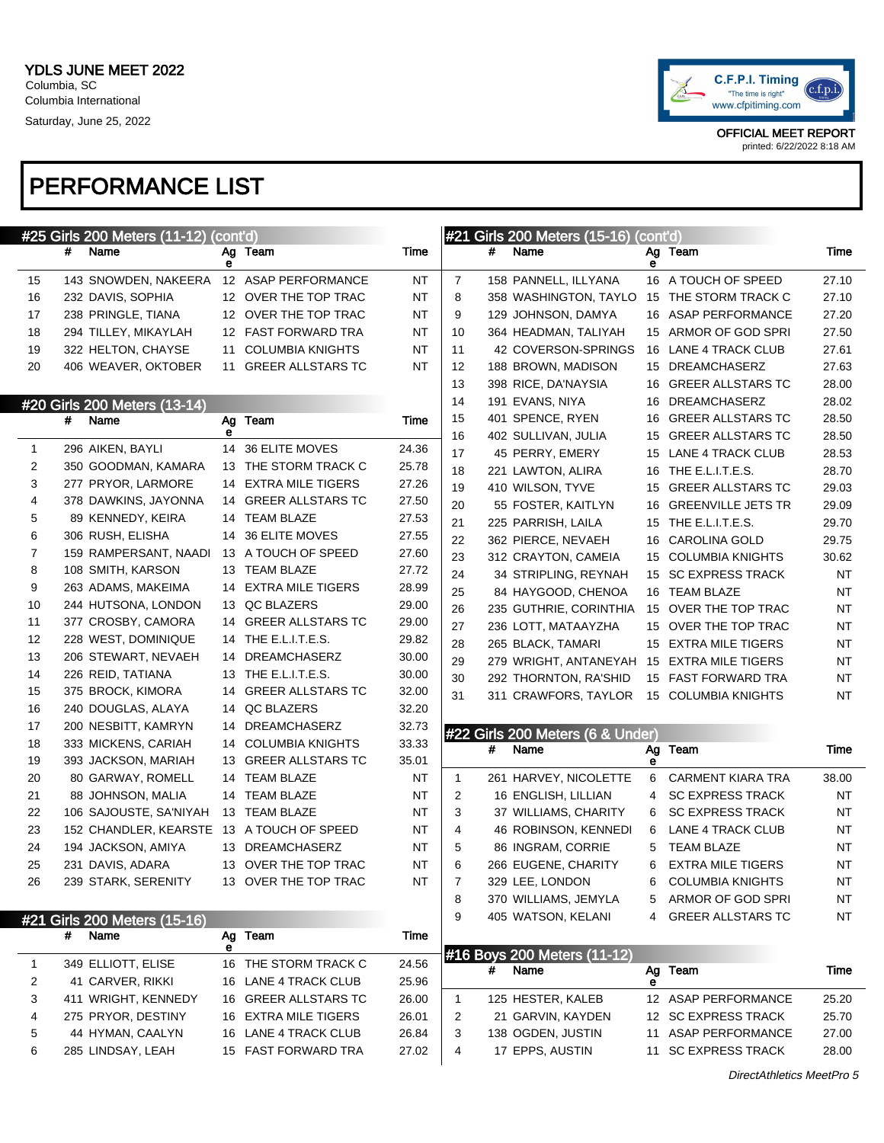

#### PERFORMANCE LIST

|              |   | #25 Girls 200 Meters (11-12) (cont'd) |         |                          |           |                |   | #21 Girls 200 Meters (15-16)     | (cont'd) |                           |           |
|--------------|---|---------------------------------------|---------|--------------------------|-----------|----------------|---|----------------------------------|----------|---------------------------|-----------|
|              | # | Name                                  | е       | Ag Team                  | Time      |                | # | Name                             | е        | Ag Team                   | Time      |
| 15           |   | 143 SNOWDEN, NAKEERA                  |         | 12 ASAP PERFORMANCE      | NT        | $\overline{7}$ |   | 158 PANNELL, ILLYANA             |          | 16 A TOUCH OF SPEED       | 27.10     |
| 16           |   | 232 DAVIS, SOPHIA                     |         | 12 OVER THE TOP TRAC     | NT        | 8              |   | 358 WASHINGTON, TAYLO            |          | 15 THE STORM TRACK C      | 27.10     |
| 17           |   | 238 PRINGLE, TIANA                    |         | 12 OVER THE TOP TRAC     | NT        | 9              |   | 129 JOHNSON, DAMYA               |          | 16 ASAP PERFORMANCE       | 27.20     |
| 18           |   | 294 TILLEY, MIKAYLAH                  |         | 12 FAST FORWARD TRA      | NT        | 10             |   | 364 HEADMAN, TALIYAH             |          | 15 ARMOR OF GOD SPRI      | 27.50     |
| 19           |   | 322 HELTON, CHAYSE                    |         | 11 COLUMBIA KNIGHTS      | NT        | 11             |   | 42 COVERSON-SPRINGS              |          | 16 LANE 4 TRACK CLUB      | 27.61     |
| 20           |   | 406 WEAVER, OKTOBER                   |         | 11 GREER ALLSTARS TC     | <b>NT</b> | 12             |   | 188 BROWN, MADISON               |          | 15 DREAMCHASERZ           | 27.63     |
|              |   |                                       |         |                          |           | 13             |   | 398 RICE, DA'NAYSIA              |          | 16 GREER ALLSTARS TC      | 28.00     |
|              |   | #20 Girls 200 Meters (13-14)          |         |                          |           | 14             |   | 191 EVANS, NIYA                  |          | 16 DREAMCHASERZ           | 28.02     |
|              | # | Name                                  | Ag      | Team                     | Time      | 15             |   | 401 SPENCE, RYEN                 |          | 16 GREER ALLSTARS TC      | 28.50     |
|              |   |                                       | е       |                          |           | 16             |   | 402 SULLIVAN, JULIA              |          | 15 GREER ALLSTARS TC      | 28.50     |
| $\mathbf{1}$ |   | 296 AIKEN, BAYLI                      |         | 14 36 ELITE MOVES        | 24.36     | 17             |   | 45 PERRY, EMERY                  |          | 15 LANE 4 TRACK CLUB      | 28.53     |
| 2            |   | 350 GOODMAN, KAMARA                   |         | 13 THE STORM TRACK C     | 25.78     | 18             |   | 221 LAWTON, ALIRA                |          | 16 THE E.L.I.T.E.S.       | 28.70     |
| 3            |   | 277 PRYOR, LARMORE                    |         | 14 EXTRA MILE TIGERS     | 27.26     | 19             |   | 410 WILSON, TYVE                 | 15       | <b>GREER ALLSTARS TC</b>  | 29.03     |
| 4            |   | 378 DAWKINS, JAYONNA                  |         | 14 GREER ALLSTARS TC     | 27.50     | 20             |   | 55 FOSTER, KAITLYN               | 16       | <b>GREENVILLE JETS TR</b> | 29.09     |
| 5            |   | 89 KENNEDY, KEIRA                     |         | 14 TEAM BLAZE            | 27.53     | 21             |   | 225 PARRISH, LAILA               |          | 15 THE E.L.I.T.E.S.       | 29.70     |
| 6            |   | 306 RUSH, ELISHA                      |         | 14 36 ELITE MOVES        | 27.55     | 22             |   | 362 PIERCE, NEVAEH               |          | 16 CAROLINA GOLD          | 29.75     |
| 7            |   | 159 RAMPERSANT, NAADI                 |         | 13 A TOUCH OF SPEED      | 27.60     | 23             |   | 312 CRAYTON, CAMEIA              |          | 15 COLUMBIA KNIGHTS       | 30.62     |
| 8            |   | 108 SMITH, KARSON                     |         | 13 TEAM BLAZE            | 27.72     | 24             |   | 34 STRIPLING, REYNAH             |          | 15 SC EXPRESS TRACK       | <b>NT</b> |
| 9            |   | 263 ADAMS, MAKEIMA                    |         | 14 EXTRA MILE TIGERS     | 28.99     | 25             |   | 84 HAYGOOD, CHENOA               |          | 16 TEAM BLAZE             | NT        |
| 10           |   | 244 HUTSONA, LONDON                   |         | 13 QC BLAZERS            | 29.00     | 26             |   | 235 GUTHRIE, CORINTHIA           |          | 15 OVER THE TOP TRAC      | NT        |
| 11           |   | 377 CROSBY, CAMORA                    |         | 14 GREER ALLSTARS TC     | 29.00     | 27             |   | 236 LOTT, MATAAYZHA              |          | 15 OVER THE TOP TRAC      | NT        |
| 12           |   | 228 WEST, DOMINIQUE                   |         | 14 THE E.L.I.T.E.S.      | 29.82     | 28             |   | 265 BLACK, TAMARI                |          | 15 EXTRA MILE TIGERS      | NT        |
| 13           |   | 206 STEWART, NEVAEH                   |         | 14 DREAMCHASERZ          | 30.00     | 29             |   | 279 WRIGHT, ANTANEYAH            |          | 15 EXTRA MILE TIGERS      | NT        |
| 14           |   | 226 REID, TATIANA                     |         | 13 THE E.L.I.T.E.S.      | 30.00     | 30             |   | 292 THORNTON, RA'SHID            |          | 15 FAST FORWARD TRA       | NT        |
| 15           |   | 375 BROCK, KIMORA                     | 14      | <b>GREER ALLSTARS TC</b> | 32.00     | 31             |   | 311 CRAWFORS, TAYLOR             |          | 15 COLUMBIA KNIGHTS       | NT        |
| 16           |   | 240 DOUGLAS, ALAYA                    |         | 14 QC BLAZERS            | 32.20     |                |   |                                  |          |                           |           |
| 17           |   | 200 NESBITT, KAMRYN                   | 14      | DREAMCHASERZ             | 32.73     |                |   | #22 Girls 200 Meters (6 & Under) |          |                           |           |
| 18           |   | 333 MICKENS, CARIAH                   |         | 14 COLUMBIA KNIGHTS      | 33.33     |                | # | Name                             | Ag       | Team                      | Time      |
| 19           |   | 393 JACKSON, MARIAH                   | 13      | <b>GREER ALLSTARS TC</b> | 35.01     |                |   |                                  | е        |                           |           |
| 20           |   | 80 GARWAY, ROMELL                     | 14      | TEAM BLAZE               | NT        | $\mathbf{1}$   |   | 261 HARVEY, NICOLETTE            | 6        | <b>CARMENT KIARA TRA</b>  | 38.00     |
| 21           |   | 88 JOHNSON, MALIA                     | 14      | TEAM BLAZE               | NT        | $\overline{2}$ |   | 16 ENGLISH, LILLIAN              | 4        | <b>SC EXPRESS TRACK</b>   | ΝT        |
| 22           |   | 106 SAJOUSTE, SA'NIYAH                |         | 13 TEAM BLAZE            | NT        | 3              |   | 37 WILLIAMS, CHARITY             | 6        | <b>SC EXPRESS TRACK</b>   | NT        |
| 23           |   | 152 CHANDLER, KEARSTE                 |         | 13 A TOUCH OF SPEED      | NT        | 4              |   | 46 ROBINSON, KENNEDI             | 6        | <b>LANE 4 TRACK CLUB</b>  | NT        |
| 24           |   | 194 JACKSON, AMIYA                    |         | 13 DREAMCHASERZ          | NT        | 5              |   | 86 INGRAM, CORRIE                | 5        | <b>TEAM BLAZE</b>         | <b>NT</b> |
| 25           |   | 231 DAVIS, ADARA                      |         | 13 OVER THE TOP TRAC     | ΝT        | 6              |   | 266 EUGENE, CHARITY              | 6        | <b>EXTRA MILE TIGERS</b>  | NT        |
| 26           |   | 239 STARK, SERENITY                   |         | 13 OVER THE TOP TRAC     | NT        | 7              |   | 329 LEE, LONDON                  | 6        | <b>COLUMBIA KNIGHTS</b>   | NT        |
|              |   |                                       |         |                          |           | 8              |   | 370 WILLIAMS, JEMYLA             | 5        | ARMOR OF GOD SPRI         | NT        |
|              |   | #21 Girls 200 Meters (15-16)          |         |                          |           | 9              |   | 405 WATSON, KELANI               | 4        | <b>GREER ALLSTARS TC</b>  | NT        |
|              | # | Name                                  | Ag<br>е | Team                     | Time      |                |   | #16 Boys 200 Meters (11-12)      |          |                           |           |
| $\mathbf{1}$ |   | 349 ELLIOTT, ELISE                    |         | 16 THE STORM TRACK C     | 24.56     |                | # | Name                             |          | Ag Team                   | Time      |
| 2            |   | 41 CARVER, RIKKI                      |         | 16 LANE 4 TRACK CLUB     | 25.96     |                |   |                                  | е        |                           |           |
| 3            |   | 411 WRIGHT, KENNEDY                   |         | 16 GREER ALLSTARS TC     | 26.00     | $\mathbf{1}$   |   | 125 HESTER, KALEB                |          | 12 ASAP PERFORMANCE       | 25.20     |
| 4            |   | 275 PRYOR, DESTINY                    |         | 16 EXTRA MILE TIGERS     | 26.01     | 2              |   | 21 GARVIN, KAYDEN                |          | 12 SC EXPRESS TRACK       | 25.70     |
| 5            |   | 44 HYMAN, CAALYN                      |         | 16 LANE 4 TRACK CLUB     | 26.84     | 3              |   | 138 OGDEN, JUSTIN                |          | 11 ASAP PERFORMANCE       | 27.00     |
| 6            |   | 285 LINDSAY, LEAH                     |         | 15 FAST FORWARD TRA      | 27.02     | 4              |   | 17 EPPS, AUSTIN                  |          | 11 SC EXPRESS TRACK       | 28.00     |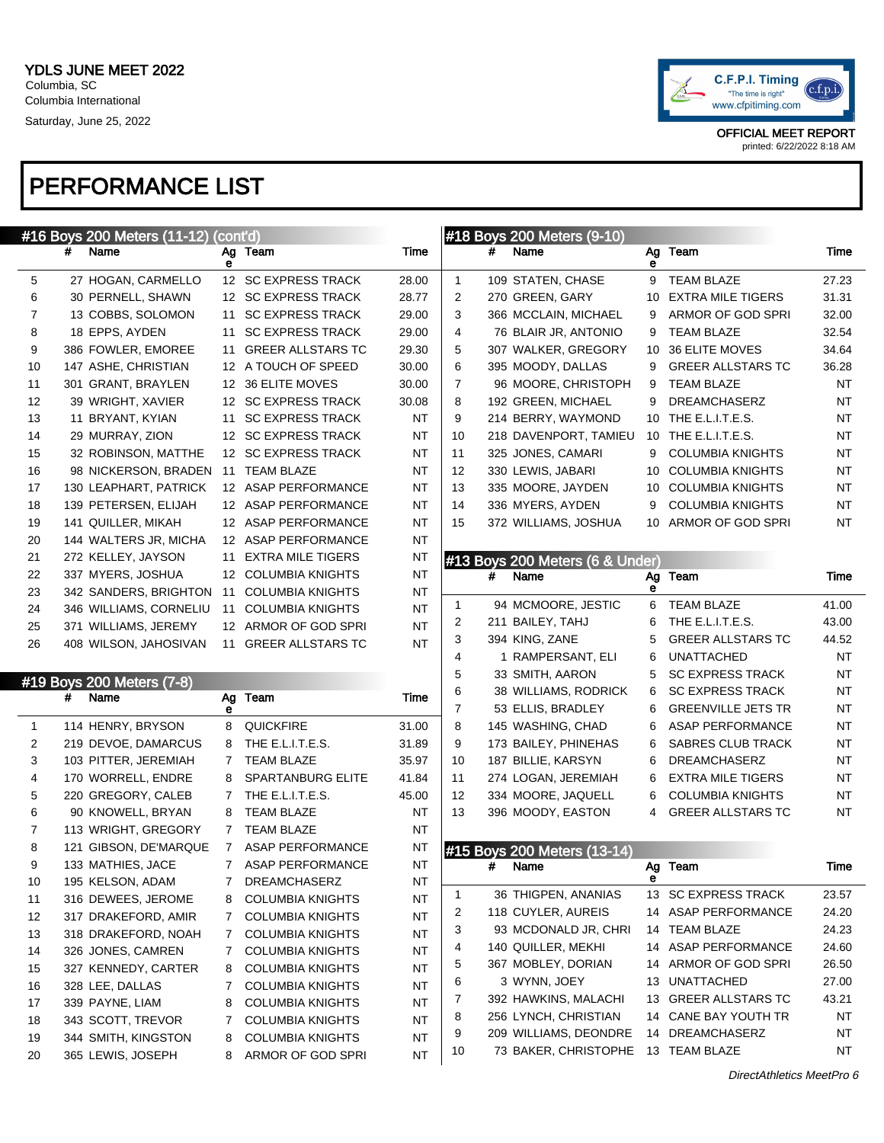

#### PERFORMANCE LIST

|              |   | #16 Boys 200 Meters (11-12) (cont'd) |    |                          |           |                |   | #18 Boys 200 Meters (9-10)      |    |                           |           |
|--------------|---|--------------------------------------|----|--------------------------|-----------|----------------|---|---------------------------------|----|---------------------------|-----------|
|              | # | Name                                 | е  | Ag Team                  | Time      |                | # | Name                            | е  | Ag Team                   | Time      |
| 5            |   | 27 HOGAN, CARMELLO                   |    | 12 SC EXPRESS TRACK      | 28.00     | $\mathbf{1}$   |   | 109 STATEN, CHASE               | 9  | <b>TEAM BLAZE</b>         | 27.23     |
| 6            |   | 30 PERNELL, SHAWN                    |    | 12 SC EXPRESS TRACK      | 28.77     | 2              |   | 270 GREEN, GARY                 | 10 | <b>EXTRA MILE TIGERS</b>  | 31.31     |
| 7            |   | 13 COBBS, SOLOMON                    | 11 | <b>SC EXPRESS TRACK</b>  | 29.00     | 3              |   | 366 MCCLAIN, MICHAEL            | 9  | ARMOR OF GOD SPRI         | 32.00     |
| 8            |   | 18 EPPS, AYDEN                       | 11 | <b>SC EXPRESS TRACK</b>  | 29.00     | 4              |   | 76 BLAIR JR, ANTONIO            | 9  | <b>TEAM BLAZE</b>         | 32.54     |
| 9            |   | 386 FOWLER, EMOREE                   | 11 | <b>GREER ALLSTARS TC</b> | 29.30     | 5              |   | 307 WALKER, GREGORY             | 10 | 36 ELITE MOVES            | 34.64     |
| 10           |   | 147 ASHE, CHRISTIAN                  |    | 12 A TOUCH OF SPEED      | 30.00     | 6              |   | 395 MOODY, DALLAS               | 9  | <b>GREER ALLSTARS TC</b>  | 36.28     |
| 11           |   | 301 GRANT, BRAYLEN                   |    | 12 36 ELITE MOVES        | 30.00     | $\overline{7}$ |   | 96 MOORE, CHRISTOPH             | 9  | <b>TEAM BLAZE</b>         | NT        |
| 12           |   | 39 WRIGHT, XAVIER                    |    | 12 SC EXPRESS TRACK      | 30.08     | 8              |   | 192 GREEN, MICHAEL              | 9  | <b>DREAMCHASERZ</b>       | NT        |
| 13           |   | 11 BRYANT, KYIAN                     | 11 | <b>SC EXPRESS TRACK</b>  | <b>NT</b> | 9              |   | 214 BERRY, WAYMOND              |    | 10 THE E.L.I.T.E.S.       | ΝT        |
| 14           |   | 29 MURRAY, ZION                      |    | 12 SC EXPRESS TRACK      | NT        | 10             |   | 218 DAVENPORT, TAMIEU           |    | 10 THE E.L.I.T.E.S.       | NT        |
| 15           |   | 32 ROBINSON, MATTHE                  |    | 12 SC EXPRESS TRACK      | NT        | 11             |   | 325 JONES, CAMARI               | 9  | <b>COLUMBIA KNIGHTS</b>   | NT        |
| 16           |   | 98 NICKERSON, BRADEN                 |    | 11 TEAM BLAZE            | NT        | 12             |   | 330 LEWIS, JABARI               | 10 | <b>COLUMBIA KNIGHTS</b>   | NT        |
| 17           |   | 130 LEAPHART, PATRICK                |    | 12 ASAP PERFORMANCE      | NT        | 13             |   | 335 MOORE, JAYDEN               | 10 | <b>COLUMBIA KNIGHTS</b>   | NT        |
| 18           |   | 139 PETERSEN, ELIJAH                 |    | 12 ASAP PERFORMANCE      | NT        | 14             |   | 336 MYERS, AYDEN                | 9  | <b>COLUMBIA KNIGHTS</b>   | <b>NT</b> |
| 19           |   | 141 QUILLER, MIKAH                   |    | 12 ASAP PERFORMANCE      | NT        | 15             |   | 372 WILLIAMS, JOSHUA            | 10 | ARMOR OF GOD SPRI         | NT        |
| 20           |   | 144 WALTERS JR, MICHA                |    | 12 ASAP PERFORMANCE      | <b>NT</b> |                |   |                                 |    |                           |           |
| 21           |   | 272 KELLEY, JAYSON                   | 11 | <b>EXTRA MILE TIGERS</b> | <b>NT</b> |                |   | #13 Boys 200 Meters (6 & Under) |    |                           |           |
| 22           |   | 337 MYERS, JOSHUA                    |    | 12 COLUMBIA KNIGHTS      | <b>NT</b> |                | # | Name                            | Ag | Team                      | Time      |
| 23           |   | 342 SANDERS, BRIGHTON                | 11 | <b>COLUMBIA KNIGHTS</b>  | <b>NT</b> |                |   |                                 | е  |                           |           |
| 24           |   | 346 WILLIAMS, CORNELIU               | 11 | <b>COLUMBIA KNIGHTS</b>  | <b>NT</b> | 1              |   | 94 MCMOORE, JESTIC              | 6  | <b>TEAM BLAZE</b>         | 41.00     |
| 25           |   | 371 WILLIAMS, JEREMY                 |    | 12 ARMOR OF GOD SPRI     | <b>NT</b> | $\overline{2}$ |   | 211 BAILEY, TAHJ                | 6  | THE E.L.I.T.E.S.          | 43.00     |
| 26           |   | 408 WILSON, JAHOSIVAN                |    | 11 GREER ALLSTARS TC     | <b>NT</b> | 3              |   | 394 KING, ZANE                  | 5  | <b>GREER ALLSTARS TC</b>  | 44.52     |
|              |   |                                      |    |                          |           | 4              |   | 1 RAMPERSANT, ELI               | 6  | <b>UNATTACHED</b>         | NT        |
|              |   | #19 Boys 200 Meters (7-8)            |    |                          |           | 5              |   | 33 SMITH, AARON                 | 5  | <b>SC EXPRESS TRACK</b>   | NT        |
|              | # | Name                                 |    | Ag Team                  | Time      | 6              |   | 38 WILLIAMS, RODRICK            | 6  | <b>SC EXPRESS TRACK</b>   | NT        |
|              |   |                                      | е  |                          |           | $\overline{7}$ |   | 53 ELLIS, BRADLEY               | 6  | <b>GREENVILLE JETS TR</b> | ΝT        |
| $\mathbf{1}$ |   | 114 HENRY, BRYSON                    | 8  | <b>QUICKFIRE</b>         | 31.00     | 8              |   | 145 WASHING, CHAD               | 6  | ASAP PERFORMANCE          | ΝT        |
| 2            |   | 219 DEVOE, DAMARCUS                  | 8  | THE E.L.I.T.E.S.         | 31.89     | 9              |   | 173 BAILEY, PHINEHAS            | 6  | SABRES CLUB TRACK         | NT        |
| 3            |   | 103 PITTER, JEREMIAH                 | 7  | <b>TEAM BLAZE</b>        | 35.97     | 10             |   | 187 BILLIE, KARSYN              | 6  | <b>DREAMCHASERZ</b>       | ΝT        |
| 4            |   | 170 WORRELL, ENDRE                   | 8  | SPARTANBURG ELITE        | 41.84     | 11             |   | 274 LOGAN, JEREMIAH             | 6  | EXTRA MILE TIGERS         | NT        |
| 5            |   | 220 GREGORY, CALEB                   | 7  | THE E.L.I.T.E.S.         | 45.00     | 12             |   | 334 MOORE, JAQUELL              | 6  | <b>COLUMBIA KNIGHTS</b>   | <b>NT</b> |
| 6            |   | 90 KNOWELL, BRYAN                    | 8  | <b>TEAM BLAZE</b>        | NT        | 13             |   | 396 MOODY, EASTON               | 4  | <b>GREER ALLSTARS TC</b>  | NT        |
| 7            |   | 113 WRIGHT, GREGORY                  |    | 7 TEAM BLAZE             | <b>NT</b> |                |   |                                 |    |                           |           |
| 8            |   | 121 GIBSON, DE'MARQUE                |    | 7 ASAP PERFORMANCE       | <b>NT</b> |                |   | #15 Boys 200 Meters (13-14)     |    |                           |           |
| 9            |   | 133 MATHIES, JACE                    |    | 7 ASAP PERFORMANCE       | <b>NT</b> |                | # | Name                            |    | Ag Team                   | Time      |
| 10           |   | 195 KELSON, ADAM                     |    | DREAMCHASERZ             | ΝT        |                |   |                                 |    |                           |           |
| 11           |   | 316 DEWEES, JEROME                   | 8  | <b>COLUMBIA KNIGHTS</b>  | NT        | $\mathbf{1}$   |   | 36 THIGPEN, ANANIAS             |    | 13 SC EXPRESS TRACK       | 23.57     |
| 12           |   | 317 DRAKEFORD, AMIR                  | 7  | <b>COLUMBIA KNIGHTS</b>  | NT        | 2              |   | 118 CUYLER, AUREIS              |    | 14 ASAP PERFORMANCE       | 24.20     |
| 13           |   | 318 DRAKEFORD, NOAH                  | 7  | <b>COLUMBIA KNIGHTS</b>  | NT        | 3              |   | 93 MCDONALD JR, CHRI            |    | 14 TEAM BLAZE             | 24.23     |
| 14           |   | 326 JONES, CAMREN                    | 7  | <b>COLUMBIA KNIGHTS</b>  | NT        | 4              |   | 140 QUILLER, MEKHI              |    | 14 ASAP PERFORMANCE       | 24.60     |
| 15           |   | 327 KENNEDY, CARTER                  | 8  | <b>COLUMBIA KNIGHTS</b>  | NT        | 5              |   | 367 MOBLEY, DORIAN              |    | 14 ARMOR OF GOD SPRI      | 26.50     |
| 16           |   | 328 LEE, DALLAS                      | 7  | <b>COLUMBIA KNIGHTS</b>  | NT        | 6              |   | 3 WYNN, JOEY                    | 13 | UNATTACHED                | 27.00     |
| 17           |   | 339 PAYNE, LIAM                      | 8  | <b>COLUMBIA KNIGHTS</b>  | ΝT        | 7              |   | 392 HAWKINS, MALACHI            | 13 | <b>GREER ALLSTARS TC</b>  | 43.21     |
| 18           |   | 343 SCOTT, TREVOR                    | 7  | <b>COLUMBIA KNIGHTS</b>  | <b>NT</b> | 8              |   | 256 LYNCH, CHRISTIAN            |    | 14 CANE BAY YOUTH TR      | NΤ        |
| 19           |   | 344 SMITH, KINGSTON                  | 8  | <b>COLUMBIA KNIGHTS</b>  | <b>NT</b> | 9              |   | 209 WILLIAMS, DEONDRE           |    | 14 DREAMCHASERZ           | NT        |
| 20           |   | 365 LEWIS, JOSEPH                    | 8  | ARMOR OF GOD SPRI        | <b>NT</b> | 10             |   | 73 BAKER, CHRISTOPHE            |    | 13 TEAM BLAZE             | NT        |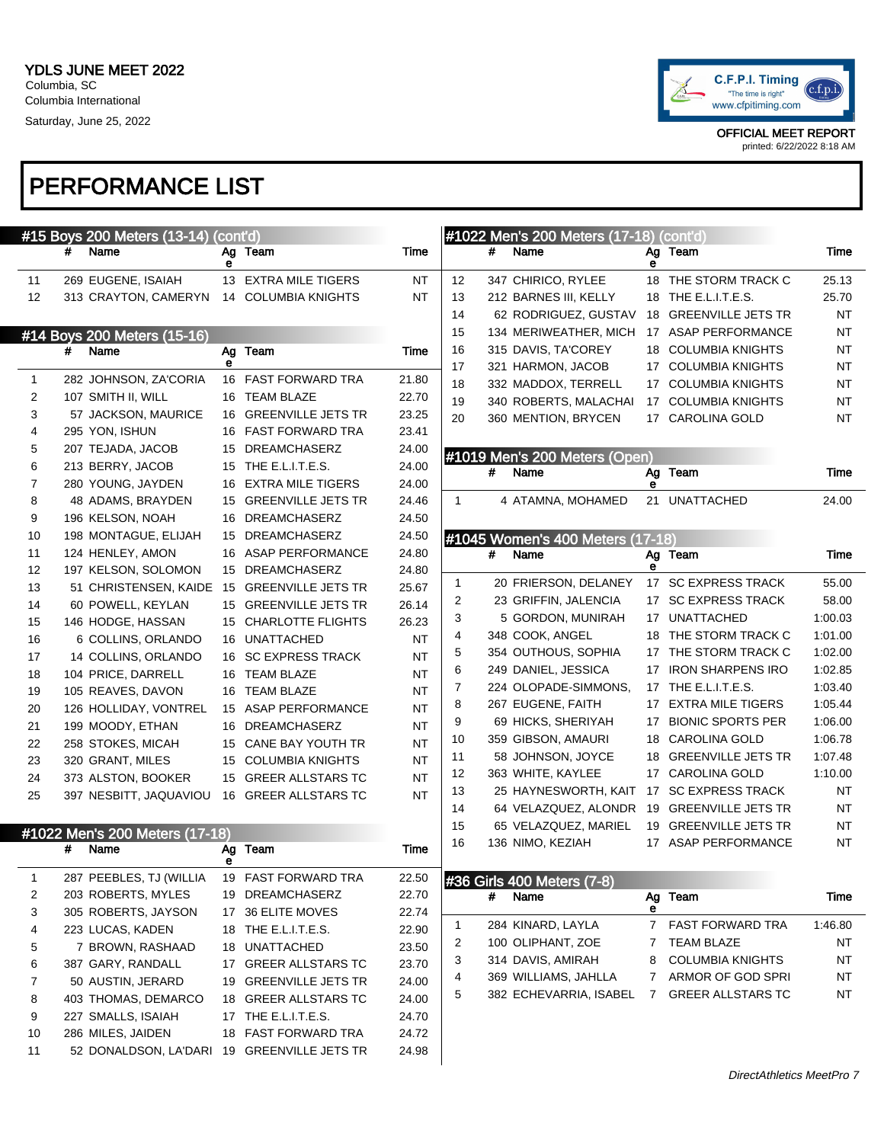

|          | #15 Boys 200 Meters (13-14)                 | (cont'd) |                                        |                |              |   | #1022 Men's 200 Meters (17-18) (cont'd) |                  |                                              |             |
|----------|---------------------------------------------|----------|----------------------------------------|----------------|--------------|---|-----------------------------------------|------------------|----------------------------------------------|-------------|
|          | #<br>Name                                   | е        | Ag Team                                | Time           |              | # | Name                                    | е                | Ag Team                                      | Time        |
| 11       | 269 EUGENE, ISAIAH                          |          | 13 EXTRA MILE TIGERS                   | NT             | 12           |   | 347 CHIRICO, RYLEE                      |                  | 18 THE STORM TRACK C                         | 25.13       |
| 12       | 313 CRAYTON, CAMERYN                        |          | 14 COLUMBIA KNIGHTS                    | <b>NT</b>      | 13           |   | 212 BARNES III, KELLY                   |                  | 18 THE E.L.I.T.E.S.                          | 25.70       |
|          |                                             |          |                                        |                | 14           |   | 62 RODRIGUEZ, GUSTAV                    |                  | 18 GREENVILLE JETS TR                        | NT          |
|          | #14 Boys 200 Meters (15-16)                 |          |                                        |                | 15           |   | 134 MERIWEATHER, MICH                   |                  | 17 ASAP PERFORMANCE                          | NT          |
|          | #<br>Name                                   |          | Ag Team                                | Time           | 16           |   | 315 DAVIS, TA'COREY                     |                  | 18 COLUMBIA KNIGHTS                          | NT          |
|          |                                             | е        |                                        |                | 17           |   | 321 HARMON, JACOB                       | 17               | <b>COLUMBIA KNIGHTS</b>                      | NT          |
| 1        | 282 JOHNSON, ZA'CORIA                       |          | 16 FAST FORWARD TRA                    | 21.80          | 18           |   | 332 MADDOX, TERRELL                     |                  | 17 COLUMBIA KNIGHTS                          | NT          |
| 2        | 107 SMITH II, WILL                          |          | 16 TEAM BLAZE                          | 22.70          | 19           |   | 340 ROBERTS, MALACHAI                   |                  | 17 COLUMBIA KNIGHTS                          | NT          |
| 3        | 57 JACKSON, MAURICE                         |          | 16 GREENVILLE JETS TR                  | 23.25          | 20           |   | 360 MENTION, BRYCEN                     |                  | 17 CAROLINA GOLD                             | NT          |
| 4        | 295 YON, ISHUN                              |          | 16 FAST FORWARD TRA                    | 23.41          |              |   |                                         |                  |                                              |             |
| 5        | 207 TEJADA, JACOB                           |          | 15 DREAMCHASERZ                        | 24.00          |              |   | #1019 Men's 200 Meters (Open)           |                  |                                              |             |
| 6        | 213 BERRY, JACOB                            |          | 15 THE E.L.I.T.E.S.                    | 24.00          |              | # | Name                                    |                  | Ag Team                                      | Time        |
| 7        | 280 YOUNG, JAYDEN                           | 16       | <b>EXTRA MILE TIGERS</b>               | 24.00          |              |   |                                         | е                |                                              |             |
| 8        | 48 ADAMS, BRAYDEN                           |          | 15 GREENVILLE JETS TR                  | 24.46          | $\mathbf{1}$ |   | 4 ATAMNA, MOHAMED                       | 21               | <b>UNATTACHED</b>                            | 24.00       |
| 9        | 196 KELSON, NOAH                            |          | 16 DREAMCHASERZ                        | 24.50          |              |   |                                         |                  |                                              |             |
| 10       | 198 MONTAGUE, ELIJAH                        |          | 15 DREAMCHASERZ                        | 24.50          |              |   | #1045 Women's 400 Meters (17-18)        |                  |                                              |             |
| 11       | 124 HENLEY, AMON<br>197 KELSON, SOLOMON     |          | 16 ASAP PERFORMANCE<br>15 DREAMCHASERZ | 24.80<br>24.80 |              | # | Name                                    | $\bullet$        | Ag Team                                      | Time        |
| 12<br>13 | 51 CHRISTENSEN, KAIDE                       |          | 15 GREENVILLE JETS TR                  | 25.67          | 1            |   | 20 FRIERSON, DELANEY                    |                  | 17 SC EXPRESS TRACK                          | 55.00       |
| 14       | 60 POWELL, KEYLAN                           |          | 15 GREENVILLE JETS TR                  | 26.14          | 2            |   | 23 GRIFFIN, JALENCIA                    |                  | 17 SC EXPRESS TRACK                          | 58.00       |
| 15       | 146 HODGE, HASSAN                           |          | 15 CHARLOTTE FLIGHTS                   | 26.23          | 3            |   | 5 GORDON, MUNIRAH                       |                  | 17 UNATTACHED                                | 1:00.03     |
| 16       | 6 COLLINS, ORLANDO                          |          | 16 UNATTACHED                          | <b>NT</b>      | 4            |   | 348 COOK, ANGEL                         |                  | 18 THE STORM TRACK C                         | 1:01.00     |
| 17       | 14 COLLINS, ORLANDO                         |          | 16 SC EXPRESS TRACK                    | <b>NT</b>      | 5            |   | 354 OUTHOUS, SOPHIA                     |                  | 17 THE STORM TRACK C                         | 1:02.00     |
| 18       | 104 PRICE, DARRELL                          |          | 16 TEAM BLAZE                          | <b>NT</b>      | 6            |   | 249 DANIEL, JESSICA                     |                  | 17 IRON SHARPENS IRO                         | 1:02.85     |
| 19       | 105 REAVES, DAVON                           |          | 16 TEAM BLAZE                          | <b>NT</b>      | 7            |   | 224 OLOPADE-SIMMONS,                    |                  | 17 THE E.L.I.T.E.S.                          | 1:03.40     |
| 20       | 126 HOLLIDAY, VONTREL                       |          | 15 ASAP PERFORMANCE                    | <b>NT</b>      | 8            |   | 267 EUGENE, FAITH                       |                  | 17 EXTRA MILE TIGERS                         | 1:05.44     |
| 21       | 199 MOODY, ETHAN                            |          | 16 DREAMCHASERZ                        | <b>NT</b>      | 9            |   | 69 HICKS, SHERIYAH                      | 17               | <b>BIONIC SPORTS PER</b>                     | 1:06.00     |
| 22       | 258 STOKES, MICAH                           |          | 15 CANE BAY YOUTH TR                   | <b>NT</b>      | 10           |   | 359 GIBSON, AMAURI                      | 18               | <b>CAROLINA GOLD</b>                         | 1:06.78     |
| 23       | 320 GRANT, MILES                            |          | 15 COLUMBIA KNIGHTS                    | <b>NT</b>      | 11           |   | 58 JOHNSON, JOYCE                       | 18               | <b>GREENVILLE JETS TR</b>                    | 1:07.48     |
| 24       | 373 ALSTON, BOOKER                          |          | 15 GREER ALLSTARS TC                   | <b>NT</b>      | 12           |   | 363 WHITE, KAYLEE                       |                  | 17 CAROLINA GOLD                             | 1:10.00     |
| 25       | 397 NESBITT, JAQUAVIOU                      |          | 16 GREER ALLSTARS TC                   | <b>NT</b>      | 13           |   | 25 HAYNESWORTH, KAIT                    |                  | 17 SC EXPRESS TRACK                          | NT          |
|          |                                             |          |                                        |                | 14           |   | 64 VELAZQUEZ, ALONDR                    | 19               | <b>GREENVILLE JETS TR</b>                    | NT          |
|          |                                             |          |                                        |                | 15           |   | 65 VELAZQUEZ, MARIEL                    |                  | 19 GREENVILLE JETS TR                        | NT          |
|          | #1022 Men's 200 Meters (17-18)<br>#<br>Name |          | Ag Team                                | Time           | 16           |   | 136 NIMO, KEZIAH                        |                  | 17 ASAP PERFORMANCE                          | <b>NT</b>   |
|          |                                             | е        |                                        |                |              |   |                                         |                  |                                              |             |
| 1        | 287 PEEBLES, TJ (WILLIA                     |          | 19 FAST FORWARD TRA                    | 22.50          |              |   | #36 Girls 400 Meters (7-8)              |                  |                                              |             |
| 2        | 203 ROBERTS, MYLES                          |          | 19 DREAMCHASERZ                        | 22.70          |              | # | Name                                    |                  | Ag Team                                      | <b>Time</b> |
| 3        | 305 ROBERTS, JAYSON                         |          | 17 36 ELITE MOVES                      | 22.74          |              |   |                                         | е<br>$7^{\circ}$ |                                              | 1:46.80     |
| 4        | 223 LUCAS, KADEN                            |          | 18 THE E.L.I.T.E.S.                    | 22.90          | 1            |   | 284 KINARD, LAYLA                       |                  | <b>FAST FORWARD TRA</b>                      |             |
| 5        | 7 BROWN, RASHAAD                            |          | 18 UNATTACHED                          | 23.50          | 2            |   | 100 OLIPHANT, ZOE                       | 7                | <b>TEAM BLAZE</b><br><b>COLUMBIA KNIGHTS</b> | NT          |
| 6        | 387 GARY, RANDALL                           |          | 17 GREER ALLSTARS TC                   | 23.70          | 3            |   | 314 DAVIS, AMIRAH                       | 8                |                                              | NT          |
| 7        | 50 AUSTIN, JERARD                           |          | 19 GREENVILLE JETS TR                  | 24.00          | 4            |   | 369 WILLIAMS, JAHLLA                    |                  | 7 ARMOR OF GOD SPRI                          | NT          |
| 8        | 403 THOMAS, DEMARCO                         |          | 18 GREER ALLSTARS TC                   | 24.00          | 5            |   | 382 ECHEVARRIA, ISABEL                  |                  | 7 GREER ALLSTARS TC                          | NT          |
| 9        | 227 SMALLS, ISAIAH                          |          | 17 THE E.L.I.T.E.S.                    | 24.70          |              |   |                                         |                  |                                              |             |
| 10       | 286 MILES, JAIDEN                           |          | 18 FAST FORWARD TRA                    | 24.72          |              |   |                                         |                  |                                              |             |
| 11       | 52 DONALDSON, LA'DARI 19 GREENVILLE JETS TR |          |                                        | 24.98          |              |   |                                         |                  |                                              |             |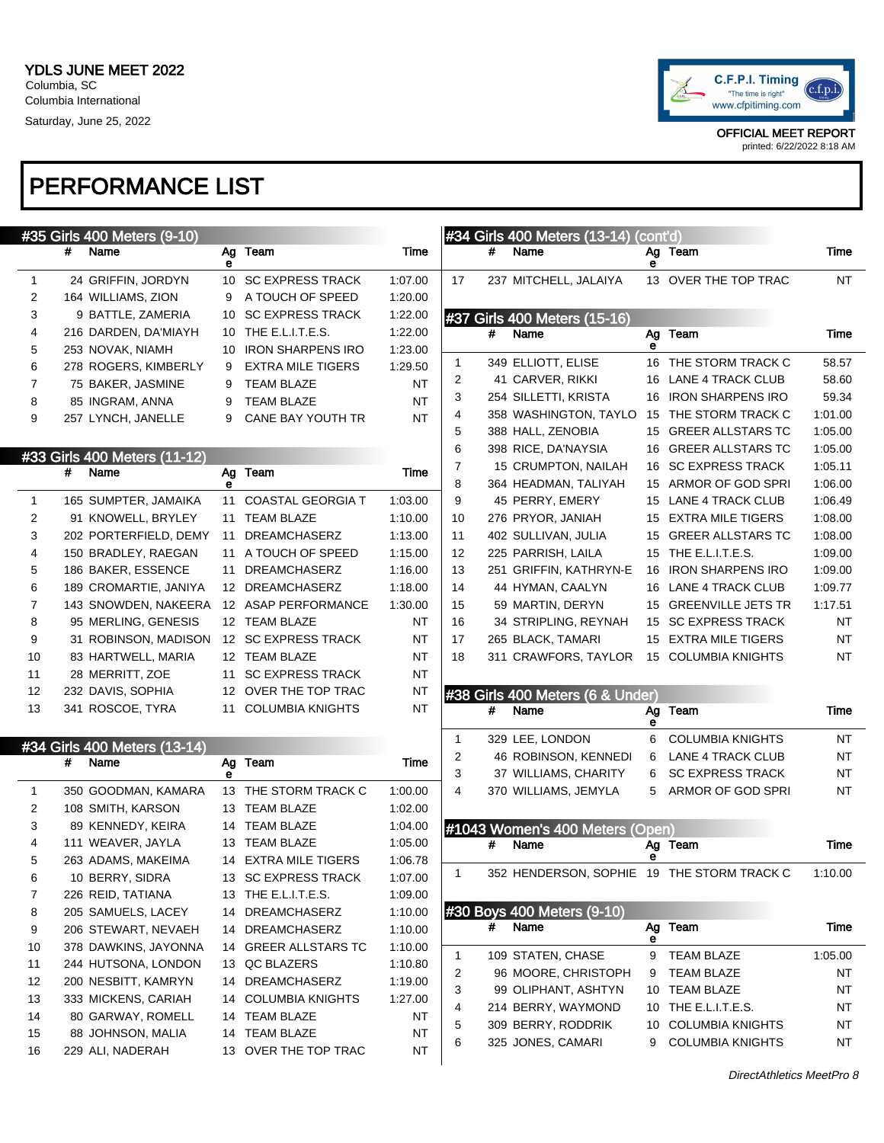

printed: 6/22/2022 8:18 AM

|              |                    | #35 Girls 400 Meters (9-10)  |    |                          |           |        |   | #34 Girls 400 Meters (13-14) (cont'd)      |         |                                        |          |
|--------------|--------------------|------------------------------|----|--------------------------|-----------|--------|---|--------------------------------------------|---------|----------------------------------------|----------|
|              | #<br>Name          |                              | е  | Ag Team                  | Time      |        | # | Name                                       | е       | Ag Team                                | Time     |
| 1            |                    | 24 GRIFFIN, JORDYN           |    | 10 SC EXPRESS TRACK      | 1:07.00   | 17     |   | 237 MITCHELL, JALAIYA                      |         | 13 OVER THE TOP TRAC                   | NT       |
| 2            | 164 WILLIAMS, ZION |                              | 9  | A TOUCH OF SPEED         | 1:20.00   |        |   |                                            |         |                                        |          |
| 3            |                    | 9 BATTLE, ZAMERIA            | 10 | <b>SC EXPRESS TRACK</b>  | 1:22.00   |        |   | #37 Girls 400 Meters (15-16)               |         |                                        |          |
| 4            |                    | 216 DARDEN, DA'MIAYH         |    | 10 THE E.L.I.T.E.S.      | 1:22.00   |        | # | Name                                       |         | Ag Team                                | Time     |
| 5            | 253 NOVAK, NIAMH   |                              |    | 10 IRON SHARPENS IRO     | 1:23.00   |        |   |                                            |         |                                        |          |
| 6            |                    | 278 ROGERS, KIMBERLY         | 9  | <b>EXTRA MILE TIGERS</b> | 1:29.50   | 1      |   | 349 ELLIOTT, ELISE                         |         | 16 THE STORM TRACK C                   | 58.57    |
| 7            |                    | 75 BAKER, JASMINE            | 9  | <b>TEAM BLAZE</b>        | NT        | 2      |   | 41 CARVER, RIKKI                           |         | 16 LANE 4 TRACK CLUB                   | 58.60    |
| 8            | 85 INGRAM, ANNA    |                              | 9  | <b>TEAM BLAZE</b>        | <b>NT</b> | 3      |   | 254 SILLETTI, KRISTA                       |         | 16 IRON SHARPENS IRO                   | 59.34    |
| 9            |                    | 257 LYNCH, JANELLE           | 9  | CANE BAY YOUTH TR        | NT        | 4      |   | 358 WASHINGTON, TAYLO                      |         | 15 THE STORM TRACK C                   | 1:01.00  |
|              |                    |                              |    |                          |           | 5      |   | 388 HALL, ZENOBIA                          |         | 15 GREER ALLSTARS TC                   | 1:05.00  |
|              |                    | #33 Girls 400 Meters (11-12) |    |                          |           | 6      |   | 398 RICE, DA'NAYSIA                        |         | 16 GREER ALLSTARS TC                   | 1:05.00  |
|              | #<br>Name          |                              |    | Ag Team                  | Time      | 7      |   | 15 CRUMPTON, NAILAH                        |         | 16 SC EXPRESS TRACK                    | 1:05.11  |
|              |                    |                              |    |                          |           | 8      |   | 364 HEADMAN, TALIYAH                       |         | 15 ARMOR OF GOD SPRI                   | 1:06.00  |
| -1           |                    | 165 SUMPTER, JAMAIKA         |    | 11 COASTAL GEORGIA T     | 1:03.00   | 9      |   | 45 PERRY, EMERY                            |         | 15 LANE 4 TRACK CLUB                   | 1:06.49  |
| 2            |                    | 91 KNOWELL, BRYLEY           |    | 11 TEAM BLAZE            | 1:10.00   | 10     |   | 276 PRYOR, JANIAH                          |         | 15 EXTRA MILE TIGERS                   | 1:08.00  |
| 3            |                    | 202 PORTERFIELD, DEMY        |    | 11 DREAMCHASERZ          | 1:13.00   | 11     |   | 402 SULLIVAN, JULIA                        |         | 15 GREER ALLSTARS TC                   | 1:08.00  |
| 4            |                    | 150 BRADLEY, RAEGAN          |    | 11 A TOUCH OF SPEED      | 1:15.00   | 12     |   | 225 PARRISH, LAILA                         |         | 15 THE E.L.I.T.E.S.                    | 1:09.00  |
| 5            |                    | 186 BAKER, ESSENCE           |    | 11 DREAMCHASERZ          | 1:16.00   | 13     |   | 251 GRIFFIN, KATHRYN-E                     |         | 16 IRON SHARPENS IRO                   | 1:09.00  |
| 6            |                    | 189 CROMARTIE, JANIYA        |    | 12 DREAMCHASERZ          | 1:18.00   | 14     |   | 44 HYMAN, CAALYN                           |         | 16 LANE 4 TRACK CLUB                   | 1:09.77  |
| 7            |                    | 143 SNOWDEN, NAKEERA         |    | 12 ASAP PERFORMANCE      | 1:30.00   | 15     |   | 59 MARTIN, DERYN                           |         | 15 GREENVILLE JETS TR                  | 1:17.51  |
| 8            |                    | 95 MERLING, GENESIS          |    | 12 TEAM BLAZE            | <b>NT</b> | 16     |   | 34 STRIPLING, REYNAH                       |         | 15 SC EXPRESS TRACK                    | NT       |
| 9            |                    | 31 ROBINSON, MADISON         |    | 12 SC EXPRESS TRACK      | NT        | 17     |   | 265 BLACK, TAMARI                          |         | 15 EXTRA MILE TIGERS                   | NT       |
| 10           |                    | 83 HARTWELL, MARIA           |    | 12 TEAM BLAZE            | NT        | 18     |   | 311 CRAWFORS, TAYLOR                       |         | 15 COLUMBIA KNIGHTS                    | NT       |
| 11           | 28 MERRITT, ZOE    |                              | 11 | <b>SC EXPRESS TRACK</b>  | NT        |        |   |                                            |         |                                        |          |
| 12           | 232 DAVIS, SOPHIA  |                              |    | 12 OVER THE TOP TRAC     | <b>NT</b> |        |   | #38 Girls 400 Meters (6 & Under)           |         |                                        |          |
| 13           | 341 ROSCOE, TYRA   |                              |    | 11 COLUMBIA KNIGHTS      | <b>NT</b> |        | # | Name                                       | Ag<br>е | Team                                   | Time     |
|              |                    | #34 Girls 400 Meters (13-14) |    |                          |           | 1      |   | 329 LEE, LONDON                            | 6       | <b>COLUMBIA KNIGHTS</b>                | NT       |
|              | #<br>Name          |                              |    | Ag Team                  | Time      | 2      |   | 46 ROBINSON, KENNEDI                       | 6       | LANE 4 TRACK CLUB                      | NT       |
|              |                    |                              |    |                          |           | 3      |   | 37 WILLIAMS, CHARITY                       | 6       | <b>SC EXPRESS TRACK</b>                | NT       |
| $\mathbf{1}$ |                    | 350 GOODMAN, KAMARA          |    | 13 THE STORM TRACK C     | 1:00.00   | 4      |   | 370 WILLIAMS, JEMYLA                       | 5       | ARMOR OF GOD SPRI                      | NT       |
| 2            |                    | 108 SMITH, KARSON            |    | 13 TEAM BLAZE            | 1:02.00   |        |   |                                            |         |                                        |          |
| 3            |                    | 89 KENNEDY, KEIRA            |    | 14 TEAM BLAZE            | 1:04.00   |        |   | #1043 Women's 400 Meters (Open)            |         |                                        |          |
| 4            |                    | 111 WEAVER, JAYLA            |    | 13 TEAM BLAZE            | 1:05.00   |        | # | Name                                       |         | Ag Team                                | Time     |
| 5            |                    | 263 ADAMS, MAKEIMA           |    | 14 EXTRA MILE TIGERS     | 1:06.78   |        |   |                                            | е       |                                        |          |
| 6            | 10 BERRY, SIDRA    |                              |    | 13 SC EXPRESS TRACK      | 1:07.00   | 1      |   | 352 HENDERSON, SOPHIE 19 THE STORM TRACK C |         |                                        | 1:10.00  |
| 7            | 226 REID, TATIANA  |                              |    | 13 THE E.L.I.T.E.S.      | 1:09.00   |        |   |                                            |         |                                        |          |
| 8            |                    | 205 SAMUELS, LACEY           |    | 14 DREAMCHASERZ          | 1:10.00   |        |   | #30 Boys 400 Meters (9-10)                 |         |                                        |          |
| 9            |                    | 206 STEWART, NEVAEH          |    | 14 DREAMCHASERZ          | 1:10.00   |        |   | # Name                                     |         | Ag Team                                | Time     |
| 10           |                    | 378 DAWKINS, JAYONNA         |    | 14 GREER ALLSTARS TC     | 1:10.00   |        |   | 109 STATEN, CHASE                          | е<br>9  | <b>TEAM BLAZE</b>                      | 1:05.00  |
| 11           |                    | 244 HUTSONA, LONDON          |    | 13 QC BLAZERS            | 1:10.80   | 1      |   | 96 MOORE, CHRISTOPH                        |         |                                        |          |
| 12           |                    | 200 NESBITT, KAMRYN          |    | 14 DREAMCHASERZ          | 1:19.00   | 2<br>3 |   | 99 OLIPHANT, ASHTYN                        | 9<br>10 | <b>TEAM BLAZE</b><br><b>TEAM BLAZE</b> | NT<br>NT |
| 13           |                    | 333 MICKENS, CARIAH          |    | 14 COLUMBIA KNIGHTS      | 1:27.00   |        |   | 214 BERRY, WAYMOND                         |         | 10 THE E.L.I.T.E.S.                    | NT       |
| 14           |                    | 80 GARWAY, ROMELL            |    | 14 TEAM BLAZE            | ΝT        | 4      |   | 309 BERRY, RODDRIK                         | 10      | <b>COLUMBIA KNIGHTS</b>                | NT       |
| 15           |                    | 88 JOHNSON, MALIA            |    | 14 TEAM BLAZE            | ΝT        | 5<br>6 |   | 325 JONES, CAMARI                          | 9       | <b>COLUMBIA KNIGHTS</b>                | NT       |
| 16           | 229 ALI, NADERAH   |                              |    | 13 OVER THE TOP TRAC     | ΝT        |        |   |                                            |         |                                        |          |
|              |                    |                              |    |                          |           |        |   |                                            |         |                                        |          |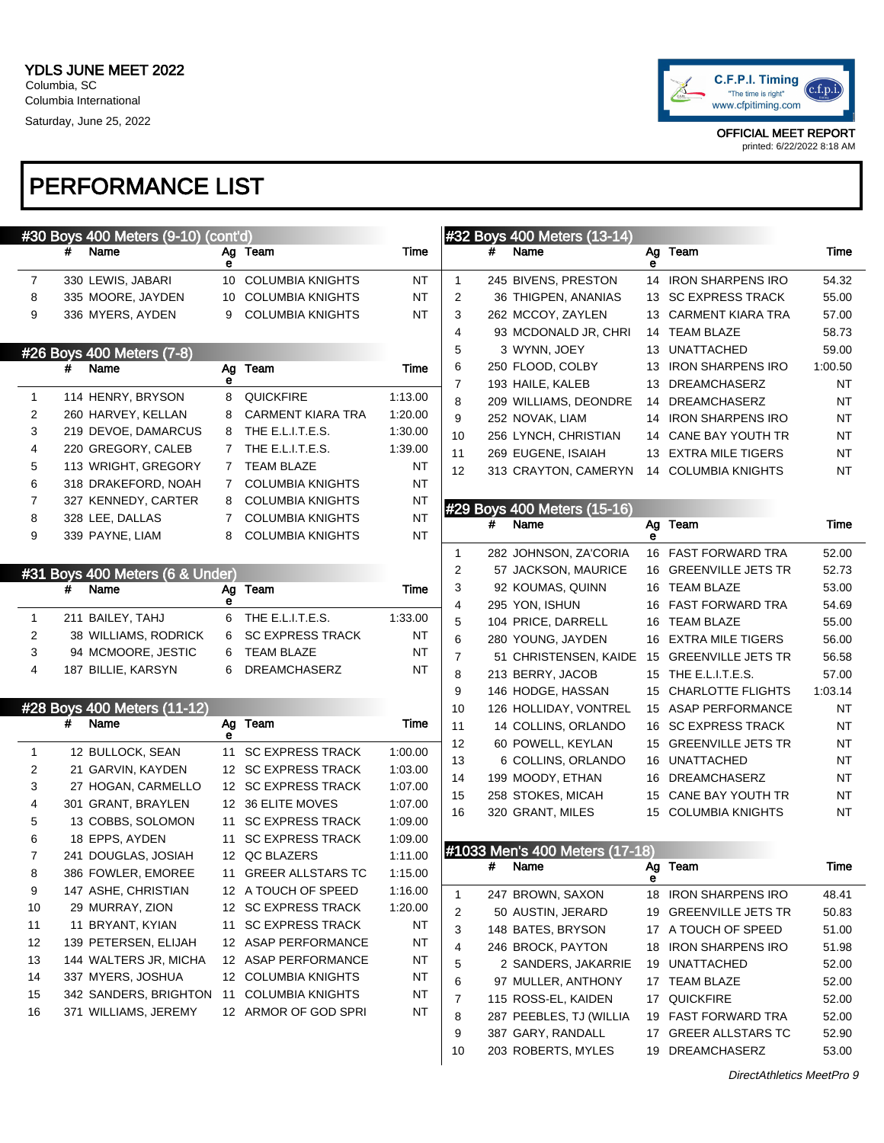#### PERFORMANCE LIST

| C.F.P.I. Timing<br>"The time is right"<br>www.cfpitiming.com |  |
|--------------------------------------------------------------|--|
|--------------------------------------------------------------|--|

OFFICIAL MEET REPORT

printed: 6/22/2022 8:18 AM

|              |   | #30 Boys 400 Meters (9-10) (cont'd) |                |                                              |                    |                |   | #32 Boys 400 Meters (13-14)    |      |                                             |           |
|--------------|---|-------------------------------------|----------------|----------------------------------------------|--------------------|----------------|---|--------------------------------|------|---------------------------------------------|-----------|
|              | # | Name                                | е              | Ag Team                                      | Time               |                | # | Name                           | е    | Ag Team                                     | Time      |
| 7            |   | 330 LEWIS, JABARI                   | 10             | <b>COLUMBIA KNIGHTS</b>                      | NT                 | 1              |   | 245 BIVENS, PRESTON            |      | 14 IRON SHARPENS IRO                        | 54.32     |
| 8            |   | 335 MOORE, JAYDEN                   | 10             | <b>COLUMBIA KNIGHTS</b>                      | NT                 | 2              |   | 36 THIGPEN, ANANIAS            | 13   | <b>SC EXPRESS TRACK</b>                     | 55.00     |
| 9            |   | 336 MYERS, AYDEN                    | 9              | <b>COLUMBIA KNIGHTS</b>                      | NT                 | 3              |   | 262 MCCOY, ZAYLEN              | 13   | <b>CARMENT KIARA TRA</b>                    | 57.00     |
|              |   |                                     |                |                                              |                    | 4              |   | 93 MCDONALD JR, CHRI           | 14   | <b>TEAM BLAZE</b>                           | 58.73     |
|              |   | #26 Boys 400 Meters (7-8)           |                |                                              |                    | 5              |   | 3 WYNN, JOEY                   | 13   | <b>UNATTACHED</b>                           | 59.00     |
|              | # | Name                                | Ag             | Team                                         | Time               | 6              |   | 250 FLOOD, COLBY               | 13   | <b>IRON SHARPENS IRO</b>                    | 1:00.50   |
|              |   | 114 HENRY, BRYSON                   | е              |                                              |                    | 7              |   | 193 HAILE, KALEB               | 13   | <b>DREAMCHASERZ</b>                         | <b>NT</b> |
| $\mathbf{1}$ |   | 260 HARVEY, KELLAN                  | 8              | <b>QUICKFIRE</b><br><b>CARMENT KIARA TRA</b> | 1:13.00            | 8              |   | 209 WILLIAMS, DEONDRE          | 14   | <b>DREAMCHASERZ</b>                         | <b>NT</b> |
| 2<br>3       |   | 219 DEVOE, DAMARCUS                 | 8              | THE E.L.I.T.E.S.                             | 1:20.00            | 9              |   | 252 NOVAK, LIAM                |      | 14 IRON SHARPENS IRO                        | <b>NT</b> |
| 4            |   | 220 GREGORY, CALEB                  | 8<br>7         | THE E.L.I.T.E.S.                             | 1:30.00<br>1:39.00 | 10             |   | 256 LYNCH, CHRISTIAN           | 14   | CANE BAY YOUTH TR                           | <b>NT</b> |
| 5            |   | 113 WRIGHT, GREGORY                 | $7\phantom{.}$ | <b>TEAM BLAZE</b>                            | <b>NT</b>          | 11             |   | 269 EUGENE, ISAIAH             | 13   | <b>EXTRA MILE TIGERS</b>                    | <b>NT</b> |
| 6            |   | 318 DRAKEFORD, NOAH                 | 7              | <b>COLUMBIA KNIGHTS</b>                      | NT                 | 12             |   | 313 CRAYTON, CAMERYN           | 14   | <b>COLUMBIA KNIGHTS</b>                     | NT        |
| 7            |   | 327 KENNEDY, CARTER                 | 8              | <b>COLUMBIA KNIGHTS</b>                      | <b>NT</b>          |                |   |                                |      |                                             |           |
| 8            |   | 328 LEE, DALLAS                     | 7              | <b>COLUMBIA KNIGHTS</b>                      | $\sf{NT}$          |                |   | #29 Boys 400 Meters (15-16)    |      |                                             |           |
| 9            |   | 339 PAYNE, LIAM                     | 8              | <b>COLUMBIA KNIGHTS</b>                      | <b>NT</b>          |                | # | Name                           | е    | Ag Team                                     | Time      |
|              |   |                                     |                |                                              |                    | $\mathbf 1$    |   | 282 JOHNSON, ZA'CORIA          |      | 16 FAST FORWARD TRA                         | 52.00     |
|              |   | #31 Boys 400 Meters (6 & Under)     |                |                                              |                    | 2              |   | 57 JACKSON, MAURICE            | 16   | <b>GREENVILLE JETS TR</b>                   | 52.73     |
|              | # | Name                                | Ag             | Team                                         | Time               | 3              |   | 92 KOUMAS, QUINN               | 16   | <b>TEAM BLAZE</b>                           | 53.00     |
|              |   |                                     | е              |                                              |                    | 4              |   | 295 YON, ISHUN                 | 16   | FAST FORWARD TRA                            | 54.69     |
| 1            |   | 211 BAILEY, TAHJ                    | 6              | THE E.L.I.T.E.S.                             | 1:33.00            | 5              |   | 104 PRICE, DARRELL             | 16   | <b>TEAM BLAZE</b>                           | 55.00     |
| 2            |   | 38 WILLIAMS, RODRICK                | 6              | <b>SC EXPRESS TRACK</b>                      | NT                 | 6              |   | 280 YOUNG, JAYDEN              | 16   | <b>EXTRA MILE TIGERS</b>                    | 56.00     |
| 3            |   | 94 MCMOORE, JESTIC                  | 6              | <b>TEAM BLAZE</b>                            | NT                 | $\overline{7}$ |   | 51 CHRISTENSEN, KAIDE          | - 15 | <b>GREENVILLE JETS TR</b>                   | 56.58     |
| 4            |   | 187 BILLIE, KARSYN                  | 6              | <b>DREAMCHASERZ</b>                          | NT                 | 8              |   | 213 BERRY, JACOB               | 15   | THE E.L.I.T.E.S.                            | 57.00     |
|              |   |                                     |                |                                              |                    | 9              |   | 146 HODGE, HASSAN              | 15   | <b>CHARLOTTE FLIGHTS</b>                    | 1:03.14   |
|              |   | #28 Boys 400 Meters (11-12)         |                |                                              |                    | 10             |   | 126 HOLLIDAY, VONTREL          |      | 15 ASAP PERFORMANCE                         | ΝT        |
|              | # | Name                                |                | Ag Team                                      | Time               | 11             |   | 14 COLLINS, ORLANDO            | 16   | <b>SC EXPRESS TRACK</b>                     | <b>NT</b> |
| $\mathbf{1}$ |   | 12 BULLOCK, SEAN                    | 11             | <b>SC EXPRESS TRACK</b>                      | 1:00.00            | 12             |   | 60 POWELL, KEYLAN              | 15   | <b>GREENVILLE JETS TR</b>                   | ΝT        |
| 2            |   | 21 GARVIN, KAYDEN                   |                | 12 SC EXPRESS TRACK                          | 1:03.00            | 13             |   | 6 COLLINS, ORLANDO             | 16   | <b>UNATTACHED</b>                           | ΝT        |
| 3            |   | 27 HOGAN, CARMELLO                  |                | 12 SC EXPRESS TRACK                          | 1:07.00            | 14             |   | 199 MOODY, ETHAN               | 16   | <b>DREAMCHASERZ</b>                         | ΝT        |
| 4            |   | 301 GRANT, BRAYLEN                  |                | 12 36 ELITE MOVES                            | 1:07.00            | 15             |   | 258 STOKES, MICAH              | 15   | CANE BAY YOUTH TR                           | <b>NT</b> |
| 5            |   | 13 COBBS, SOLOMON                   | 11             | <b>SC EXPRESS TRACK</b>                      | 1:09.00            | 16             |   | 320 GRANT, MILES               | 15   | <b>COLUMBIA KNIGHTS</b>                     | ΝT        |
| 6            |   | 18 EPPS, AYDEN                      | 11             | <b>SC EXPRESS TRACK</b>                      | 1:09.00            |                |   |                                |      |                                             |           |
| 7            |   | 241 DOUGLAS, JOSIAH                 |                | 12 QC BLAZERS                                | 1:11.00            |                |   | #1033 Men's 400 Meters (17-18) |      |                                             |           |
| 8            |   | 386 FOWLER, EMOREE                  | 11             | <b>GREER ALLSTARS TC</b>                     | 1:15.00            |                |   | # Name                         |      | Ag Team                                     | Time      |
| 9            |   | 147 ASHE, CHRISTIAN                 |                | 12 A TOUCH OF SPEED                          | 1:16.00            |                |   |                                | е    |                                             |           |
| 10           |   | 29 MURRAY, ZION                     |                | 12 SC EXPRESS TRACK                          | 1:20.00            | $\mathbf{1}$   |   | 247 BROWN, SAXON               | 18   | <b>IRON SHARPENS IRO</b>                    | 48.41     |
| 11           |   | 11 BRYANT, KYIAN                    | 11             | <b>SC EXPRESS TRACK</b>                      | ΝT                 | 2              |   | 50 AUSTIN, JERARD              | 19   | <b>GREENVILLE JETS TR</b>                   | 50.83     |
| 12           |   | 139 PETERSEN, ELIJAH                |                | 12 ASAP PERFORMANCE                          | ΝT                 | 3              |   | 148 BATES, BRYSON              |      | 17 A TOUCH OF SPEED                         | 51.00     |
| 13           |   | 144 WALTERS JR, MICHA               |                | 12 ASAP PERFORMANCE                          | ΝT                 | 4              |   | 246 BROCK, PAYTON              | 18   | <b>IRON SHARPENS IRO</b>                    | 51.98     |
| 14           |   | 337 MYERS, JOSHUA                   |                | 12 COLUMBIA KNIGHTS                          | ΝT                 | 5              |   | 2 SANDERS, JAKARRIE            | 19   | UNATTACHED                                  | 52.00     |
| 15           |   | 342 SANDERS, BRIGHTON               | 11             | <b>COLUMBIA KNIGHTS</b>                      | ΝT                 | 6              |   | 97 MULLER, ANTHONY             |      | 17 TEAM BLAZE                               | 52.00     |
| 16           |   | 371 WILLIAMS, JEREMY                |                | 12 ARMOR OF GOD SPRI                         | NT                 | 7              |   | 115 ROSS-EL, KAIDEN            |      | 17 QUICKFIRE                                | 52.00     |
|              |   |                                     |                |                                              |                    | 8              |   | 287 PEEBLES, TJ (WILLIA        | 19   | <b>FAST FORWARD TRA</b>                     | 52.00     |
|              |   |                                     |                |                                              |                    | 9              |   | 387 GARY, RANDALL              |      | 17 GREER ALLSTARS TC<br><b>DREAMCHASERZ</b> | 52.90     |
|              |   |                                     |                |                                              |                    | 10             |   | 203 ROBERTS, MYLES             | 19   |                                             | 53.00     |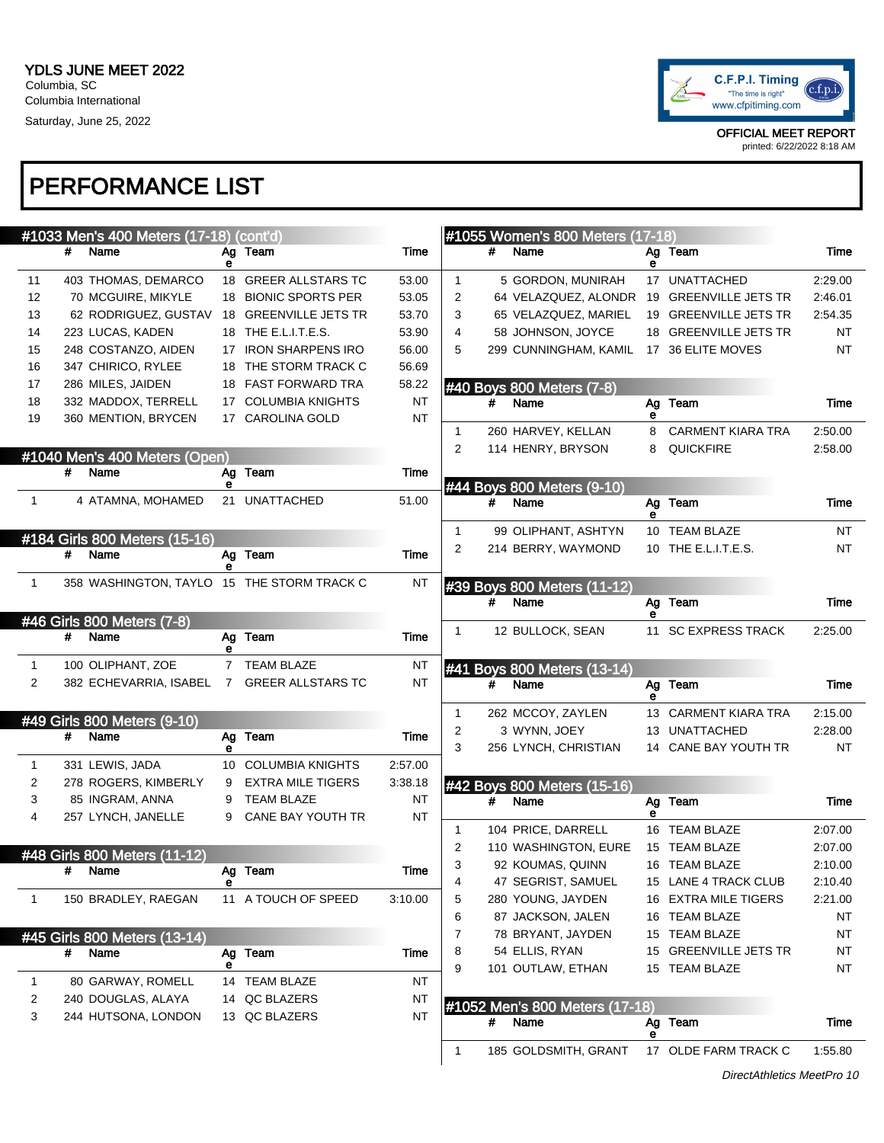

printed: 6/22/2022 8:18 AM

|                |   | #1033 Men's 400 Meters (17-18) (cont'd)    |             |                                               |                 |                   |   | #1055 Women's 800 Meters (17-18)        |        |                                       |           |
|----------------|---|--------------------------------------------|-------------|-----------------------------------------------|-----------------|-------------------|---|-----------------------------------------|--------|---------------------------------------|-----------|
|                | # | Name                                       | е           | Ag Team                                       | Time            |                   | # | Name                                    | е      | Ag Team                               | Time      |
| 11             |   | 403 THOMAS, DEMARCO                        |             | 18 GREER ALLSTARS TC                          | 53.00           | $\mathbf{1}$      |   | 5 GORDON, MUNIRAH                       |        | 17 UNATTACHED                         | 2:29.00   |
| 12             |   | 70 MCGUIRE, MIKYLE                         |             | 18 BIONIC SPORTS PER                          | 53.05           | $\overline{2}$    |   | 64 VELAZQUEZ, ALONDR                    |        | 19 GREENVILLE JETS TR                 | 2:46.01   |
| 13             |   | 62 RODRIGUEZ, GUSTAV                       |             | 18 GREENVILLE JETS TR                         | 53.70           | 3                 |   | 65 VELAZQUEZ, MARIEL                    |        | 19 GREENVILLE JETS TR                 | 2:54.35   |
| 14             |   | 223 LUCAS, KADEN                           |             | 18 THE E.L.I.T.E.S.                           | 53.90           | 4                 |   | 58 JOHNSON, JOYCE                       |        | 18 GREENVILLE JETS TR                 | <b>NT</b> |
| 15             |   | 248 COSTANZO, AIDEN                        |             | 17 IRON SHARPENS IRO                          | 56.00           | 5                 |   | 299 CUNNINGHAM, KAMIL                   |        | 17 36 ELITE MOVES                     | <b>NT</b> |
| 16             |   | 347 CHIRICO, RYLEE                         |             | 18 THE STORM TRACK C                          | 56.69           |                   |   |                                         |        |                                       |           |
| 17             |   | 286 MILES, JAIDEN                          |             | 18 FAST FORWARD TRA                           | 58.22           |                   |   | #40 Boys 800 Meters (7-8)               |        |                                       |           |
| 18             |   | 332 MADDOX, TERRELL                        |             | 17 COLUMBIA KNIGHTS                           | <b>NT</b>       |                   | # | Name                                    |        | Ag Team                               | Time      |
| 19             |   | 360 MENTION, BRYCEN                        |             | 17 CAROLINA GOLD                              | <b>NT</b>       |                   |   |                                         | е      |                                       | 2:50.00   |
|                |   |                                            |             |                                               |                 | $\mathbf{1}$<br>2 |   | 260 HARVEY, KELLAN<br>114 HENRY, BRYSON | 8<br>8 | <b>CARMENT KIARA TRA</b><br>QUICKFIRE | 2:58.00   |
|                |   | #1040 Men's 400 Meters (Open)              |             |                                               |                 |                   |   |                                         |        |                                       |           |
|                | # | Name                                       | Ag<br>е     | Team                                          | Time            |                   |   | #44 Boys 800 Meters (9-10)              |        |                                       |           |
| $\mathbf{1}$   |   | 4 ATAMNA, MOHAMED                          |             | 21 UNATTACHED                                 | 51.00           |                   | # | Name                                    | Ag     | Team                                  | Time      |
|                |   |                                            |             |                                               |                 |                   |   |                                         | е      |                                       |           |
|                |   | #184 Girls 800 Meters (15-16)              |             |                                               |                 | $\mathbf{1}$      |   | 99 OLIPHANT, ASHTYN                     |        | 10 TEAM BLAZE                         | NT        |
|                | # | Name                                       |             | Ag Team                                       | Time            | 2                 |   | 214 BERRY, WAYMOND                      |        | 10 THE E.L.I.T.E.S.                   | NT        |
|                |   |                                            | е           |                                               |                 |                   |   |                                         |        |                                       |           |
| $\mathbf{1}$   |   | 358 WASHINGTON, TAYLO 15 THE STORM TRACK C |             |                                               | <b>NT</b>       |                   |   | #39 Boys 800 Meters (11-12)             |        |                                       |           |
|                |   |                                            |             |                                               |                 |                   | # | Name                                    | е      | Ag Team                               | Time      |
|                |   | #46 Girls 800 Meters (7-8)                 |             |                                               |                 | 1                 |   | 12 BULLOCK, SEAN                        | 11     | <b>SC EXPRESS TRACK</b>               | 2:25.00   |
|                | # | Name                                       | Ag<br>е     | Team                                          | Time            |                   |   |                                         |        |                                       |           |
| $\mathbf{1}$   |   | 100 OLIPHANT, ZOE                          |             | 7 TEAM BLAZE                                  | <b>NT</b>       |                   |   | #41 Boys 800 Meters (13-14)             |        |                                       |           |
| 2              |   | 382 ECHEVARRIA, ISABEL                     | $7^{\circ}$ | <b>GREER ALLSTARS TC</b>                      | <b>NT</b>       |                   | # | Name                                    | Ag     | Team                                  | Time      |
|                |   |                                            |             |                                               |                 |                   |   |                                         | е      |                                       |           |
|                |   | #49 Girls 800 Meters (9-10)                |             |                                               |                 | 1                 |   | 262 MCCOY, ZAYLEN                       |        | 13 CARMENT KIARA TRA                  | 2:15.00   |
|                | # | Name                                       |             | Ag Team                                       | Time            | 2                 |   | 3 WYNN, JOEY                            |        | 13 UNATTACHED                         | 2:28.00   |
|                |   |                                            | е           |                                               |                 | 3                 |   | 256 LYNCH, CHRISTIAN                    |        | 14 CANE BAY YOUTH TR                  | <b>NT</b> |
| $\mathbf{1}$   |   | 331 LEWIS, JADA                            |             | 10 COLUMBIA KNIGHTS                           | 2:57.00         |                   |   |                                         |        |                                       |           |
| $\overline{c}$ |   | 278 ROGERS, KIMBERLY<br>85 INGRAM, ANNA    | 9           | <b>EXTRA MILE TIGERS</b><br><b>TEAM BLAZE</b> | 3:38.18         |                   |   | #42 Boys 800 Meters (15-16)             |        |                                       |           |
| 3<br>4         |   |                                            | 9<br>9      | CANE BAY YOUTH TR                             | <b>NT</b><br>NT |                   | # | Name                                    | е      | Ag Team                               | Time      |
|                |   | 257 LYNCH, JANELLE                         |             |                                               |                 | $\mathbf{1}$      |   | 104 PRICE, DARRELL                      |        | 16 TEAM BLAZE                         | 2:07.00   |
|                |   |                                            |             |                                               |                 | 2                 |   | 110 WASHINGTON, EURE                    |        | 15 TEAM BLAZE                         | 2:07.00   |
|                |   | #48 Girls 800 Meters (11-12)               |             | Ag Team                                       | Time            | 3                 |   | 92 KOUMAS, QUINN                        |        | 16 TEAM BLAZE                         | 2:10.00   |
|                | # | Name                                       | е           |                                               |                 | 4                 |   | 47 SEGRIST, SAMUEL                      |        | 15 LANE 4 TRACK CLUB                  | 2:10.40   |
| $\mathbf{1}$   |   | 150 BRADLEY, RAEGAN                        |             | 11 A TOUCH OF SPEED                           | 3:10.00         | 5                 |   | 280 YOUNG, JAYDEN                       |        | 16 EXTRA MILE TIGERS                  | 2:21.00   |
|                |   |                                            |             |                                               |                 | 6                 |   | 87 JACKSON, JALEN                       |        | 16 TEAM BLAZE                         | NT        |
|                |   | #45 Girls 800 Meters (13-14)               |             |                                               |                 | 7                 |   | 78 BRYANT, JAYDEN                       |        | 15 TEAM BLAZE                         | NT        |
|                | # | Name                                       | Ag          | Team                                          | Time            | 8                 |   | 54 ELLIS, RYAN                          |        | 15 GREENVILLE JETS TR                 | NT        |
|                |   |                                            | е           |                                               |                 | 9                 |   | 101 OUTLAW, ETHAN                       |        | 15 TEAM BLAZE                         | NT        |
| 1              |   | 80 GARWAY, ROMELL                          |             | 14 TEAM BLAZE                                 | NT              |                   |   |                                         |        |                                       |           |
| 2              |   | 240 DOUGLAS, ALAYA                         |             | 14 QC BLAZERS                                 | NT              |                   |   | #1052 Men's 800 Meters (17-18)          |        |                                       |           |
| 3              |   | 244 HUTSONA, LONDON                        |             | 13 QC BLAZERS                                 | NT              |                   |   | # Name                                  | Ag     | Team                                  | Time      |
|                |   |                                            |             |                                               |                 | 1                 |   | 185 GOLDSMITH, GRANT                    | е      | 17 OLDE FARM TRACK C                  | 1:55.80   |
|                |   |                                            |             |                                               |                 |                   |   |                                         |        |                                       |           |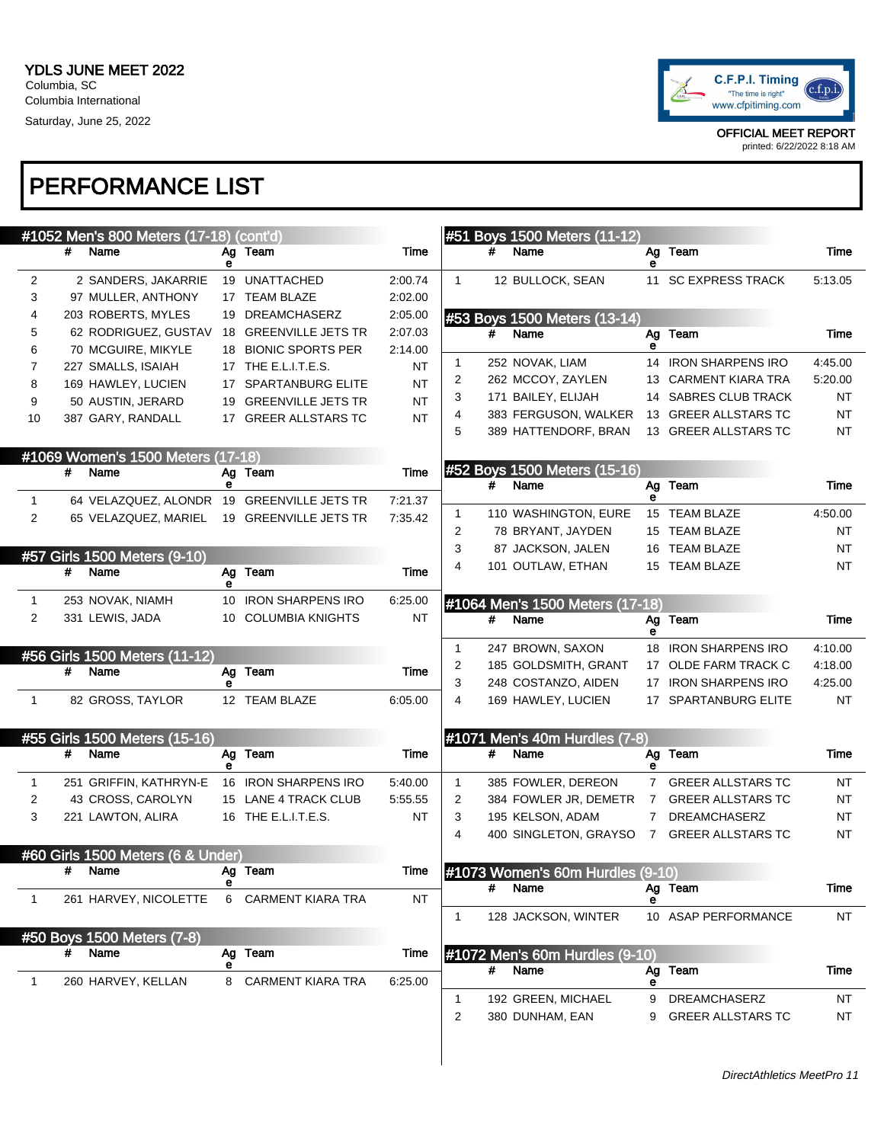

|                |   | #1052 Men's 800 Meters (17-18) (cont'd)    |   |                          |           |              |   | #51 Boys 1500 Meters (11-12)             |             |                          |           |
|----------------|---|--------------------------------------------|---|--------------------------|-----------|--------------|---|------------------------------------------|-------------|--------------------------|-----------|
|                | # | Name                                       | е | Ag Team                  | Time      |              | # | Name                                     | е           | Ag Team                  | Time      |
| 2              |   | 2 SANDERS, JAKARRIE                        |   | 19 UNATTACHED            | 2:00.74   | $\mathbf{1}$ |   | 12 BULLOCK, SEAN                         |             | 11 SC EXPRESS TRACK      | 5:13.05   |
| 3              |   | 97 MULLER, ANTHONY                         |   | 17 TEAM BLAZE            | 2:02.00   |              |   |                                          |             |                          |           |
| 4              |   | 203 ROBERTS, MYLES                         |   | 19 DREAMCHASERZ          | 2:05.00   |              |   | #53 Boys 1500 Meters (13-14)             |             |                          |           |
| 5              |   | 62 RODRIGUEZ, GUSTAV                       |   | 18 GREENVILLE JETS TR    | 2:07.03   |              | # | Name                                     |             | Ag Team                  | Time      |
| 6              |   | 70 MCGUIRE, MIKYLE                         |   | 18 BIONIC SPORTS PER     | 2:14.00   | 1            |   | 252 NOVAK, LIAM                          | е           | 14 IRON SHARPENS IRO     | 4:45.00   |
| 7              |   | 227 SMALLS, ISAIAH                         |   | 17 THE E.L.I.T.E.S.      | NT        | 2            |   | 262 MCCOY, ZAYLEN                        |             | 13 CARMENT KIARA TRA     | 5:20.00   |
| 8              |   | 169 HAWLEY, LUCIEN                         |   | 17 SPARTANBURG ELITE     | <b>NT</b> | 3            |   | 171 BAILEY, ELIJAH                       |             | 14 SABRES CLUB TRACK     | ΝT        |
| 9              |   | 50 AUSTIN, JERARD                          |   | 19 GREENVILLE JETS TR    | <b>NT</b> | 4            |   | 383 FERGUSON, WALKER                     |             | 13 GREER ALLSTARS TC     | <b>NT</b> |
| 10             |   | 387 GARY, RANDALL                          |   | 17 GREER ALLSTARS TC     | <b>NT</b> | 5            |   | 389 HATTENDORF, BRAN                     |             | 13 GREER ALLSTARS TC     | NT        |
|                |   | #1069 Women's 1500 Meters (17-18)          |   |                          |           |              |   |                                          |             |                          |           |
|                | # | Name                                       | е | Ag Team                  | Time      |              | # | #52 Boys 1500 Meters (15-16)<br>Name     |             | Ag Team                  | Time      |
| $\mathbf{1}$   |   | 64 VELAZQUEZ, ALONDR 19 GREENVILLE JETS TR |   |                          | 7:21.37   |              |   |                                          | е           |                          |           |
| 2              |   | 65 VELAZQUEZ, MARIEL                       |   | 19 GREENVILLE JETS TR    | 7:35.42   | 1            |   | 110 WASHINGTON, EURE                     |             | 15 TEAM BLAZE            | 4:50.00   |
|                |   |                                            |   |                          |           | 2            |   | 78 BRYANT, JAYDEN                        |             | 15 TEAM BLAZE            | NT        |
|                |   | #57 Girls 1500 Meters (9-10)               |   |                          |           | 3            |   | 87 JACKSON, JALEN                        |             | 16 TEAM BLAZE            | NT        |
|                | # | Name                                       | е | Ag Team                  | Time      | 4            |   | 101 OUTLAW, ETHAN                        |             | 15 TEAM BLAZE            | NT        |
| 1              |   | 253 NOVAK, NIAMH                           |   | 10 IRON SHARPENS IRO     | 6:25.00   |              |   | #1064 Men's 1500 Meters (17-18)          |             |                          |           |
| 2              |   | 331 LEWIS, JADA                            |   | 10 COLUMBIA KNIGHTS      | NT        |              | # | Name                                     | Ag          | Team                     | Time      |
|                |   |                                            |   |                          |           | $\mathbf{1}$ |   | 247 BROWN, SAXON                         | е           | 18 IRON SHARPENS IRO     | 4:10.00   |
|                | # | #56 Girls 1500 Meters (11-12)<br>Name      |   | Ag Team                  | Time      | 2            |   | 185 GOLDSMITH, GRANT                     |             | 17 OLDE FARM TRACK C     | 4:18.00   |
|                |   |                                            | е |                          |           | 3            |   | 248 COSTANZO, AIDEN                      |             | 17 IRON SHARPENS IRO     | 4:25.00   |
| $\overline{1}$ |   | 82 GROSS, TAYLOR                           |   | 12 TEAM BLAZE            | 6:05.00   | 4            |   | 169 HAWLEY, LUCIEN                       |             | 17 SPARTANBURG ELITE     | NT        |
|                |   | #55 Girls 1500 Meters (15-16)              |   |                          |           |              |   | #1071 Men's 40m Hurdles (7-8)            |             |                          |           |
|                | # | Name                                       |   | Ag Team                  | Time      |              | # | Name                                     | Ag          | Team                     | Time      |
| 1              |   | 251 GRIFFIN, KATHRYN-E                     | е | 16 IRON SHARPENS IRO     | 5:40.00   | $\mathbf{1}$ |   | 385 FOWLER, DEREON                       | е           | 7 GREER ALLSTARS TC      | NT        |
| 2              |   | 43 CROSS, CAROLYN                          |   | 15 LANE 4 TRACK CLUB     | 5:55.55   | 2            |   | 384 FOWLER JR, DEMETR                    | $7^{\circ}$ | <b>GREER ALLSTARS TC</b> | NT        |
| 3              |   | 221 LAWTON, ALIRA                          |   | 16 THE E.L.I.T.E.S.      | NT        | 3            |   | 195 KELSON, ADAM                         | $7^{\circ}$ | DREAMCHASERZ             | <b>NT</b> |
|                |   |                                            |   |                          |           | 4            |   | 400 SINGLETON, GRAYSO                    | $7^{\circ}$ | <b>GREER ALLSTARS TC</b> | NT        |
|                |   | #60 Girls 1500 Meters (6 & Under)          |   |                          |           |              |   |                                          |             |                          |           |
|                |   | # Name                                     |   | Ag Team                  | Time      |              | # | #1073 Women's 60m Hurdles (9-10)<br>Name |             |                          | Time      |
| $\mathbf{1}$   |   | 261 HARVEY, NICOLETTE                      |   | 6 CARMENT KIARA TRA      | <b>NT</b> |              |   |                                          |             | Ag Team                  |           |
|                |   |                                            |   |                          |           | 1            |   | 128 JACKSON, WINTER                      |             | 10 ASAP PERFORMANCE      | NT        |
|                | # | #50 Boys 1500 Meters (7-8)<br>Name         |   | Ag Team                  | Time      |              |   | #1072 Men's 60m Hurdles (9-10)           |             |                          |           |
|                |   |                                            | е |                          |           |              | # | Name                                     | Ag          | Team                     | Time      |
| $\mathbf{1}$   |   | 260 HARVEY, KELLAN                         | 8 | <b>CARMENT KIARA TRA</b> | 6:25.00   | 1            |   | 192 GREEN, MICHAEL                       | е<br>9      | DREAMCHASERZ             | NT        |
|                |   |                                            |   |                          |           | 2            |   | 380 DUNHAM, EAN                          | 9           | <b>GREER ALLSTARS TC</b> | NT        |
|                |   |                                            |   |                          |           |              |   |                                          |             |                          |           |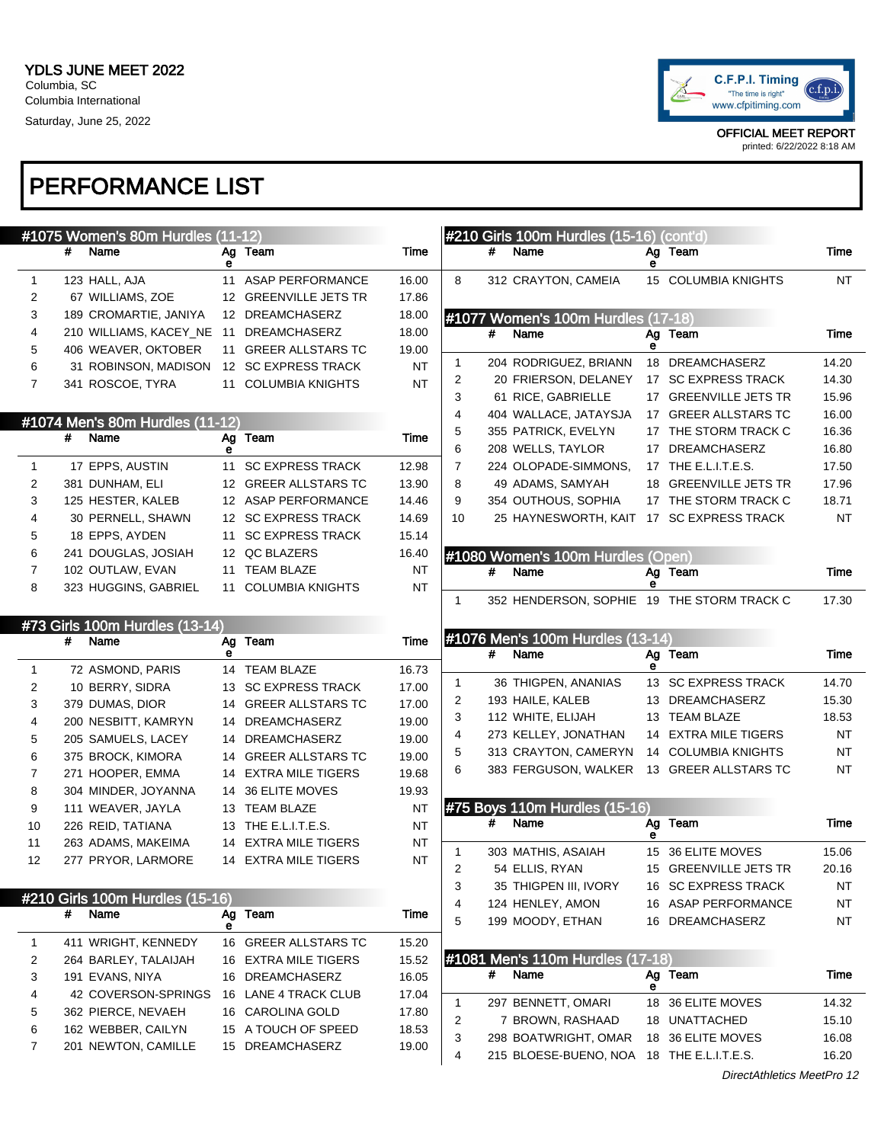#### PERFORMANCE LIST

|              |   | #1075 Women's 80m Hurdles (11-12) |   |                       |           |                |   | #210 Girls 100m Hurdles (15-16) (cont'd)      |   |                                          |                |
|--------------|---|-----------------------------------|---|-----------------------|-----------|----------------|---|-----------------------------------------------|---|------------------------------------------|----------------|
|              | # | Name                              | е | Ag Team               | Time      |                | # | Name                                          | е | Ag Team                                  | Time           |
| $\mathbf{1}$ |   | 123 HALL, AJA                     |   | 11 ASAP PERFORMANCE   | 16.00     | 8              |   | 312 CRAYTON, CAMEIA                           |   | 15 COLUMBIA KNIGHTS                      | NT             |
| 2            |   | 67 WILLIAMS, ZOE                  |   | 12 GREENVILLE JETS TR | 17.86     |                |   |                                               |   |                                          |                |
| 3            |   | 189 CROMARTIE, JANIYA             |   | 12 DREAMCHASERZ       | 18.00     |                |   | #1077 Women's 100m Hurdles (17-18)            |   |                                          |                |
| 4            |   | 210 WILLIAMS, KACEY_NE            |   | 11 DREAMCHASERZ       | 18.00     |                | # | Name                                          |   | Ag Team                                  | Time           |
| 5            |   | 406 WEAVER, OKTOBER               |   | 11 GREER ALLSTARS TC  | 19.00     |                |   |                                               | е |                                          |                |
| 6            |   | 31 ROBINSON, MADISON              |   | 12 SC EXPRESS TRACK   | <b>NT</b> | 1              |   | 204 RODRIGUEZ, BRIANN                         |   | 18 DREAMCHASERZ                          | 14.20          |
| 7            |   | 341 ROSCOE, TYRA                  |   | 11 COLUMBIA KNIGHTS   | <b>NT</b> | 2              |   | 20 FRIERSON, DELANEY                          |   | 17 SC EXPRESS TRACK                      | 14.30          |
|              |   |                                   |   |                       |           | 3              |   | 61 RICE, GABRIELLE                            |   | 17 GREENVILLE JETS TR                    | 15.96          |
|              |   | #1074 Men's 80m Hurdles (11-12)   |   |                       |           | 4              |   | 404 WALLACE, JATAYSJA                         |   | 17 GREER ALLSTARS TC                     | 16.00          |
|              | # | Name                              |   | Ag Team               | Time      | 5              |   | 355 PATRICK, EVELYN                           |   | 17 THE STORM TRACK C                     | 16.36          |
|              |   |                                   | е |                       |           | 6              |   | 208 WELLS, TAYLOR                             |   | 17 DREAMCHASERZ                          | 16.80          |
| 1            |   | 17 EPPS, AUSTIN                   |   | 11 SC EXPRESS TRACK   | 12.98     | $\overline{7}$ |   | 224 OLOPADE-SIMMONS,                          |   | 17 THE E.L.I.T.E.S.                      | 17.50          |
| 2            |   | 381 DUNHAM, ELI                   |   | 12 GREER ALLSTARS TC  | 13.90     | 8              |   | 49 ADAMS, SAMYAH                              |   | 18 GREENVILLE JETS TR                    | 17.96          |
| 3            |   | 125 HESTER, KALEB                 |   | 12 ASAP PERFORMANCE   | 14.46     | 9              |   | 354 OUTHOUS, SOPHIA                           |   | 17 THE STORM TRACK C                     | 18.71          |
| 4            |   | 30 PERNELL, SHAWN                 |   | 12 SC EXPRESS TRACK   | 14.69     | 10             |   | 25 HAYNESWORTH, KAIT 17 SC EXPRESS TRACK      |   |                                          | NT             |
| 5            |   | 18 EPPS, AYDEN                    |   | 11 SC EXPRESS TRACK   | 15.14     |                |   |                                               |   |                                          |                |
| 6            |   | 241 DOUGLAS, JOSIAH               |   | 12 QC BLAZERS         | 16.40     |                |   | #1080 Women's 100m Hurdles (Open)             |   |                                          |                |
| 7            |   | 102 OUTLAW, EVAN                  |   | 11 TEAM BLAZE         | NT        |                | # | Name                                          |   | Ag Team                                  | Time           |
| 8            |   | 323 HUGGINS, GABRIEL              |   | 11 COLUMBIA KNIGHTS   | NT        |                |   |                                               | е |                                          |                |
|              |   |                                   |   |                       |           | 1              |   | 352 HENDERSON, SOPHIE 19 THE STORM TRACK C    |   |                                          | 17.30          |
|              |   | #73 Girls 100m Hurdles (13-14)    |   |                       |           |                |   |                                               |   |                                          |                |
|              | # | Name                              | е | Ag Team               | Time      |                |   | #1076 Men's 100m Hurdles (13-14)              |   |                                          |                |
| 1            |   | 72 ASMOND, PARIS                  |   | 14 TEAM BLAZE         | 16.73     |                | # | Name                                          | е | Ag Team                                  | Time           |
| 2            |   | 10 BERRY, SIDRA                   |   | 13 SC EXPRESS TRACK   | 17.00     | $\mathbf{1}$   |   | 36 THIGPEN, ANANIAS                           |   | 13 SC EXPRESS TRACK                      | 14.70          |
| 3            |   | 379 DUMAS, DIOR                   |   | 14 GREER ALLSTARS TC  | 17.00     | 2              |   | 193 HAILE, KALEB                              |   | 13 DREAMCHASERZ                          | 15.30          |
|              |   |                                   |   |                       |           |                |   |                                               |   |                                          |                |
|              |   |                                   |   |                       |           | 3              |   | 112 WHITE, ELIJAH                             |   | 13 TEAM BLAZE                            | 18.53          |
| 4            |   | 200 NESBITT, KAMRYN               |   | 14 DREAMCHASERZ       | 19.00     | 4              |   | 273 KELLEY, JONATHAN                          |   | 14 EXTRA MILE TIGERS                     | NT             |
| 5            |   | 205 SAMUELS, LACEY                |   | 14 DREAMCHASERZ       | 19.00     | 5              |   | 313 CRAYTON, CAMERYN                          |   | 14 COLUMBIA KNIGHTS                      | NT             |
| 6            |   | 375 BROCK, KIMORA                 |   | 14 GREER ALLSTARS TC  | 19.00     | 6              |   | 383 FERGUSON, WALKER 13 GREER ALLSTARS TC     |   |                                          | NT             |
| 7            |   | 271 HOOPER, EMMA                  |   | 14 EXTRA MILE TIGERS  | 19.68     |                |   |                                               |   |                                          |                |
| 8            |   | 304 MINDER, JOYANNA               |   | 14 36 ELITE MOVES     | 19.93     |                |   |                                               |   |                                          |                |
| 9            |   | 111 WEAVER, JAYLA                 |   | 13 TEAM BLAZE         | <b>NT</b> |                | # | #75 Boys 110m Hurdles (15-16)<br>Name         |   | Ag Team                                  | Time           |
| 10           |   | 226 REID, TATIANA                 |   | 13 THE E.L.I.T.E.S.   | <b>NT</b> |                |   |                                               | е |                                          |                |
| 11           |   | 263 ADAMS, MAKEIMA                |   | 14 EXTRA MILE TIGERS  | NT        | 1              |   | 303 MATHIS, ASAIAH                            |   | 15 36 ELITE MOVES                        | 15.06          |
| 12           |   | 277 PRYOR, LARMORE                |   | 14 EXTRA MILE TIGERS  | NT        | 2              |   | 54 ELLIS, RYAN                                |   | 15 GREENVILLE JETS TR                    | 20.16          |
|              |   |                                   |   |                       |           | 3              |   | 35 THIGPEN III, IVORY                         |   | 16 SC EXPRESS TRACK                      | NT             |
|              |   | #210 Girls 100m Hurdles (15-16)   |   |                       |           | 4              |   | 124 HENLEY, AMON                              |   | 16 ASAP PERFORMANCE                      | NT             |
|              | # | Name                              | е | Ag Team               | Time      | 5              |   | 199 MOODY, ETHAN                              |   | 16 DREAMCHASERZ                          | NT             |
| 1            |   | 411 WRIGHT, KENNEDY               |   | 16 GREER ALLSTARS TC  | 15.20     |                |   |                                               |   |                                          |                |
| 2            |   | 264 BARLEY, TALAIJAH              |   | 16 EXTRA MILE TIGERS  | 15.52     |                |   | #1081 Men's 110m Hurdles (17-18)              |   |                                          |                |
| 3            |   | 191 EVANS, NIYA                   |   | 16 DREAMCHASERZ       | 16.05     |                | # | Name                                          |   | Ag Team                                  | Time           |
| 4            |   | 42 COVERSON-SPRINGS               |   | 16 LANE 4 TRACK CLUB  | 17.04     |                |   |                                               | е |                                          |                |
| 5            |   | 362 PIERCE, NEVAEH                |   | 16 CAROLINA GOLD      | 17.80     | 1              |   | 297 BENNETT, OMARI                            |   | 18 36 ELITE MOVES                        | 14.32          |
| 6            |   | 162 WEBBER, CAILYN                |   | 15 A TOUCH OF SPEED   | 18.53     | 2              |   | 7 BROWN, RASHAAD                              |   | 18 UNATTACHED                            | 15.10          |
| 7            |   | 201 NEWTON, CAMILLE               |   | 15 DREAMCHASERZ       | 19.00     | 3<br>4         |   | 298 BOATWRIGHT, OMAR<br>215 BLOESE-BUENO, NOA |   | 18 36 ELITE MOVES<br>18 THE E.L.I.T.E.S. | 16.08<br>16.20 |



OFFICIAL MEET REPORT printed: 6/22/2022 8:18 AM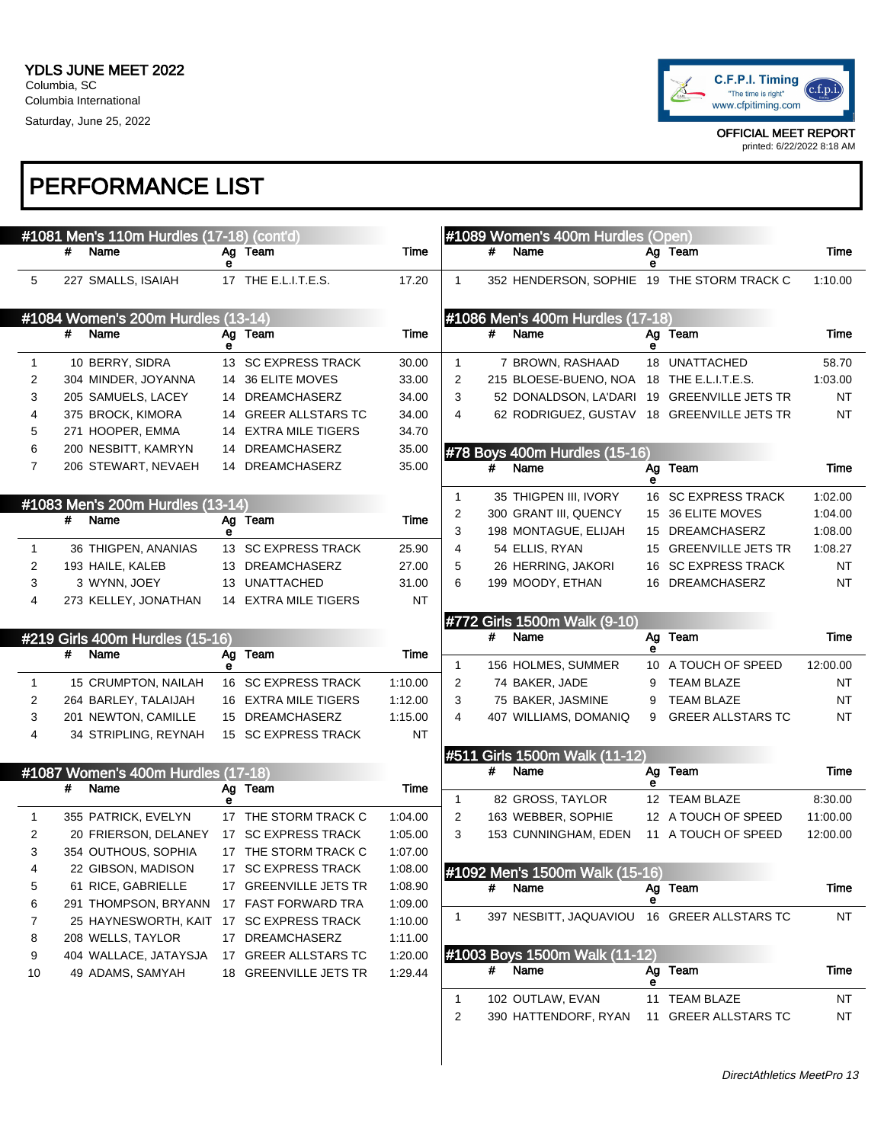

|                | #1081 Men's 110m Hurdles (17-18) (cont'd) |   |                       |         |              |   | #1089 Women's 400m Hurdles (Open)          |    |                                             |           |
|----------------|-------------------------------------------|---|-----------------------|---------|--------------|---|--------------------------------------------|----|---------------------------------------------|-----------|
|                | #<br>Name                                 |   | Ag Team               | Time    |              | # | Name                                       |    | Ag Team                                     | Time      |
| 5              | 227 SMALLS, ISAIAH                        | е | 17 THE E.L.I.T.E.S.   | 17.20   | $\mathbf{1}$ |   | 352 HENDERSON, SOPHIE 19 THE STORM TRACK C | е  |                                             | 1:10.00   |
|                |                                           |   |                       |         |              |   |                                            |    |                                             |           |
|                | #1084 Women's 200m Hurdles (13-14)        |   |                       |         |              |   | #1086 Men's 400m Hurdles (17-18)           |    |                                             |           |
|                | #<br>Name                                 |   | Ag Team               | Time    |              | # | Name                                       |    | Ag Team                                     | Time      |
|                |                                           | е |                       |         |              |   |                                            | е  |                                             |           |
| 1              | 10 BERRY, SIDRA                           |   | 13 SC EXPRESS TRACK   | 30.00   | $\mathbf{1}$ |   | 7 BROWN, RASHAAD                           |    | 18 UNATTACHED                               | 58.70     |
| $\overline{c}$ | 304 MINDER, JOYANNA                       |   | 14 36 ELITE MOVES     | 33.00   | 2            |   | 215 BLOESE-BUENO, NOA 18 THE E.L.I.T.E.S.  |    |                                             | 1:03.00   |
| 3              | 205 SAMUELS, LACEY                        |   | 14 DREAMCHASERZ       | 34.00   | 3            |   |                                            |    | 52 DONALDSON, LA'DARI 19 GREENVILLE JETS TR | NT        |
| 4              | 375 BROCK, KIMORA                         |   | 14 GREER ALLSTARS TC  | 34.00   | 4            |   |                                            |    | 62 RODRIGUEZ, GUSTAV 18 GREENVILLE JETS TR  | NT        |
| 5              | 271 HOOPER, EMMA                          |   | 14 EXTRA MILE TIGERS  | 34.70   |              |   |                                            |    |                                             |           |
| 6              | 200 NESBITT, KAMRYN                       |   | 14 DREAMCHASERZ       | 35.00   |              |   | #78 Boys 400m Hurdles (15-16)              |    |                                             |           |
| 7              | 206 STEWART, NEVAEH                       |   | 14 DREAMCHASERZ       | 35.00   |              | # | Name                                       | е  | Ag Team                                     | Time      |
|                | #1083 Men's 200m Hurdles (13-14)          |   |                       |         | $\mathbf{1}$ |   | 35 THIGPEN III, IVORY                      |    | 16 SC EXPRESS TRACK                         | 1:02.00   |
|                | #<br>Name                                 |   | Ag Team               | Time    | 2            |   | 300 GRANT III, QUENCY                      |    | 15 36 ELITE MOVES                           | 1:04.00   |
|                |                                           | е |                       |         | 3            |   | 198 MONTAGUE, ELIJAH                       |    | 15 DREAMCHASERZ                             | 1:08.00   |
| 1              | 36 THIGPEN, ANANIAS                       |   | 13 SC EXPRESS TRACK   | 25.90   | 4            |   | 54 ELLIS, RYAN                             |    | 15 GREENVILLE JETS TR                       | 1:08.27   |
| $\overline{c}$ | 193 HAILE, KALEB                          |   | 13 DREAMCHASERZ       | 27.00   | 5            |   | 26 HERRING, JAKORI                         |    | 16 SC EXPRESS TRACK                         | ΝT        |
| 3              | 3 WYNN, JOEY                              |   | 13 UNATTACHED         | 31.00   | 6            |   | 199 MOODY, ETHAN                           |    | 16 DREAMCHASERZ                             | <b>NT</b> |
| 4              | 273 KELLEY, JONATHAN                      |   | 14 EXTRA MILE TIGERS  | NT      |              |   |                                            |    |                                             |           |
|                |                                           |   |                       |         |              |   | #772 Girls 1500m Walk (9-10)               |    |                                             |           |
|                |                                           |   |                       |         |              |   |                                            |    |                                             |           |
|                | #219 Girls 400m Hurdles (15-16)           |   |                       |         |              | # | Name                                       |    | Ag Team                                     | Time      |
|                | #<br>Name                                 |   | Ag Team               | Time    |              |   |                                            | е  |                                             |           |
|                |                                           | е |                       |         | $\mathbf{1}$ |   | 156 HOLMES, SUMMER                         |    | 10 A TOUCH OF SPEED                         | 12:00.00  |
| 1              | 15 CRUMPTON, NAILAH                       |   | 16 SC EXPRESS TRACK   | 1:10.00 | 2            |   | 74 BAKER, JADE                             | 9  | <b>TEAM BLAZE</b>                           | ΝT        |
| 2              | 264 BARLEY, TALAIJAH                      |   | 16 EXTRA MILE TIGERS  | 1:12.00 | 3            |   | 75 BAKER, JASMINE                          | 9  | <b>TEAM BLAZE</b>                           | <b>NT</b> |
| 3<br>4         | 201 NEWTON, CAMILLE                       |   | 15 DREAMCHASERZ       | 1:15.00 | 4            |   | 407 WILLIAMS, DOMANIQ                      | 9  | <b>GREER ALLSTARS TC</b>                    | <b>NT</b> |
|                | 34 STRIPLING, REYNAH                      |   | 15 SC EXPRESS TRACK   | NT      |              |   |                                            |    |                                             |           |
|                | #1087 Women's 400m Hurdles (17-18)        |   |                       |         |              | # | #511 Girls 1500m Walk (11-12)<br>Name      |    | Ag Team                                     | Time      |
|                | #<br>Name                                 |   | Ag Team               | Time    |              |   |                                            | е  |                                             |           |
|                |                                           |   |                       |         | 1            |   | 82 GROSS, TAYLOR                           |    | 12 TEAM BLAZE                               | 8:30.00   |
| 1              | 355 PATRICK, EVELYN                       |   | 17 THE STORM TRACK C  | 1:04.00 | 2            |   | 163 WEBBER, SOPHIE                         |    | 12 A TOUCH OF SPEED                         | 11:00.00  |
| $\overline{c}$ | 20 FRIERSON, DELANEY                      |   | 17 SC EXPRESS TRACK   | 1:05.00 | 3            |   | 153 CUNNINGHAM, EDEN                       |    | 11 A TOUCH OF SPEED                         | 12:00.00  |
| 3              | 354 OUTHOUS, SOPHIA                       |   | 17 THE STORM TRACK C  | 1:07.00 |              |   |                                            |    |                                             |           |
| 4              | 22 GIBSON, MADISON                        |   | 17 SC EXPRESS TRACK   | 1:08.00 |              |   | #1092 Men's 1500m Walk (15-16)             |    |                                             |           |
| 5              | 61 RICE, GABRIELLE                        |   | 17 GREENVILLE JETS TR | 1:08.90 |              | # | Name                                       | Ag | Team                                        | Time      |
| 6              | 291 THOMPSON, BRYANN                      |   | 17 FAST FORWARD TRA   | 1:09.00 |              |   |                                            | е  |                                             |           |
| 7              | 25 HAYNESWORTH, KAIT 17 SC EXPRESS TRACK  |   |                       | 1:10.00 | 1            |   | 397 NESBITT, JAQUAVIOU                     |    | 16 GREER ALLSTARS TC                        | NT        |
| 8              | 208 WELLS, TAYLOR                         |   | 17 DREAMCHASERZ       | 1:11.00 |              |   |                                            |    |                                             |           |
| 9              | 404 WALLACE, JATAYSJA                     |   | 17 GREER ALLSTARS TC  | 1:20.00 |              |   | #1003 Boys 1500m Walk (11-12)              |    |                                             |           |
| 10             | 49 ADAMS, SAMYAH                          |   | 18 GREENVILLE JETS TR | 1:29.44 |              |   | # Name                                     | е  | Ag Team                                     | Time      |
|                |                                           |   |                       |         | 1            |   | 102 OUTLAW, EVAN                           |    | 11 TEAM BLAZE                               | NT        |
|                |                                           |   |                       |         | 2            |   | 390 HATTENDORF, RYAN                       |    | 11 GREER ALLSTARS TC                        | NT        |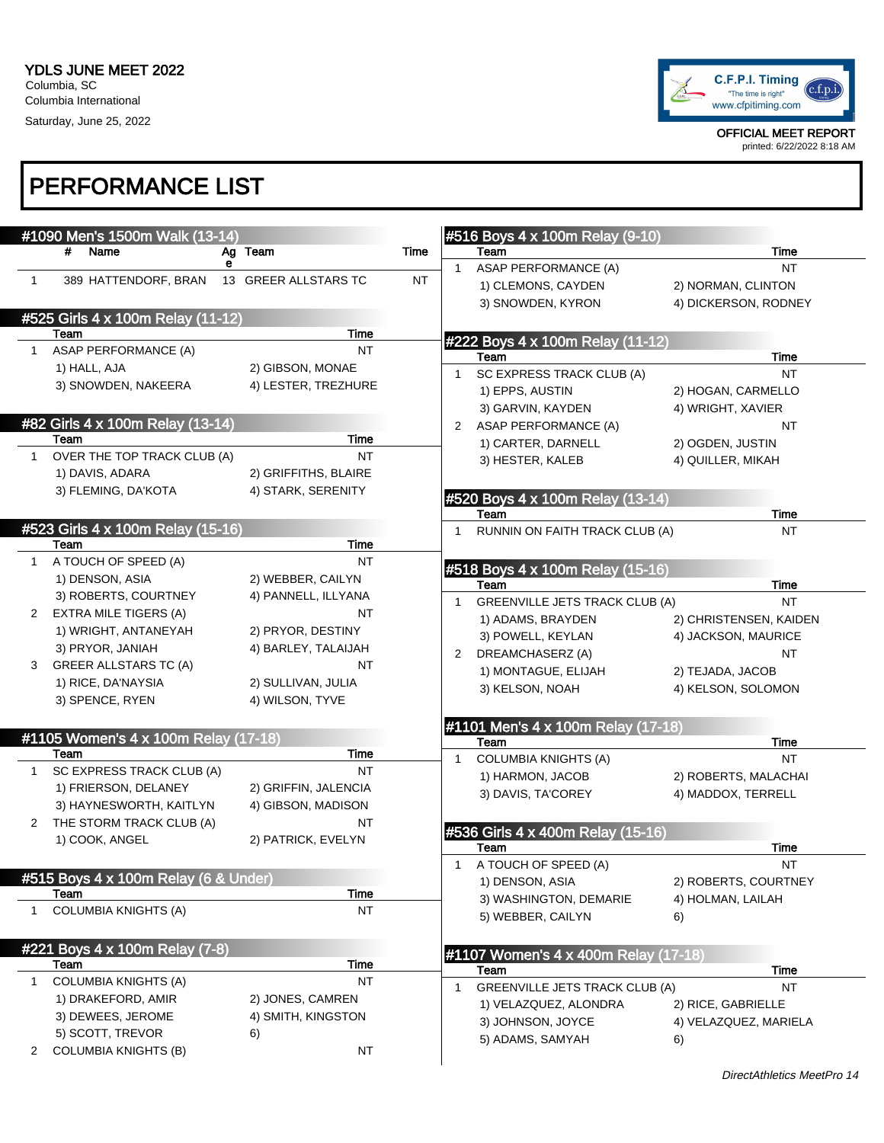

|                      | #1090 Men's 1500m Walk (13-14)       |                      |             | #516 Boys 4 x 100m Relay (9-10)              |                        |
|----------------------|--------------------------------------|----------------------|-------------|----------------------------------------------|------------------------|
|                      | Name<br>#                            | Ag Team              | <b>Time</b> | Team                                         | Time                   |
|                      |                                      | е                    |             | <b>ASAP PERFORMANCE (A)</b><br>$\mathbf{1}$  | <b>NT</b>              |
| $\mathbf{1}$         | 389 HATTENDORF, BRAN                 | 13 GREER ALLSTARS TC | <b>NT</b>   | 1) CLEMONS, CAYDEN                           | 2) NORMAN, CLINTON     |
|                      |                                      |                      |             | 3) SNOWDEN, KYRON                            | 4) DICKERSON, RODNEY   |
|                      | #525 Girls 4 x 100m Relay (11-12)    |                      |             |                                              |                        |
|                      | Team                                 | Time                 |             | #222 Boys 4 x 100m Relay (11-12)             |                        |
|                      | ASAP PERFORMANCE (A)                 | <b>NT</b>            |             | Team                                         | <b>Time</b>            |
|                      | 1) HALL, AJA                         | 2) GIBSON, MONAE     |             | SC EXPRESS TRACK CLUB (A)<br>1.              | <b>NT</b>              |
|                      | 3) SNOWDEN, NAKEERA                  | 4) LESTER, TREZHURE  |             | 1) EPPS, AUSTIN                              | 2) HOGAN, CARMELLO     |
|                      |                                      |                      |             | 3) GARVIN, KAYDEN                            | 4) WRIGHT, XAVIER      |
|                      | #82 Girls 4 x 100m Relay (13-14)     |                      |             | 2 ASAP PERFORMANCE (A)                       | NT                     |
|                      | Team                                 | Time                 |             | 1) CARTER, DARNELL                           | 2) OGDEN, JUSTIN       |
| $\mathbf{1}$         | OVER THE TOP TRACK CLUB (A)          | <b>NT</b>            |             | 3) HESTER, KALEB                             | 4) QUILLER, MIKAH      |
|                      | 1) DAVIS, ADARA                      | 2) GRIFFITHS, BLAIRE |             |                                              |                        |
|                      | 3) FLEMING, DA'KOTA                  | 4) STARK, SERENITY   |             | #520 Boys 4 x 100m Relay (13-14)             |                        |
|                      |                                      |                      |             | Team                                         | Time                   |
|                      | #523 Girls 4 x 100m Relay (15-16)    |                      |             | RUNNIN ON FAITH TRACK CLUB (A)               | NT                     |
|                      | Team                                 | <b>Time</b>          |             |                                              |                        |
| 1                    | A TOUCH OF SPEED (A)                 | <b>NT</b>            |             | #518 Boys 4 x 100m Relay (15-16)             |                        |
|                      | 1) DENSON, ASIA                      | 2) WEBBER, CAILYN    |             | Team                                         | Time                   |
|                      | 3) ROBERTS, COURTNEY                 | 4) PANNELL, ILLYANA  |             | <b>GREENVILLE JETS TRACK CLUB (A)</b>        | NT                     |
| 2                    | EXTRA MILE TIGERS (A)                | NT                   |             | 1) ADAMS, BRAYDEN                            | 2) CHRISTENSEN, KAIDEN |
|                      | 1) WRIGHT, ANTANEYAH                 | 2) PRYOR, DESTINY    |             | 3) POWELL, KEYLAN                            | 4) JACKSON, MAURICE    |
|                      | 3) PRYOR, JANIAH                     | 4) BARLEY, TALAIJAH  |             | DREAMCHASERZ (A)<br>2                        | <b>NT</b>              |
| 3                    | <b>GREER ALLSTARS TC (A)</b>         | NT                   |             | 1) MONTAGUE, ELIJAH                          | 2) TEJADA, JACOB       |
|                      | 1) RICE, DA'NAYSIA                   | 2) SULLIVAN, JULIA   |             | 3) KELSON, NOAH                              | 4) KELSON, SOLOMON     |
|                      | 3) SPENCE, RYEN                      | 4) WILSON, TYVE      |             |                                              |                        |
|                      |                                      |                      |             |                                              |                        |
|                      | #1105 Women's 4 x 100m Relay (17-18) |                      |             | #1101 Men's 4 x 100m Relay (17-18)<br>Team   | Time                   |
|                      | Team                                 | Time                 |             | <b>COLUMBIA KNIGHTS (A)</b><br>1.            | <b>NT</b>              |
| $\mathbf{1}$         | SC EXPRESS TRACK CLUB (A)            | <b>NT</b>            |             | 1) HARMON, JACOB                             | 2) ROBERTS, MALACHAI   |
|                      | 1) FRIERSON, DELANEY                 | 2) GRIFFIN, JALENCIA |             | 3) DAVIS, TA'COREY                           | 4) MADDOX, TERRELL     |
|                      | 3) HAYNESWORTH, KAITLYN              | 4) GIBSON, MADISON   |             |                                              |                        |
| $\mathbf{2}^{\circ}$ | THE STORM TRACK CLUB (A)             | NT                   |             |                                              |                        |
|                      | 1) COOK, ANGEL                       | 2) PATRICK, EVELYN   |             | #536 Girls 4 x 400m Relay (15-16)<br>Team    | Time                   |
|                      |                                      |                      |             | A TOUCH OF SPEED (A)<br>$1 \quad$            | <b>NT</b>              |
|                      | #515 Boys 4 x 100m Relay (6 & Under) |                      |             | 1) DENSON, ASIA                              | 2) ROBERTS, COURTNEY   |
|                      | Team                                 | Time                 |             | 3) WASHINGTON, DEMARIE                       | 4) HOLMAN, LAILAH      |
| 1                    | <b>COLUMBIA KNIGHTS (A)</b>          | <b>NT</b>            |             | 5) WEBBER, CAILYN                            |                        |
|                      |                                      |                      |             |                                              | 6)                     |
|                      | #221 Boys 4 x 100m Relay (7-8)       |                      |             |                                              |                        |
|                      | Team                                 | Time                 |             | #1107 Women's 4 x 400m Relay (17-18)<br>Team | Time                   |
| 1                    | <b>COLUMBIA KNIGHTS (A)</b>          | NT                   |             | <b>GREENVILLE JETS TRACK CLUB (A)</b>        | <b>NT</b>              |
|                      | 1) DRAKEFORD, AMIR                   | 2) JONES, CAMREN     |             | 1<br>1) VELAZQUEZ, ALONDRA                   |                        |
|                      | 3) DEWEES, JEROME                    | 4) SMITH, KINGSTON   |             |                                              | 2) RICE, GABRIELLE     |
|                      | 5) SCOTT, TREVOR                     | 6)                   |             | 3) JOHNSON, JOYCE                            | 4) VELAZQUEZ, MARIELA  |
| 2                    | <b>COLUMBIA KNIGHTS (B)</b>          | <b>NT</b>            |             | 5) ADAMS, SAMYAH                             | 6)                     |
|                      |                                      |                      |             |                                              |                        |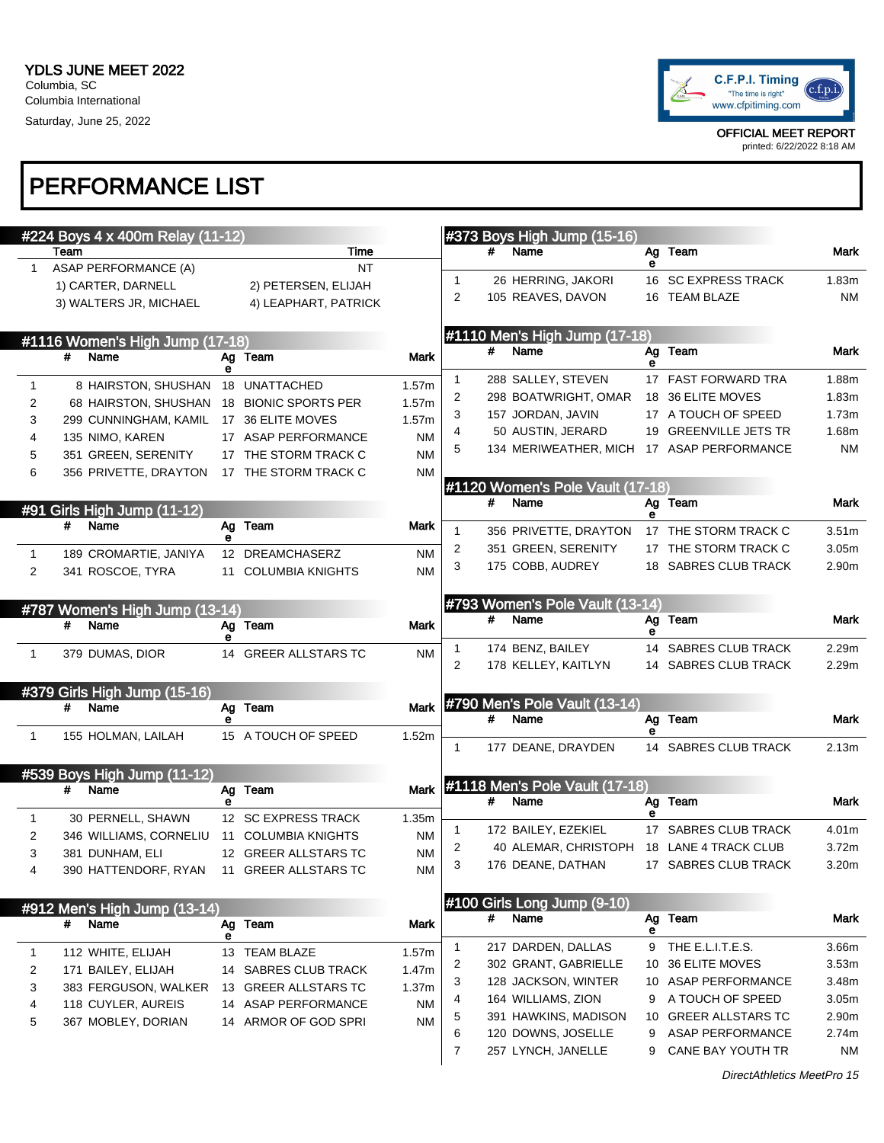

printed: 6/22/2022 8:18 AM

# PERFORMANCE LIST

|                     |      | #224 Boys 4 x 400m Relay (11-12)          |    |                      |                        |        |   | #373 Boys High Jump (15-16)                |   |                       |                   |
|---------------------|------|-------------------------------------------|----|----------------------|------------------------|--------|---|--------------------------------------------|---|-----------------------|-------------------|
|                     | Team |                                           |    | Time                 |                        |        |   | # Name                                     |   | Ag Team               | Mark              |
| 1                   |      | ASAP PERFORMANCE (A)                      |    | <b>NT</b>            |                        | 1      |   | 26 HERRING, JAKORI                         | е | 16 SC EXPRESS TRACK   | 1.83m             |
|                     |      | 1) CARTER, DARNELL                        |    | 2) PETERSEN, ELIJAH  |                        | 2      |   | 105 REAVES, DAVON                          |   | 16 TEAM BLAZE         | <b>NM</b>         |
|                     |      | 3) WALTERS JR, MICHAEL                    |    | 4) LEAPHART, PATRICK |                        |        |   |                                            |   |                       |                   |
|                     |      |                                           |    |                      |                        |        |   | #1110 Men's High Jump (17-18)              |   |                       |                   |
|                     | #    | #1116 Women's High Jump (17-18)<br>Name   |    | Ag Team              | Mark                   |        | # | Name                                       |   | Ag Team               | Mark              |
|                     |      |                                           | е  |                      |                        |        |   |                                            | е | 17 FAST FORWARD TRA   |                   |
| $\mathbf{1}$        |      | 8 HAIRSTON, SHUSHAN 18 UNATTACHED         |    |                      | 1.57m                  | 1<br>2 |   | 288 SALLEY, STEVEN<br>298 BOATWRIGHT, OMAR |   | 18 36 ELITE MOVES     | 1.88m<br>1.83m    |
| 2                   |      | 68 HAIRSTON, SHUSHAN 18 BIONIC SPORTS PER |    |                      | 1.57m                  | 3      |   | 157 JORDAN, JAVIN                          |   | 17 A TOUCH OF SPEED   | 1.73m             |
| 3                   |      | 299 CUNNINGHAM, KAMIL 17 36 ELITE MOVES   |    |                      | 1.57m                  | 4      |   | 50 AUSTIN, JERARD                          |   | 19 GREENVILLE JETS TR | 1.68m             |
| 4                   |      | 135 NIMO, KAREN                           |    | 17 ASAP PERFORMANCE  | ΝM                     |        |   | 134 MERIWEATHER, MICH                      |   | 17 ASAP PERFORMANCE   | <b>NM</b>         |
| 5                   |      | 351 GREEN, SERENITY                       |    | 17 THE STORM TRACK C | <b>NM</b>              |        |   |                                            |   |                       |                   |
| 6                   |      | 356 PRIVETTE, DRAYTON                     |    | 17 THE STORM TRACK C | ΝM                     |        |   |                                            |   |                       |                   |
|                     |      |                                           |    |                      |                        |        | # | #1120 Women's Pole Vault (17-18)<br>Name   |   | Ag Team               | Mark              |
|                     |      | #91 Girls High Jump (11-12)               |    |                      |                        |        |   |                                            | е |                       |                   |
|                     | #    | Name                                      | е  | Ag Team              | Mark                   |        |   | 356 PRIVETTE, DRAYTON 17 THE STORM TRACK C |   |                       | 3.51 <sub>m</sub> |
| 1                   |      | 189 CROMARTIE, JANIYA                     |    | 12 DREAMCHASERZ      | ΝM                     | 2      |   | 351 GREEN, SERENITY                        |   | 17 THE STORM TRACK C  | 3.05m             |
| 2                   |      | 341 ROSCOE, TYRA                          |    | 11 COLUMBIA KNIGHTS  | <b>NM</b>              | 3      |   | 175 COBB, AUDREY                           |   | 18 SABRES CLUB TRACK  | 2.90m             |
|                     |      |                                           |    |                      |                        |        |   |                                            |   |                       |                   |
|                     |      | #787 Women's High Jump (13-14)            |    |                      |                        |        |   | #793 Women's Pole Vault (13-14)            |   |                       |                   |
|                     | #    | Name                                      |    | Ag Team              | Mark                   |        | # | Name                                       | е | Ag Team               | Mark              |
|                     |      |                                           |    |                      |                        | 1      |   | 174 BENZ, BAILEY                           |   | 14 SABRES CLUB TRACK  | 2.29m             |
| $\mathbf{1}$        |      | 379 DUMAS, DIOR                           |    | 14 GREER ALLSTARS TC | <b>NM</b>              | 2      |   | 178 KELLEY, KAITLYN                        |   | 14 SABRES CLUB TRACK  | 2.29m             |
|                     |      |                                           |    |                      |                        |        |   |                                            |   |                       |                   |
|                     |      | #379 Girls High Jump (15-16)              |    |                      |                        |        |   | #790 Men's Pole Vault (13-14)              |   |                       |                   |
|                     | #    | Name                                      |    | Ag Team              | Mark                   |        |   | # Name                                     |   | Ag Team               | Mark              |
| $\mathbf{1}$        |      | 155 HOLMAN, LAILAH                        |    | 15 A TOUCH OF SPEED  | 1.52m                  |        |   |                                            |   |                       |                   |
|                     |      |                                           |    |                      |                        |        |   | 177 DEANE, DRAYDEN                         |   | 14 SABRES CLUB TRACK  | 2.13m             |
|                     |      | #539 Boys High Jump (11-12)               |    |                      |                        |        |   |                                            |   |                       |                   |
|                     | #    | Name                                      |    | Ag Team              | Mark                   |        |   | #1118 Men's Pole Vault (17-18)             |   |                       |                   |
|                     |      | 30 PERNELL, SHAWN                         |    | 12 SC EXPRESS TRACK  | 1.35m                  |        | # | Name                                       | е | Ag Team               | Mark              |
| 1<br>$\overline{2}$ |      | 346 WILLIAMS, CORNELIU                    |    | 11 COLUMBIA KNIGHTS  | ΝM                     |        |   | 172 BAILEY, EZEKIEL                        |   | 17 SABRES CLUB TRACK  | 4.01m             |
| 3                   |      | 381 DUNHAM, ELI                           |    | 12 GREER ALLSTARS TC | <b>NM</b>              | 2      |   | 40 ALEMAR, CHRISTOPH                       |   | 18 LANE 4 TRACK CLUB  | 3.72m             |
|                     |      | 390 HATTENDORF, RYAN 11 GREER ALLSTARS TC |    |                      | $\mathsf{N}\mathsf{M}$ |        |   | 176 DEANE, DATHAN                          |   | 17 SABRES CLUB TRACK  | 3.20m             |
|                     |      |                                           |    |                      |                        |        |   |                                            |   |                       |                   |
|                     |      | #912 Men's High Jump (13-14)              |    |                      |                        |        |   | #100 Girls Long Jump (9-10)                |   |                       |                   |
|                     | #    | Name                                      | Ag | Team                 | Mark                   |        | # | Name                                       |   | Ag Team               | Mark              |
|                     |      |                                           | е  |                      |                        |        |   |                                            | е |                       |                   |
| 1                   |      | 112 WHITE, ELIJAH                         |    | 13 TEAM BLAZE        | 1.57m                  | 1      |   | 217 DARDEN, DALLAS                         | 9 | THE E.L.I.T.E.S.      | 3.66m             |
| 2                   |      | 171 BAILEY, ELIJAH                        |    | 14 SABRES CLUB TRACK | 1.47m                  | 2      |   | 302 GRANT, GABRIELLE                       |   | 10 36 ELITE MOVES     | 3.53m             |
| 3                   |      | 383 FERGUSON, WALKER                      |    | 13 GREER ALLSTARS TC | 1.37m                  | 3      |   | 128 JACKSON, WINTER                        |   | 10 ASAP PERFORMANCE   | 3.48m             |
| 4                   |      | 118 CUYLER, AUREIS                        |    | 14 ASAP PERFORMANCE  | ΝM                     | 4      |   | 164 WILLIAMS, ZION                         | 9 | A TOUCH OF SPEED      | 3.05m             |
| 5                   |      | 367 MOBLEY, DORIAN                        |    | 14 ARMOR OF GOD SPRI | ΝM                     | 5      |   | 391 HAWKINS, MADISON                       |   | 10 GREER ALLSTARS TC  | 2.90m             |
|                     |      |                                           |    |                      |                        | 6      |   | 120 DOWNS, JOSELLE                         | 9 | ASAP PERFORMANCE      | 2.74m             |
|                     |      |                                           |    |                      |                        | 7      |   | 257 LYNCH, JANELLE                         | 9 | CANE BAY YOUTH TR     | <b>NM</b>         |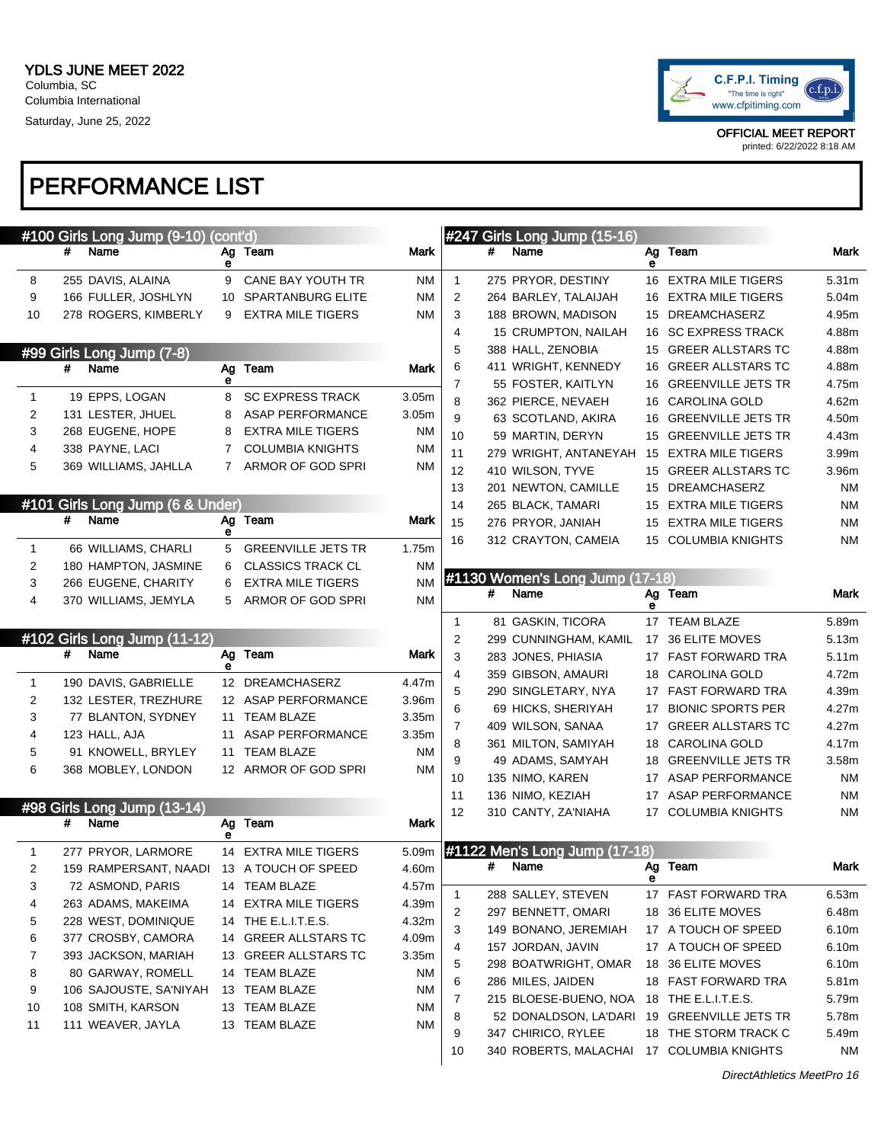

#### PERFORMANCE LIST

|              | #100 Girls Long Jump (9-10) (cont'd) |         |             |                                           |             |                |   | #247 Girls Long Jump (15-16)                |    |                                             |             |
|--------------|--------------------------------------|---------|-------------|-------------------------------------------|-------------|----------------|---|---------------------------------------------|----|---------------------------------------------|-------------|
|              | #<br>Name                            | Ag<br>е |             | Team                                      | Mark        |                | # | Name                                        | е  | Ag Team                                     | Mark        |
| 8            | 255 DAVIS, ALAINA                    | 9       |             | CANE BAY YOUTH TR                         | ΝM          | $\mathbf{1}$   |   | 275 PRYOR, DESTINY                          |    | 16 EXTRA MILE TIGERS                        | 5.31m       |
| 9            | 166 FULLER, JOSHLYN                  |         |             | 10 SPARTANBURG ELITE                      | <b>NM</b>   | $\overline{c}$ |   | 264 BARLEY, TALAIJAH                        |    | 16 EXTRA MILE TIGERS                        | 5.04m       |
| 10           | 278 ROGERS, KIMBERLY                 |         | 9           | <b>EXTRA MILE TIGERS</b>                  | ΝM          | 3              |   | 188 BROWN, MADISON                          |    | 15 DREAMCHASERZ                             | 4.95m       |
|              |                                      |         |             |                                           |             | 4              |   | 15 CRUMPTON, NAILAH                         |    | 16 SC EXPRESS TRACK                         | 4.88m       |
|              | #99 Girls Long Jump (7-8)            |         |             |                                           |             | 5              |   | 388 HALL, ZENOBIA                           |    | 15 GREER ALLSTARS TC                        | 4.88m       |
|              | Name<br>#                            | Ag      |             | Team                                      | Mark        | 6              |   | 411 WRIGHT, KENNEDY                         |    | 16 GREER ALLSTARS TC                        | 4.88m       |
|              |                                      | е       |             |                                           |             | 7              |   | 55 FOSTER, KAITLYN                          |    | 16 GREENVILLE JETS TR                       | 4.75m       |
| 1            | 19 EPPS, LOGAN                       | 8       |             | <b>SC EXPRESS TRACK</b>                   | 3.05m       | 8              |   | 362 PIERCE, NEVAEH                          |    | 16 CAROLINA GOLD                            | 4.62m       |
| 2            | 131 LESTER, JHUEL                    | 8       |             | <b>ASAP PERFORMANCE</b>                   | 3.05m       | 9              |   | 63 SCOTLAND, AKIRA                          |    | 16 GREENVILLE JETS TR                       | 4.50m       |
| 3            | 268 EUGENE, HOPE                     | 8       |             | <b>EXTRA MILE TIGERS</b>                  | ΝM          | 10             |   | 59 MARTIN, DERYN                            |    | 15 GREENVILLE JETS TR                       | 4.43m       |
| 4            | 338 PAYNE, LACI                      | 7       |             | <b>COLUMBIA KNIGHTS</b>                   | ΝM          | 11             |   | 279 WRIGHT, ANTANEYAH                       |    | 15 EXTRA MILE TIGERS                        | 3.99m       |
| 5            | 369 WILLIAMS, JAHLLA                 |         | $7^{\circ}$ | ARMOR OF GOD SPRI                         | <b>NM</b>   | 12             |   | 410 WILSON, TYVE                            |    | 15 GREER ALLSTARS TC                        | 3.96m       |
|              |                                      |         |             |                                           |             | 13             |   | 201 NEWTON, CAMILLE                         |    | 15 DREAMCHASERZ                             | ΝM          |
|              | #101 Girls Long Jump (6 & Under)     |         |             |                                           |             | 14             |   | 265 BLACK, TAMARI                           |    | 15 EXTRA MILE TIGERS                        | <b>NM</b>   |
|              | #<br>Name                            | Ag      |             | Team                                      | Mark        | 15             |   | 276 PRYOR, JANIAH                           |    | 15 EXTRA MILE TIGERS                        | <b>NM</b>   |
|              |                                      | е       |             | <b>GREENVILLE JETS TR</b>                 |             | 16             |   | 312 CRAYTON, CAMEIA                         |    | 15 COLUMBIA KNIGHTS                         | ΝM          |
| $\mathbf{1}$ | 66 WILLIAMS, CHARLI                  | 5       |             |                                           | 1.75m       |                |   |                                             |    |                                             |             |
| 2            | 180 HAMPTON, JASMINE                 | 6       |             | <b>CLASSICS TRACK CL</b>                  | ΝM          |                |   | #1130 Women's Long Jump (17-18)             |    |                                             |             |
| 3            | 266 EUGENE, CHARITY                  | 6       |             | <b>EXTRA MILE TIGERS</b>                  | <b>NM</b>   |                | # | Name                                        |    | Ag Team                                     | Mark        |
| 4            | 370 WILLIAMS, JEMYLA                 |         | 5           | ARMOR OF GOD SPRI                         | ΝM          |                |   |                                             | е  |                                             |             |
|              |                                      |         |             |                                           |             | $\mathbf{1}$   |   | 81 GASKIN, TICORA                           |    | 17 TEAM BLAZE                               | 5.89m       |
|              | #102 Girls Long Jump (11-12)         |         |             |                                           |             | 2              |   | 299 CUNNINGHAM, KAMIL                       |    | 17 36 ELITE MOVES                           | 5.13m       |
|              | #<br>Name                            | Ag      |             | Team                                      | <b>Mark</b> | 3              |   | 283 JONES, PHIASIA                          |    | 17 FAST FORWARD TRA                         | 5.11m       |
|              |                                      | е       |             |                                           |             |                |   |                                             |    |                                             |             |
|              |                                      |         |             |                                           |             | 4              |   | 359 GIBSON, AMAURI                          |    | 18 CAROLINA GOLD                            | 4.72m       |
| 1            | 190 DAVIS, GABRIELLE                 |         |             | 12 DREAMCHASERZ                           | 4.47m       | 5              |   | 290 SINGLETARY, NYA                         |    | 17 FAST FORWARD TRA                         | 4.39m       |
| 2            | 132 LESTER, TREZHURE                 |         |             | 12 ASAP PERFORMANCE                       | 3.96m       | 6              |   | 69 HICKS, SHERIYAH                          | 17 | <b>BIONIC SPORTS PER</b>                    | 4.27m       |
| 3            | 77 BLANTON, SYDNEY                   |         |             | 11 TEAM BLAZE                             | 3.35m       | $\overline{7}$ |   | 409 WILSON, SANAA                           |    | 17 GREER ALLSTARS TC                        | 4.27m       |
| 4            | 123 HALL, AJA                        |         |             | 11 ASAP PERFORMANCE                       | 3.35m       | 8              |   | 361 MILTON, SAMIYAH                         |    | 18 CAROLINA GOLD                            | 4.17m       |
| 5            | 91 KNOWELL, BRYLEY                   |         |             | 11 TEAM BLAZE                             | <b>NM</b>   | 9              |   | 49 ADAMS, SAMYAH                            |    | 18 GREENVILLE JETS TR                       | 3.58m       |
| 6            | 368 MOBLEY, LONDON                   |         |             | 12 ARMOR OF GOD SPRI                      | ΝM          | 10             |   | 135 NIMO, KAREN                             |    | 17 ASAP PERFORMANCE                         | ΝM          |
|              |                                      |         |             |                                           |             | 11             |   | 136 NIMO, KEZIAH                            |    | 17 ASAP PERFORMANCE                         | ΝM          |
|              | #98 Girls Long Jump (13-14)          |         |             |                                           |             | 12             |   | 310 CANTY, ZA'NIAHA                         | 17 | <b>COLUMBIA KNIGHTS</b>                     | ΝM          |
|              | #<br>Name                            | Ag<br>е |             | Team                                      | Mark        |                |   |                                             |    |                                             |             |
| 1            | 277 PRYOR, LARMORE                   |         |             | 14 EXTRA MILE TIGERS                      | 5.09m       |                |   | #1122 Men's Long Jump (17-18)               |    |                                             |             |
|              |                                      |         |             | 159 RAMPERSANT, NAADI 13 A TOUCH OF SPEED | 4.60m       |                | # | Name                                        |    | Ag Team                                     | Mark        |
| 3            | 72 ASMOND, PARIS                     |         |             | 14 TEAM BLAZE                             | 4.57m       |                |   |                                             | е  |                                             |             |
| 4            | 263 ADAMS, MAKEIMA                   |         |             | 14 EXTRA MILE TIGERS                      | 4.39m       | $\mathbf{1}$   |   | 288 SALLEY, STEVEN                          |    | 17 FAST FORWARD TRA                         | 6.53m       |
| 5            | 228 WEST, DOMINIQUE                  |         |             | 14 THE E.L.I.T.E.S.                       | 4.32m       | 2              |   | 297 BENNETT, OMARI                          |    | 18 36 ELITE MOVES                           | 6.48m       |
| 6            | 377 CROSBY, CAMORA                   |         |             | 14 GREER ALLSTARS TC                      | 4.09m       | 3              |   | 149 BONANO, JEREMIAH                        |    | 17 A TOUCH OF SPEED                         | 6.10m       |
| 7            | 393 JACKSON, MARIAH                  |         |             | 13 GREER ALLSTARS TC                      | 3.35m       | 4              |   | 157 JORDAN, JAVIN                           |    | 17 A TOUCH OF SPEED                         | 6.10m       |
| 8            | 80 GARWAY, ROMELL                    |         |             | 14 TEAM BLAZE                             | NM.         | 5              |   | 298 BOATWRIGHT, OMAR                        |    | 18 36 ELITE MOVES                           | 6.10m       |
| 9            | 106 SAJOUSTE, SA'NIYAH               |         |             | 13 TEAM BLAZE                             | ΝM          | 6              |   | 286 MILES, JAIDEN                           |    | 18 FAST FORWARD TRA                         | 5.81m       |
| 10           | 108 SMITH, KARSON                    |         |             | 13 TEAM BLAZE                             | ΝM          | 7              |   | 215 BLOESE-BUENO, NOA                       |    | 18 THE E.L.I.T.E.S.                         | 5.79m       |
| 11           | 111 WEAVER, JAYLA                    |         |             | 13 TEAM BLAZE                             | ΝM          | 8              |   | 52 DONALDSON, LA'DARI                       |    | 19 GREENVILLE JETS TR                       | 5.78m       |
|              |                                      |         |             |                                           |             | 9<br>10        |   | 347 CHIRICO, RYLEE<br>340 ROBERTS, MALACHAI |    | 18 THE STORM TRACK C<br>17 COLUMBIA KNIGHTS | 5.49m<br>NM |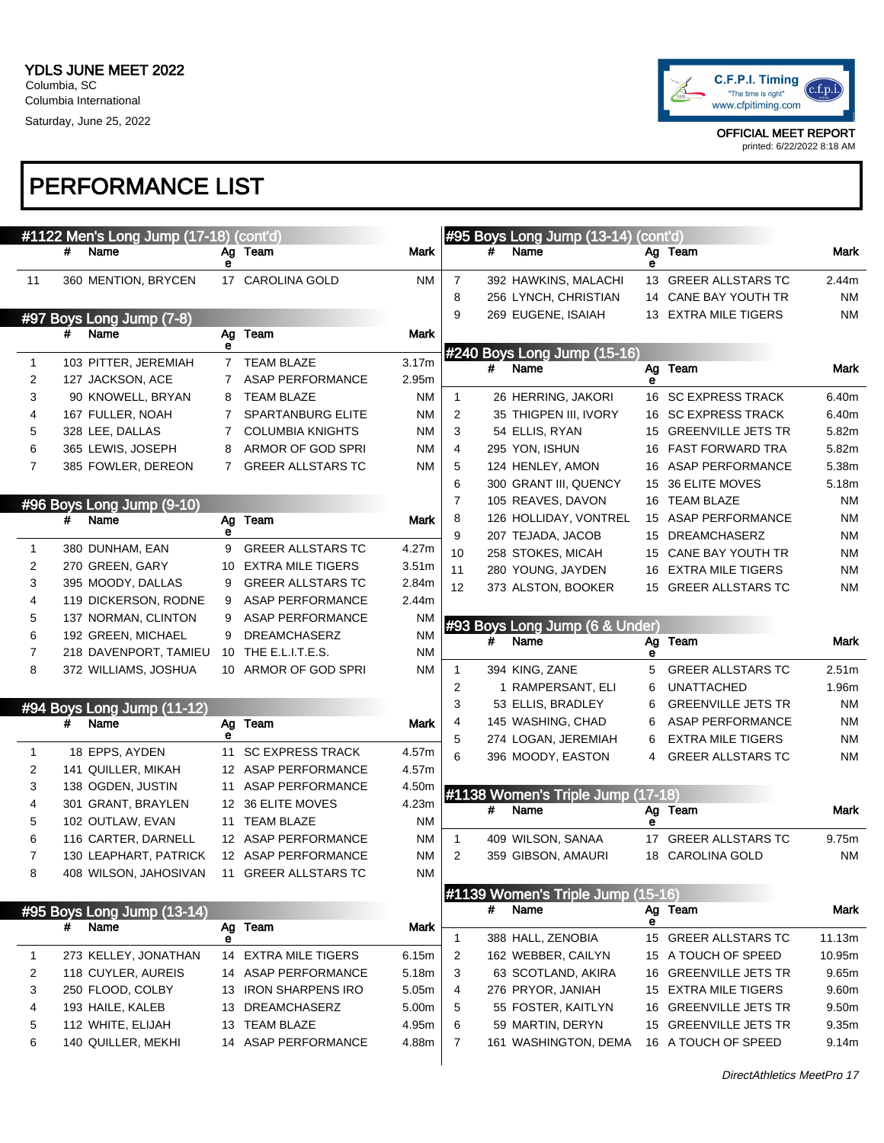

|                |   | #1122 Men's Long Jump (17-18) (cont'd) |                |                          |                   |                |   | #95 Boys Long Jump (13-14) (cont'd) |    |                           |           |
|----------------|---|----------------------------------------|----------------|--------------------------|-------------------|----------------|---|-------------------------------------|----|---------------------------|-----------|
|                | # | Name                                   | е              | Ag Team                  | Mark              |                |   | Name                                | е  | Ag Team                   | Mark      |
| 11             |   | 360 MENTION, BRYCEN                    |                | 17 CAROLINA GOLD         | ΝM                | 7              |   | 392 HAWKINS, MALACHI                |    | 13 GREER ALLSTARS TC      | 2.44m     |
|                |   |                                        |                |                          |                   | 8              |   | 256 LYNCH, CHRISTIAN                |    | 14 CANE BAY YOUTH TR      | ΝM        |
|                |   | #97 Boys Long Jump (7-8)               |                |                          |                   | 9              |   | 269 EUGENE, ISAIAH                  |    | 13 EXTRA MILE TIGERS      | <b>NM</b> |
|                | # | Name                                   | е              | Ag Team                  | Mark              |                |   |                                     |    |                           |           |
| 1              |   | 103 PITTER, JEREMIAH                   |                | 7 TEAM BLAZE             | 3.17m             |                | # | #240 Boys Long Jump (15-16)<br>Name |    | Ag Team                   | Mark      |
| 2              |   | 127 JACKSON, ACE                       | $\overline{7}$ | <b>ASAP PERFORMANCE</b>  | 2.95m             |                |   |                                     | А  |                           |           |
| 3              |   | 90 KNOWELL, BRYAN                      | 8              | <b>TEAM BLAZE</b>        | ΝM                | $\mathbf{1}$   |   | 26 HERRING, JAKORI                  |    | 16 SC EXPRESS TRACK       | 6.40m     |
| 4              |   | 167 FULLER, NOAH                       | 7              | <b>SPARTANBURG ELITE</b> | ΝM                | 2              |   | 35 THIGPEN III, IVORY               |    | 16 SC EXPRESS TRACK       | 6.40m     |
| 5              |   | 328 LEE, DALLAS                        | 7              | <b>COLUMBIA KNIGHTS</b>  | ΝM                | 3              |   | 54 ELLIS, RYAN                      | 15 | <b>GREENVILLE JETS TR</b> | 5.82m     |
| 6              |   | 365 LEWIS, JOSEPH                      | 8              | ARMOR OF GOD SPRI        | ΝM                | 4              |   | 295 YON, ISHUN                      |    | 16 FAST FORWARD TRA       | 5.82m     |
| $\overline{7}$ |   | 385 FOWLER, DEREON                     | 7              | <b>GREER ALLSTARS TC</b> | ΝM                | 5              |   | 124 HENLEY, AMON                    |    | 16 ASAP PERFORMANCE       | 5.38m     |
|                |   |                                        |                |                          |                   | 6              |   | 300 GRANT III, QUENCY               | 15 | 36 ELITE MOVES            | 5.18m     |
|                |   | #96 Boys Long Jump (9-10)              |                |                          |                   | $\overline{7}$ |   | 105 REAVES, DAVON                   |    | 16 TEAM BLAZE             | ΝM        |
|                | # | Name                                   | Ag             | Team                     | <b>Mark</b>       | 8              |   | 126 HOLLIDAY, VONTREL               |    | 15 ASAP PERFORMANCE       | <b>NM</b> |
|                |   |                                        | е              |                          |                   | 9              |   | 207 TEJADA, JACOB                   |    | 15 DREAMCHASERZ           | ΝM        |
| 1              |   | 380 DUNHAM, EAN                        | 9              | <b>GREER ALLSTARS TC</b> | 4.27m             | 10             |   | 258 STOKES, MICAH                   | 15 | CANE BAY YOUTH TR         | ΝM        |
| 2              |   | 270 GREEN, GARY                        | 10             | <b>EXTRA MILE TIGERS</b> | 3.51 <sub>m</sub> | 11             |   | 280 YOUNG, JAYDEN                   | 16 | <b>EXTRA MILE TIGERS</b>  | <b>NM</b> |
| 3              |   | 395 MOODY, DALLAS                      | 9              | <b>GREER ALLSTARS TC</b> | 2.84m             | 12             |   | 373 ALSTON, BOOKER                  |    | 15 GREER ALLSTARS TC      | <b>NM</b> |
| 4              |   | 119 DICKERSON, RODNE                   | 9              | <b>ASAP PERFORMANCE</b>  | 2.44m             |                |   |                                     |    |                           |           |
| 5              |   | 137 NORMAN, CLINTON                    | 9              | <b>ASAP PERFORMANCE</b>  | <b>NM</b>         |                |   | #93 Boys Long Jump (6 & Under)      |    |                           |           |
| 6              |   | 192 GREEN, MICHAEL                     | 9              | <b>DREAMCHASERZ</b>      | <b>NM</b>         |                | # | Name                                | Ag | Team                      | Mark      |
| 7              |   | 218 DAVENPORT, TAMIEU                  |                | 10 THE E.L.I.T.E.S.      | <b>NM</b>         |                |   |                                     | е  |                           |           |
| 8              |   | 372 WILLIAMS, JOSHUA                   |                | 10 ARMOR OF GOD SPRI     | ΝM                | 1              |   | 394 KING, ZANE                      | 5  | <b>GREER ALLSTARS TC</b>  | 2.51m     |
|                |   |                                        |                |                          |                   | 2              |   | 1 RAMPERSANT, ELI                   | 6  | <b>UNATTACHED</b>         | 1.96m     |
|                |   | #94 Boys Long Jump (11-12)             |                |                          |                   | 3              |   | 53 ELLIS, BRADLEY                   | 6  | <b>GREENVILLE JETS TR</b> | <b>NM</b> |
|                | # | Name                                   | е              | Ag Team                  | Mark              | 4              |   | 145 WASHING, CHAD                   |    | <b>ASAP PERFORMANCE</b>   | <b>NM</b> |
| $\mathbf{1}$   |   | 18 EPPS, AYDEN                         |                | 11 SC EXPRESS TRACK      | 4.57m             | 5              |   | 274 LOGAN, JEREMIAH                 | 6  | <b>EXTRA MILE TIGERS</b>  | <b>NM</b> |
| 2              |   | 141 QUILLER, MIKAH                     |                | 12 ASAP PERFORMANCE      | 4.57m             | 6              |   | 396 MOODY, EASTON                   | 4  | <b>GREER ALLSTARS TC</b>  | <b>NM</b> |
| 3              |   | 138 OGDEN, JUSTIN                      |                | 11 ASAP PERFORMANCE      | 4.50m             |                |   |                                     |    |                           |           |
| 4              |   | 301 GRANT, BRAYLEN                     |                | 12 36 ELITE MOVES        | 4.23m             |                |   | #1138 Women's Triple Jump (17-18)   |    |                           |           |
| 5              |   | 102 OUTLAW, EVAN                       |                | 11 TEAM BLAZE            | <b>NM</b>         |                | # | Name                                | е  | Ag Team                   | Mark      |
| 6              |   | 116 CARTER, DARNELL                    |                | 12 ASAP PERFORMANCE      | ΝM                | $\mathbf{1}$   |   | 409 WILSON, SANAA                   |    | 17 GREER ALLSTARS TC      | 9.75m     |
| $\overline{7}$ |   | 130 LEAPHART, PATRICK                  |                | 12 ASAP PERFORMANCE      | ΝM                | 2              |   | 359 GIBSON, AMAURI                  |    | 18 CAROLINA GOLD          | NM        |
| 8              |   | 408 WILSON, JAHOSIVAN                  |                | 11 GREER ALLSTARS TC     | <b>NM</b>         |                |   |                                     |    |                           |           |
|                |   |                                        |                |                          |                   |                |   | #1139 Women's Triple Jump (15-16)   |    |                           |           |
|                |   | #95 Boys Long Jump (13-14)             |                |                          |                   |                | # | Name                                |    | Ag Team                   | Mark      |
|                | # | Name                                   |                | Ag Team                  | Mark              |                |   |                                     | е  |                           |           |
|                |   |                                        | е              |                          |                   | 1              |   | 388 HALL, ZENOBIA                   |    | 15 GREER ALLSTARS TC      | 11.13m    |
| 1              |   | 273 KELLEY, JONATHAN                   |                | 14 EXTRA MILE TIGERS     | 6.15m             | 2              |   | 162 WEBBER, CAILYN                  |    | 15 A TOUCH OF SPEED       | 10.95m    |
| 2              |   | 118 CUYLER, AUREIS                     |                | 14 ASAP PERFORMANCE      | 5.18m             | 3              |   | 63 SCOTLAND, AKIRA                  |    | 16 GREENVILLE JETS TR     | 9.65m     |
| 3              |   | 250 FLOOD, COLBY                       |                | 13 IRON SHARPENS IRO     | 5.05m             | 4              |   | 276 PRYOR, JANIAH                   |    | 15 EXTRA MILE TIGERS      | 9.60m     |
| 4              |   | 193 HAILE, KALEB                       |                | 13 DREAMCHASERZ          | 5.00m             | 5              |   | 55 FOSTER, KAITLYN                  |    | 16 GREENVILLE JETS TR     | 9.50m     |
| 5              |   | 112 WHITE, ELIJAH                      |                | 13 TEAM BLAZE            | 4.95m             | 6              |   | 59 MARTIN, DERYN                    |    | 15 GREENVILLE JETS TR     | 9.35m     |
| 6              |   | 140 QUILLER, MEKHI                     |                | 14 ASAP PERFORMANCE      | 4.88m             | 7              |   | 161 WASHINGTON, DEMA                |    | 16 A TOUCH OF SPEED       | 9.14m     |
|                |   |                                        |                |                          |                   |                |   |                                     |    |                           |           |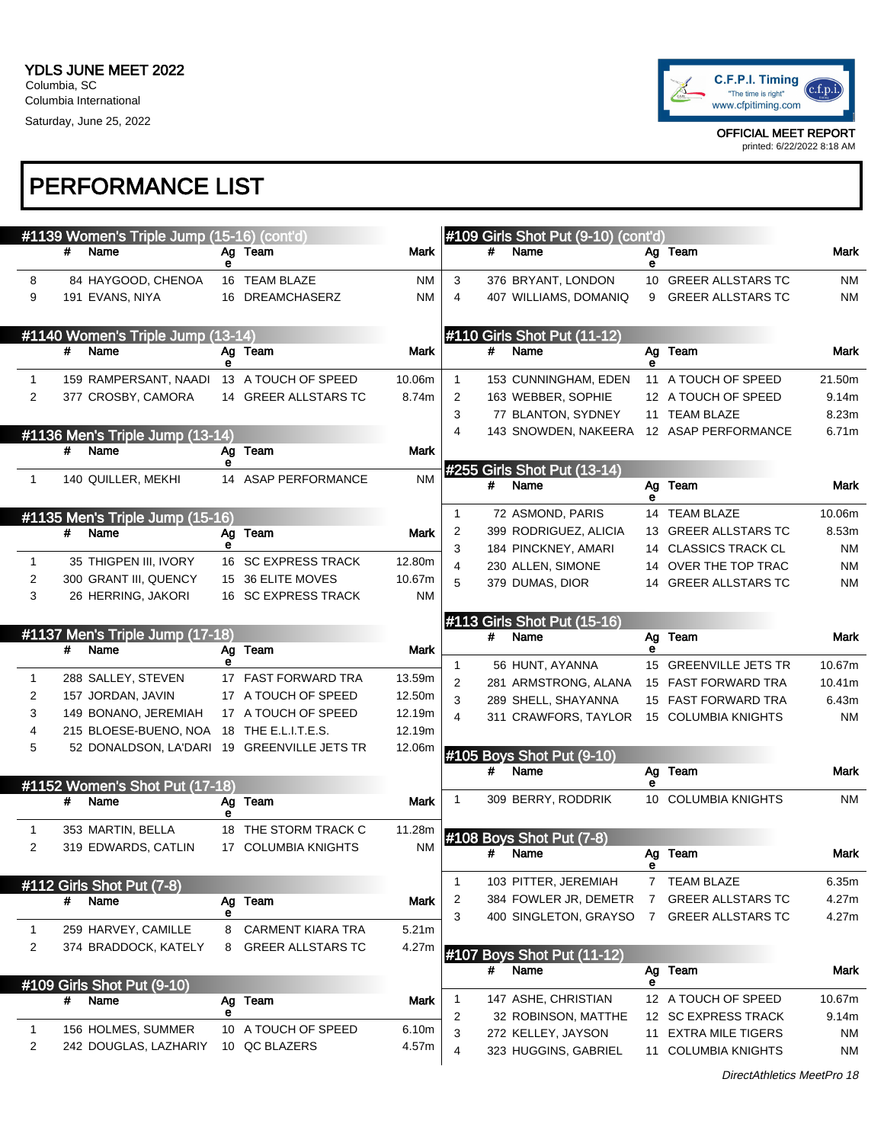

printed: 6/22/2022 8:18 AM

# PERFORMANCE LIST

|              |   | #1139 Women's Triple Jump (15-16) (cont'd)  |         |                                               |                |              | #109 Girls Shot Put (9-10) (cont'd) |    |                                                 |           |
|--------------|---|---------------------------------------------|---------|-----------------------------------------------|----------------|--------------|-------------------------------------|----|-------------------------------------------------|-----------|
|              | # | Name                                        | Ag      | Team                                          | Mark           | #            | Name                                | Ag | Team                                            | Mark      |
| 8            |   | 84 HAYGOOD, CHENOA                          | е       | 16 TEAM BLAZE                                 | ΝM             | 3            | 376 BRYANT, LONDON                  | е  | 10 GREER ALLSTARS TC                            | ΝM        |
| 9            |   | 191 EVANS, NIYA                             |         | 16 DREAMCHASERZ                               | NM             | 4            | 407 WILLIAMS, DOMANIQ               | 9  | <b>GREER ALLSTARS TC</b>                        | NM        |
|              |   |                                             |         |                                               |                |              |                                     |    |                                                 |           |
|              |   | #1140 Women's Triple Jump (13-14)           |         |                                               |                |              | #110 Girls Shot Put (11-12)         |    |                                                 |           |
|              | # | Name                                        | е       | Ag Team                                       | Mark           | #            | Name                                | е  | Ag Team                                         | Mark      |
| $\mathbf{1}$ |   | 159 RAMPERSANT, NAADI                       |         | 13 A TOUCH OF SPEED                           | 10.06m         | $\mathbf 1$  | 153 CUNNINGHAM, EDEN                |    | 11 A TOUCH OF SPEED                             | 21.50m    |
| 2            |   | 377 CROSBY, CAMORA                          |         | 14 GREER ALLSTARS TC                          | 8.74m          | 2            | 163 WEBBER, SOPHIE                  |    | 12 A TOUCH OF SPEED                             | 9.14m     |
|              |   |                                             |         |                                               |                | 3            | 77 BLANTON, SYDNEY                  |    | 11 TEAM BLAZE                                   | 8.23m     |
|              |   | #1136 Men's Triple Jump (13-14)             |         |                                               |                | 4            | 143 SNOWDEN, NAKEERA                |    | 12 ASAP PERFORMANCE                             | 6.71m     |
|              | # | Name                                        | Ag      | Team                                          | <b>Mark</b>    |              |                                     |    |                                                 |           |
|              |   |                                             | е       |                                               |                |              | #255 Girls Shot Put (13-14)         |    |                                                 |           |
| $\mathbf{1}$ |   | 140 QUILLER, MEKHI                          |         | 14 ASAP PERFORMANCE                           | <b>NM</b>      | #            | Name                                | е  | Ag Team                                         | Mark      |
|              |   | #1135 Men's Triple Jump (15-16)             |         |                                               |                | 1            | 72 ASMOND, PARIS                    |    | 14 TEAM BLAZE                                   | 10.06m    |
|              | # | Name                                        | Ag      | Team                                          | <b>Mark</b>    | 2            | 399 RODRIGUEZ, ALICIA               |    | 13 GREER ALLSTARS TC                            | 8.53m     |
|              |   |                                             |         |                                               |                | 3            | 184 PINCKNEY, AMARI                 |    | 14 CLASSICS TRACK CL                            | ΝM        |
| $\mathbf{1}$ |   | 35 THIGPEN III, IVORY                       |         | 16 SC EXPRESS TRACK                           | 12.80m         | 4            | 230 ALLEN, SIMONE                   |    | 14 OVER THE TOP TRAC                            | NM        |
| 2            |   | 300 GRANT III, QUENCY                       |         | 15 36 ELITE MOVES                             | 10.67m         | 5            | 379 DUMAS, DIOR                     | 14 | <b>GREER ALLSTARS TC</b>                        | NM        |
| 3            |   | 26 HERRING, JAKORI                          |         | 16 SC EXPRESS TRACK                           | ΝM             |              |                                     |    |                                                 |           |
|              |   |                                             |         |                                               |                |              | #113 Girls Shot Put (15-16)         |    |                                                 |           |
|              | # | #1137 Men's Triple Jump (17-18)<br>Name     | Ag      | Team                                          | <b>Mark</b>    | #            | Name                                | е  | Ag Team                                         | Mark      |
|              |   |                                             | е       |                                               |                | $\mathbf{1}$ | 56 HUNT, AYANNA                     | 15 | <b>GREENVILLE JETS TR</b>                       | 10.67m    |
| $\mathbf{1}$ |   | 288 SALLEY, STEVEN                          |         | 17 FAST FORWARD TRA                           | 13.59m         | 2            | 281 ARMSTRONG, ALANA                |    | 15 FAST FORWARD TRA                             | 10.41m    |
| 2            |   | 157 JORDAN, JAVIN                           |         | 17 A TOUCH OF SPEED                           | 12.50m         | 3            | 289 SHELL, SHAYANNA                 |    | 15 FAST FORWARD TRA                             | 6.43m     |
| 3            |   | 149 BONANO, JEREMIAH                        |         | 17 A TOUCH OF SPEED                           | 12.19m         | 4            | 311 CRAWFORS, TAYLOR                |    | 15 COLUMBIA KNIGHTS                             | <b>NM</b> |
| 4            |   | 215 BLOESE-BUENO, NOA                       |         | 18 THE E.L.I.T.E.S.                           | 12.19m         |              |                                     |    |                                                 |           |
| 5            |   | 52 DONALDSON, LA'DARI 19 GREENVILLE JETS TR |         |                                               | 12.06m         |              | #105 Boys Shot Put (9-10)           |    |                                                 |           |
|              |   |                                             |         |                                               |                | #            | Name                                |    | Ag Team                                         | Mark      |
|              |   | #1152 Women's Shot Put (17-18)              |         |                                               |                |              |                                     | е  |                                                 |           |
|              | # | Name                                        | Ag<br>е | Team                                          | Mark           |              | 309 BERRY, RODDRIK                  |    | 10 COLUMBIA KNIGHTS                             | <b>NM</b> |
| 1            |   | 353 MARTIN, BELLA                           |         | 18 THE STORM TRACK C                          | 11.28m         |              | 108 Boys Shot Put (7-8)             |    |                                                 |           |
|              |   | 319 EDWARDS, CATLIN                         |         | 17 COLUMBIA KNIGHTS                           |                |              |                                     |    | Ag Team                                         | Mark      |
| 2            |   |                                             |         |                                               | <b>NM</b>      | #            | Name                                |    |                                                 |           |
|              |   |                                             |         |                                               |                |              |                                     |    |                                                 |           |
|              |   | #112 Girls Shot Put (7-8)                   |         |                                               |                | 1            | 103 PITTER, JEREMIAH                |    | 7 TEAM BLAZE                                    | 6.35m     |
|              | # | Name                                        | Ag      | <b>Team</b>                                   | Mark           | 2            | 384 FOWLER JR, DEMETR               | 7  | <b>GREER ALLSTARS TC</b>                        | 4.27m     |
| 1            |   |                                             | е<br>8  |                                               | 5.21m          | 3            | 400 SINGLETON, GRAYSO               | 7  | GREER ALLSTARS TC                               | 4.27m     |
| 2            |   | 259 HARVEY, CAMILLE<br>374 BRADDOCK, KATELY | 8       | <b>CARMENT KIARA TRA</b><br>GREER ALLSTARS TC | 4.27m          |              |                                     |    |                                                 |           |
|              |   |                                             |         |                                               |                |              | #107 Boys Shot Put (11-12)          |    |                                                 |           |
|              |   |                                             |         |                                               |                | #            | Name                                | е  | Ag Team                                         | Mark      |
|              | # | #109 Girls Shot Put (9-10)<br>Name          | Ag      | Team                                          | Mark           | 1            | 147 ASHE, CHRISTIAN                 |    | 12 A TOUCH OF SPEED                             | 10.67m    |
|              |   |                                             | е       |                                               |                | 2            | 32 ROBINSON, MATTHE                 |    | 12 SC EXPRESS TRACK                             | 9.14m     |
| 1<br>2       |   | 156 HOLMES, SUMMER<br>242 DOUGLAS, LAZHARIY |         | 10 A TOUCH OF SPEED<br>10 QC BLAZERS          | 6.10m<br>4.57m | 3            | 272 KELLEY, JAYSON                  | 11 | <b>EXTRA MILE TIGERS</b><br>11 COLUMBIA KNIGHTS | NM        |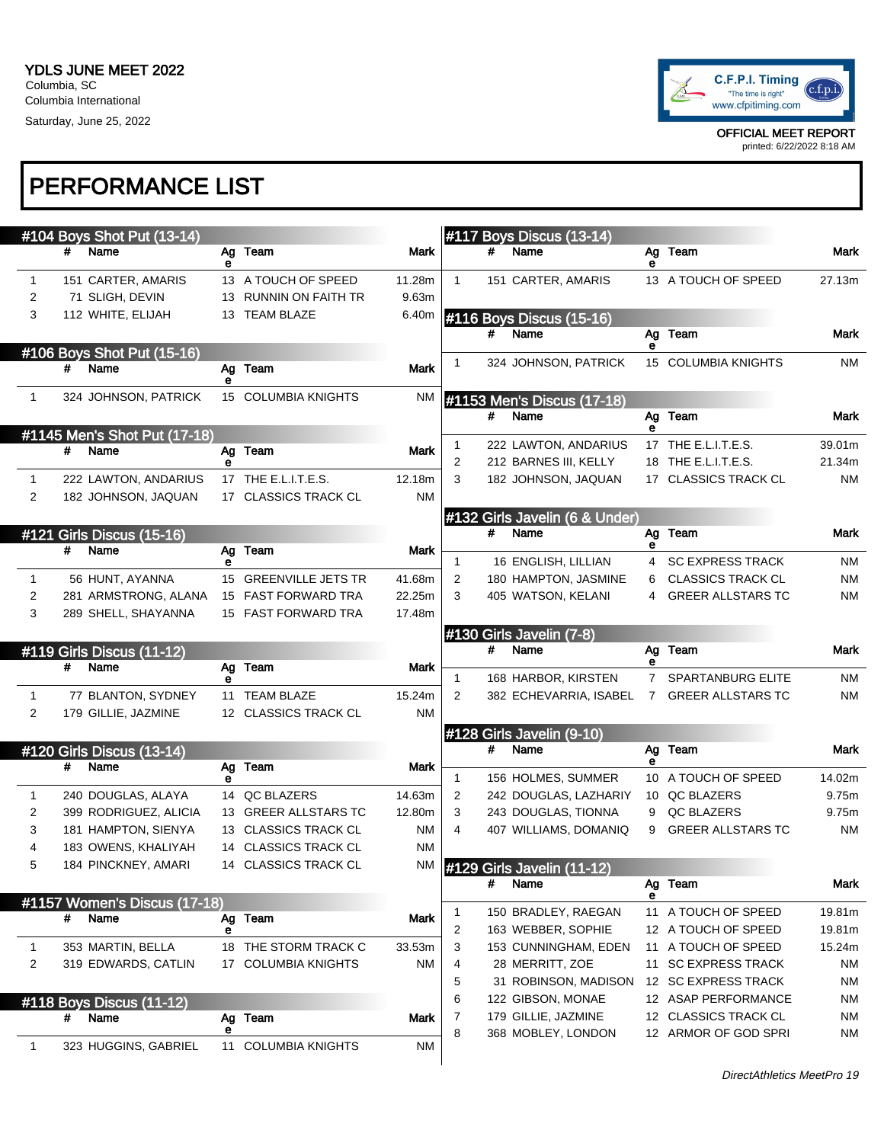

printed: 6/22/2022 8:18 AM

# PERFORMANCE LIST

|              |   | #104 Boys Shot Put (13-14)              |         |                                              |                  |              |   | #117 Boys Discus (13-14)                   |             |                                                      |                        |
|--------------|---|-----------------------------------------|---------|----------------------------------------------|------------------|--------------|---|--------------------------------------------|-------------|------------------------------------------------------|------------------------|
|              | # | Name                                    | е       | Ag Team                                      | Mark             |              | # | Name                                       | е           | Ag Team                                              | Mark                   |
| 1            |   | 151 CARTER, AMARIS                      |         | 13 A TOUCH OF SPEED                          | 11.28m           | $\mathbf{1}$ |   | 151 CARTER, AMARIS                         |             | 13 A TOUCH OF SPEED                                  | 27.13m                 |
| 2            |   | 71 SLIGH, DEVIN                         |         | 13 RUNNIN ON FAITH TR                        | 9.63m            |              |   |                                            |             |                                                      |                        |
| 3            |   | 112 WHITE, ELIJAH                       |         | 13 TEAM BLAZE                                | 6.40m            |              |   | #116 Boys Discus (15-16)                   |             |                                                      |                        |
|              |   |                                         |         |                                              |                  |              | # | Name                                       |             | Ag Team                                              | Mark                   |
|              |   | #106 Boys Shot Put (15-16)              |         |                                              |                  |              |   | 324 JOHNSON, PATRICK                       | е           | 15 COLUMBIA KNIGHTS                                  | <b>NM</b>              |
|              | # | Name                                    | е       | Ag Team                                      | Mark             |              |   |                                            |             |                                                      |                        |
| $\mathbf{1}$ |   | 324 JOHNSON, PATRICK                    |         | 15 COLUMBIA KNIGHTS                          | <b>NM</b>        |              |   | #1153 Men's Discus (17-18)                 |             |                                                      |                        |
|              |   |                                         |         |                                              |                  |              | # | Name                                       |             | Ag Team                                              | Mark                   |
|              |   | #1145 Men's Shot Put (17-18)            |         |                                              |                  | 1            |   | 222 LAWTON, ANDARIUS                       | е           | 17 THE E.L.I.T.E.S.                                  | 39.01m                 |
|              | # | Name                                    |         | Ag Team                                      | Mark             | 2            |   | 212 BARNES III, KELLY                      |             | 18 THE E.L.I.T.E.S.                                  | 21.34m                 |
| 1            |   | 222 LAWTON, ANDARIUS                    |         | 17 THE E.L.I.T.E.S.                          | 12.18m           | 3            |   | 182 JOHNSON, JAQUAN                        |             | 17 CLASSICS TRACK CL                                 | <b>NM</b>              |
| 2            |   | 182 JOHNSON, JAQUAN                     |         | 17 CLASSICS TRACK CL                         | ΝM               |              |   |                                            |             |                                                      |                        |
|              |   |                                         |         |                                              |                  |              |   | #132 Girls Javelin (6 & Under)             |             |                                                      |                        |
|              |   | #121 Girls Discus (15-16)               |         |                                              |                  |              | # | Name                                       |             | Ag Team                                              | Mark                   |
|              | # | Name                                    |         | Ag Team                                      | Mark             |              |   |                                            | е           |                                                      |                        |
|              |   |                                         | е       |                                              |                  | 1            |   | 16 ENGLISH, LILLIAN                        | 4           | <b>SC EXPRESS TRACK</b>                              | <b>NM</b>              |
| 1            |   | 56 HUNT, AYANNA<br>281 ARMSTRONG, ALANA |         | 15 GREENVILLE JETS TR<br>15 FAST FORWARD TRA | 41.68m<br>22.25m | 2<br>3       |   | 180 HAMPTON, JASMINE<br>405 WATSON, KELANI | 6<br>4      | <b>CLASSICS TRACK CL</b><br><b>GREER ALLSTARS TC</b> | <b>NM</b><br><b>NM</b> |
| 2<br>3       |   | 289 SHELL, SHAYANNA                     |         | 15 FAST FORWARD TRA                          | 17.48m           |              |   |                                            |             |                                                      |                        |
|              |   |                                         |         |                                              |                  |              |   |                                            |             |                                                      |                        |
|              |   | #119 Girls Discus (11-12)               |         |                                              |                  |              | # | #130 Girls Javelin (7-8)<br>Name           |             | Ag Team                                              | Mark                   |
|              | # | Name                                    |         | Ag Team                                      |                  |              |   |                                            | е           |                                                      |                        |
|              |   |                                         |         |                                              | Mark             |              |   |                                            |             |                                                      |                        |
|              |   |                                         | е       |                                              |                  | $\mathbf{1}$ |   | 168 HARBOR, KIRSTEN                        | $7^{\circ}$ | SPARTANBURG ELITE                                    | <b>NM</b>              |
| 1            |   | 77 BLANTON, SYDNEY                      |         | 11 TEAM BLAZE                                | 15.24m           | 2            |   | 382 ECHEVARRIA, ISABEL                     | $7^{\circ}$ | <b>GREER ALLSTARS TC</b>                             | <b>NM</b>              |
| 2            |   | 179 GILLIE, JAZMINE                     |         | 12 CLASSICS TRACK CL                         | ΝM               |              |   |                                            |             |                                                      |                        |
|              |   |                                         |         |                                              |                  |              |   | #128 Girls Javelin (9-10)                  |             |                                                      |                        |
|              |   | #120 Girls Discus (13-14)               |         |                                              |                  |              | # | Name                                       | е           | Ag Team                                              | Mark                   |
|              | # | Name                                    | е       | Ag Team                                      | Mark             | 1            |   | 156 HOLMES, SUMMER                         |             | 10 A TOUCH OF SPEED                                  | 14.02m                 |
| 1            |   | 240 DOUGLAS, ALAYA                      |         | 14 QC BLAZERS                                | 14.63m           | 2            |   | 242 DOUGLAS, LAZHARIY                      |             | 10 QC BLAZERS                                        | 9.75m                  |
| 2            |   | 399 RODRIGUEZ, ALICIA                   |         | 13 GREER ALLSTARS TC                         | 12.80m           | 3            |   | 243 DOUGLAS, TIONNA                        | 9           | QC BLAZERS                                           | 9.75m                  |
| 3            |   | 181 HAMPTON, SIENYA                     |         | 13 CLASSICS TRACK CL                         | <b>NM</b>        | 4            |   | 407 WILLIAMS, DOMANIQ                      | 9           | <b>GREER ALLSTARS TC</b>                             | <b>NM</b>              |
| 4            |   | 183 OWENS, KHALIYAH                     |         | 14 CLASSICS TRACK CL                         | <b>NM</b>        |              |   |                                            |             |                                                      |                        |
| 5            |   | 184 PINCKNEY, AMARI                     |         | 14 CLASSICS TRACK CL                         | ΝM               |              |   | #129 Girls Javelin (11-12)                 |             |                                                      |                        |
|              |   |                                         |         |                                              |                  |              | # | Name                                       |             | Ag Team                                              | Mark                   |
|              |   | #1157 Women's Discus (17-18)            |         |                                              |                  |              |   |                                            | е           |                                                      |                        |
|              | # | Name                                    | е       | Ag Team                                      | Mark             | 1            |   | 150 BRADLEY, RAEGAN<br>163 WEBBER, SOPHIE  |             | 11 A TOUCH OF SPEED                                  | 19.81m                 |
| 1            |   | 353 MARTIN, BELLA                       |         | 18 THE STORM TRACK C                         | 33.53m           | 2<br>3       |   | 153 CUNNINGHAM, EDEN                       |             | 12 A TOUCH OF SPEED<br>11 A TOUCH OF SPEED           | 19.81m<br>15.24m       |
| 2            |   | 319 EDWARDS, CATLIN                     |         | 17 COLUMBIA KNIGHTS                          | ΝM               | 4            |   | 28 MERRITT, ZOE                            |             | 11 SC EXPRESS TRACK                                  | <b>NM</b>              |
|              |   |                                         |         |                                              |                  | 5            |   | 31 ROBINSON, MADISON                       |             | 12 SC EXPRESS TRACK                                  | <b>NM</b>              |
|              |   | #118 Boys Discus (11-12)                |         |                                              |                  | 6            |   | 122 GIBSON, MONAE                          |             | 12 ASAP PERFORMANCE                                  | <b>NM</b>              |
|              | # | Name                                    | Ag      | Team                                         | Mark             | 7            |   | 179 GILLIE, JAZMINE                        |             | 12 CLASSICS TRACK CL                                 | <b>NM</b>              |
| 1            |   | 323 HUGGINS, GABRIEL                    | е<br>11 | <b>COLUMBIA KNIGHTS</b>                      | <b>NM</b>        | 8            |   | 368 MOBLEY, LONDON                         |             | 12 ARMOR OF GOD SPRI                                 | <b>NM</b>              |